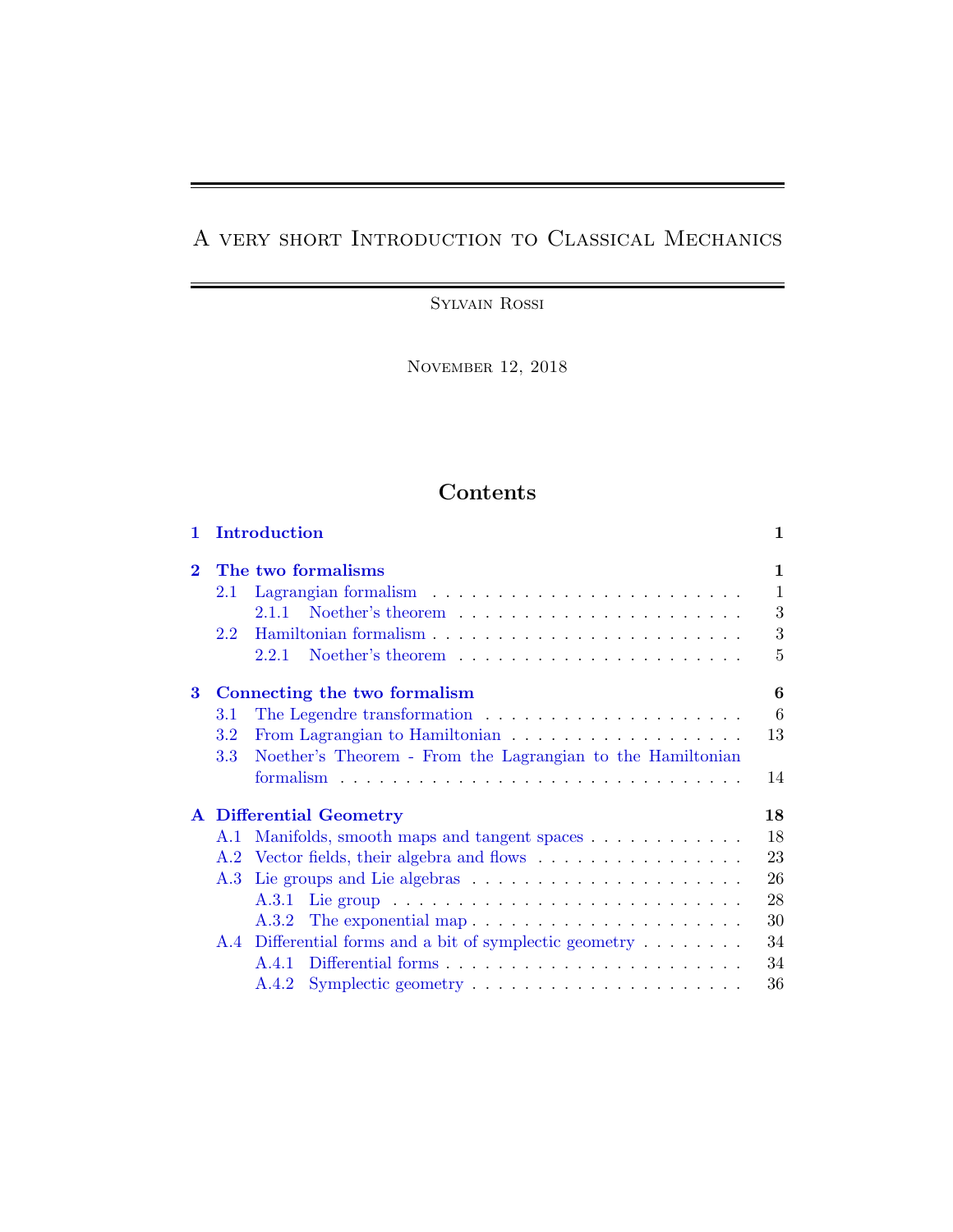A very short Introduction to Classical Mechanics

Sylvain Rossi

November 12, 2018

# Contents

| $\mathbf{1}$ |               | Introduction                                                                    | 1            |
|--------------|---------------|---------------------------------------------------------------------------------|--------------|
| $\mathbf 2$  |               | The two formalisms                                                              | 1            |
|              | 2.1           |                                                                                 | $\mathbf{1}$ |
|              |               | 2.1.1                                                                           | 3            |
|              | $2.2^{\circ}$ |                                                                                 | 3            |
|              |               | 2.2.1                                                                           | 5            |
| $\bf{3}$     |               | Connecting the two formalism                                                    | 6            |
|              | 3.1           |                                                                                 | 6            |
|              | 3.2           |                                                                                 | 13           |
|              | 3.3           | Noether's Theorem - From the Lagrangian to the Hamiltonian                      |              |
|              |               |                                                                                 | 14           |
|              |               | <b>A</b> Differential Geometry                                                  | 18           |
|              | A.1           | Manifolds, smooth maps and tangent spaces                                       | 18           |
|              | A.2           |                                                                                 | 23           |
|              | A.3           |                                                                                 | 26           |
|              |               | A.3.1                                                                           | 28           |
|              |               | The exponential map $\ldots \ldots \ldots \ldots \ldots \ldots \ldots$<br>A.3.2 | 30           |
|              | A.4           | Differential forms and a bit of symplectic geometry $\dots \dots$               | 34           |
|              |               | A.4.1                                                                           | 34           |
|              |               | A.4.2                                                                           | 36           |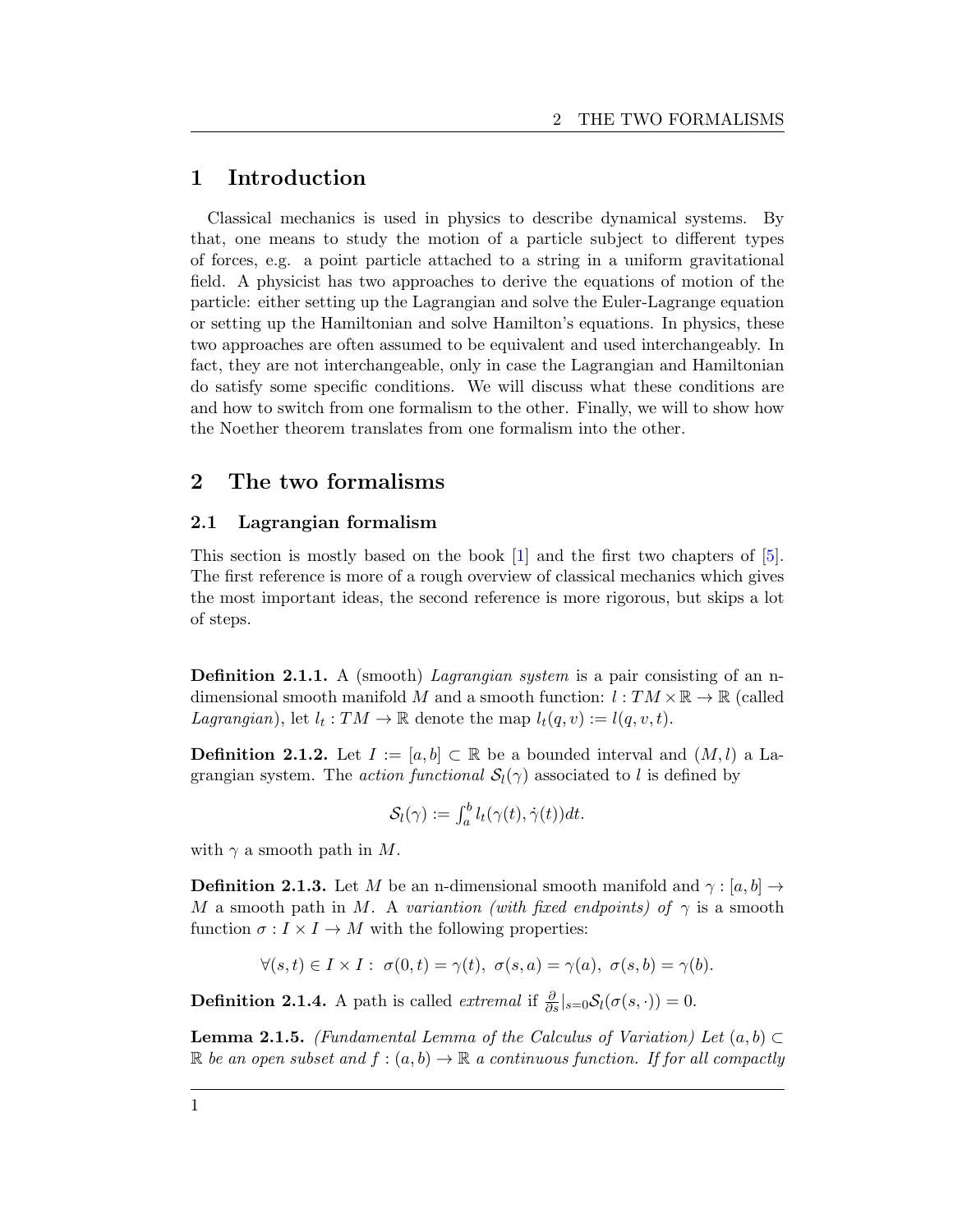### <span id="page-1-0"></span>1 Introduction

Classical mechanics is used in physics to describe dynamical systems. By that, one means to study the motion of a particle subject to different types of forces, e.g. a point particle attached to a string in a uniform gravitational field. A physicist has two approaches to derive the equations of motion of the particle: either setting up the Lagrangian and solve the Euler-Lagrange equation or setting up the Hamiltonian and solve Hamilton's equations. In physics, these two approaches are often assumed to be equivalent and used interchangeably. In fact, they are not interchangeable, only in case the Lagrangian and Hamiltonian do satisfy some specific conditions. We will discuss what these conditions are and how to switch from one formalism to the other. Finally, we will to show how the Noether theorem translates from one formalism into the other.

### <span id="page-1-1"></span>2 The two formalisms

### <span id="page-1-2"></span>2.1 Lagrangian formalism

This section is mostly based on the book [\[1\]](#page-39-0) and the first two chapters of [\[5\]](#page-39-1). The first reference is more of a rough overview of classical mechanics which gives the most important ideas, the second reference is more rigorous, but skips a lot of steps.

**Definition 2.1.1.** A (smooth) Lagrangian system is a pair consisting of an ndimensional smooth manifold M and a smooth function:  $l : TM \times \mathbb{R} \to \mathbb{R}$  (called Lagrangian), let  $l_t: TM \to \mathbb{R}$  denote the map  $l_t(q, v) := l(q, v, t)$ .

**Definition 2.1.2.** Let  $I := [a, b] \subset \mathbb{R}$  be a bounded interval and  $(M, l)$  a Lagrangian system. The action functional  $S_l(\gamma)$  associated to l is defined by

$$
\mathcal{S}_l(\gamma) := \int_a^b l_t(\gamma(t), \dot{\gamma}(t)) dt.
$$

with  $\gamma$  a smooth path in M.

**Definition 2.1.3.** Let M be an n-dimensional smooth manifold and  $\gamma : [a, b] \rightarrow$ M a smooth path in M. A variantion (with fixed endpoints) of  $\gamma$  is a smooth function  $\sigma: I \times I \to M$  with the following properties:

$$
\forall (s,t) \in I \times I : \sigma(0,t) = \gamma(t), \ \sigma(s,a) = \gamma(a), \ \sigma(s,b) = \gamma(b).
$$

**Definition 2.1.4.** A path is called *extremal* if  $\frac{\partial}{\partial s}|_{s=0}S_l(\sigma(s, \cdot))=0$ .

**Lemma 2.1.5.** (Fundamental Lemma of the Calculus of Variation) Let  $(a, b)$  $\mathbb R$  be an open subset and  $f:(a, b) \to \mathbb R$  a continuous function. If for all compactly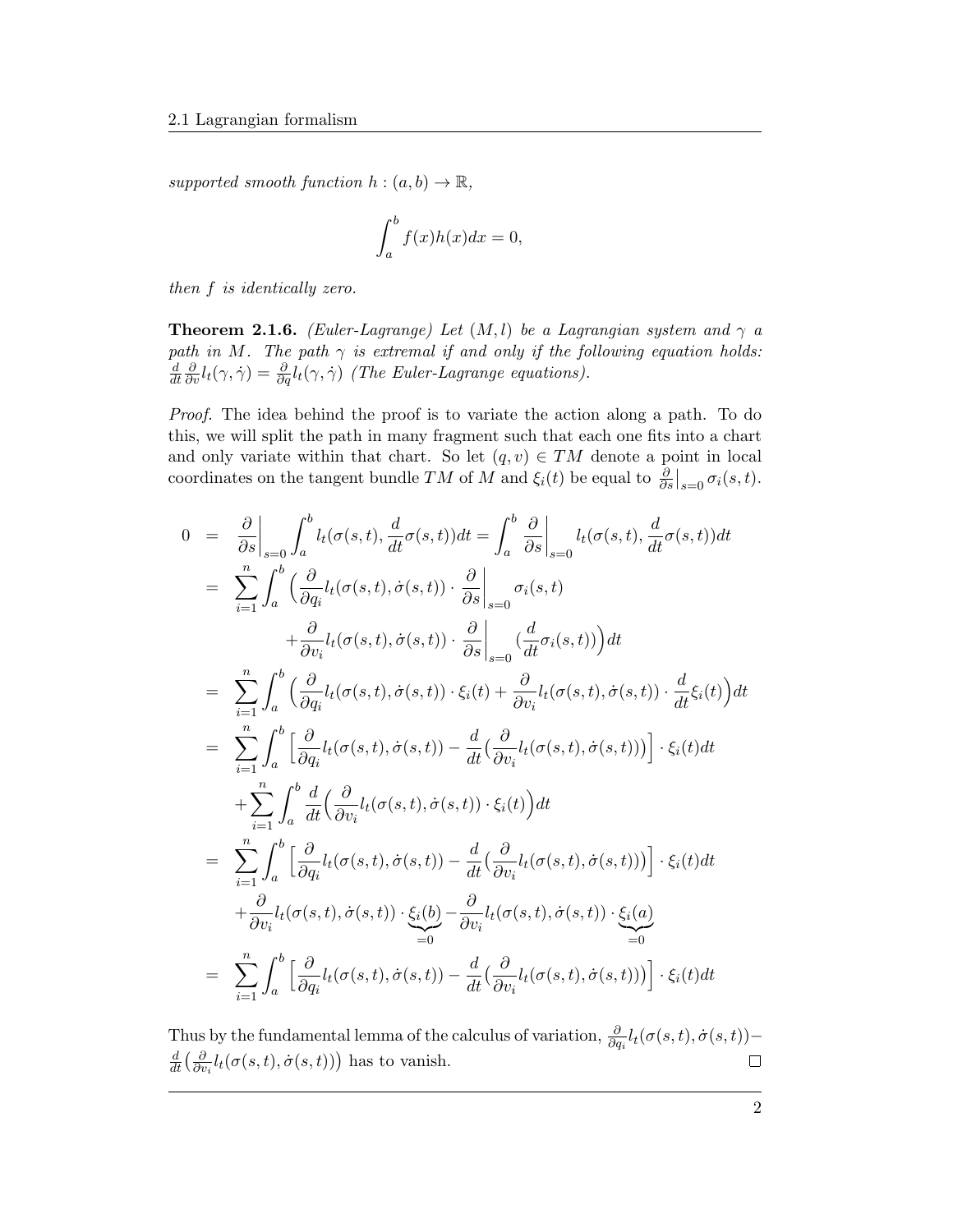supported smooth function  $h : (a, b) \to \mathbb{R}$ ,

$$
\int_{a}^{b} f(x)h(x)dx = 0,
$$

then f is identically zero.

**Theorem 2.1.6.** (Euler-Lagrange) Let  $(M, l)$  be a Lagrangian system and  $\gamma$  a path in M. The path  $\gamma$  is extremal if and only if the following equation holds: d dt  $\frac{\partial}{\partial v}l_t(\gamma,\dot{\gamma}) = \frac{\partial}{\partial q}l_t(\gamma,\dot{\gamma})$  (The Euler-Lagrange equations).

Proof. The idea behind the proof is to variate the action along a path. To do this, we will split the path in many fragment such that each one fits into a chart and only variate within that chart. So let  $(q, v) \in TM$  denote a point in local coordinates on the tangent bundle  $TM$  of  $M$  and  $\xi_i(t)$  be equal to  $\frac{\partial}{\partial s}\big|_{s=0} \sigma_i(s,t)$ .

$$
0 = \frac{\partial}{\partial s}\Big|_{s=0} \int_{a}^{b} l_{t}(\sigma(s,t), \frac{d}{dt}\sigma(s,t))dt = \int_{a}^{b} \frac{\partial}{\partial s}\Big|_{s=0} l_{t}(\sigma(s,t), \frac{d}{dt}\sigma(s,t))dt
$$
  
\n
$$
= \sum_{i=1}^{n} \int_{a}^{b} \left(\frac{\partial}{\partial q_{i}} l_{t}(\sigma(s,t), \dot{\sigma}(s,t)) \cdot \frac{\partial}{\partial s}\Big|_{s=0} \sigma_{i}(s,t)
$$
  
\n
$$
+ \frac{\partial}{\partial v_{i}} l_{t}(\sigma(s,t), \dot{\sigma}(s,t)) \cdot \frac{\partial}{\partial s}\Big|_{s=0} \left(\frac{d}{dt}\sigma_{i}(s,t)\right)dt
$$
  
\n
$$
= \sum_{i=1}^{n} \int_{a}^{b} \left(\frac{\partial}{\partial q_{i}} l_{t}(\sigma(s,t), \dot{\sigma}(s,t)) \cdot \xi_{i}(t) + \frac{\partial}{\partial v_{i}} l_{t}(\sigma(s,t), \dot{\sigma}(s,t)) \cdot \frac{d}{dt}\xi_{i}(t)\right)dt
$$
  
\n
$$
= \sum_{i=1}^{n} \int_{a}^{b} \left[\frac{\partial}{\partial q_{i}} l_{t}(\sigma(s,t), \dot{\sigma}(s,t)) - \frac{d}{dt} (\frac{\partial}{\partial v_{i}} l_{t}(\sigma(s,t), \dot{\sigma}(s,t)) \right] \cdot \xi_{i}(t)dt
$$
  
\n
$$
+ \sum_{i=1}^{n} \int_{a}^{b} \frac{d}{dt} \left(\frac{\partial}{\partial v_{i}} l_{t}(\sigma(s,t), \dot{\sigma}(s,t)) \cdot \xi_{i}(t)\right)dt
$$
  
\n
$$
= \sum_{i=1}^{n} \int_{a}^{b} \left[\frac{\partial}{\partial q_{i}} l_{t}(\sigma(s,t), \dot{\sigma}(s,t)) - \frac{d}{dt} (\frac{\partial}{\partial v_{i}} l_{t}(\sigma(s,t), \dot{\sigma}(s,t)) \right] \cdot \xi_{i}(t)dt
$$
  
\n
$$
+ \frac{\partial}{\partial v_{i}} l_{t}(\sigma(s,t), \dot{\sigma}(s,t)) \cdot \xi_{i}(b) - \frac{\partial}{\partial v_{i}} l_{t}(\sigma(s,t), \dot{\sigma}(s,t)) \cdot \xi_{i
$$

Thus by the fundamental lemma of the calculus of variation,  $\frac{\partial}{\partial q_i} l_t(\sigma(s,t), \dot{\sigma}(s,t))$  –  $\frac{d}{dt}\big(\frac{\partial}{\partial\imath}$  $\frac{\partial}{\partial v_i} l_t(\sigma(s,t), \dot{\sigma}(s,t))$  has to vanish.  $\Box$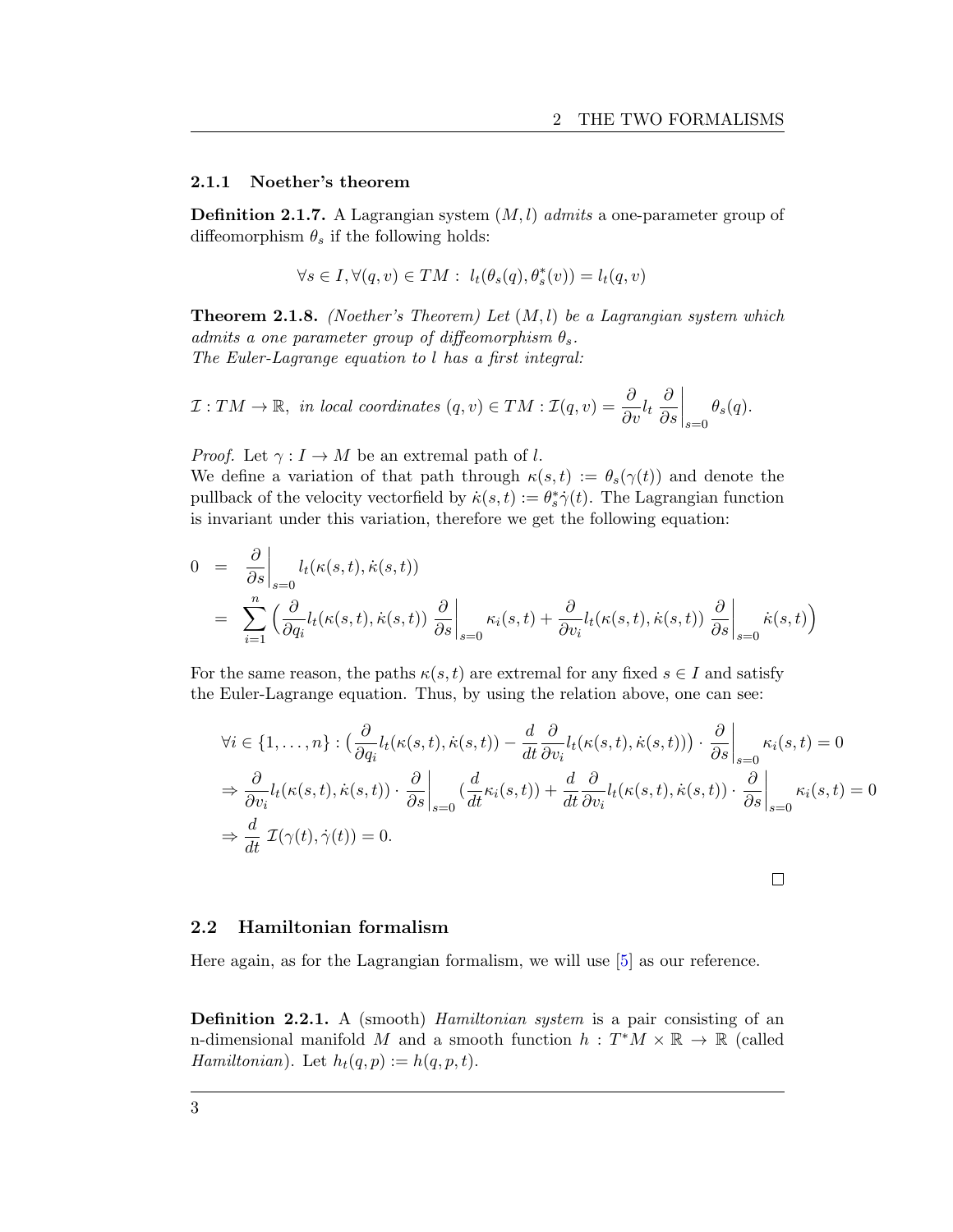### <span id="page-3-0"></span>2.1.1 Noether's theorem

**Definition 2.1.7.** A Lagrangian system  $(M, l)$  admits a one-parameter group of diffeomorphism  $\theta_s$  if the following holds:

$$
\forall s \in I, \forall (q, v) \in TM: \ l_t(\theta_s(q), \theta_s^*(v)) = l_t(q, v)
$$

<span id="page-3-2"></span>**Theorem 2.1.8.** (Noether's Theorem) Let  $(M, l)$  be a Lagrangian system which admits a one parameter group of diffeomorphism  $\theta_s$ . The Euler-Lagrange equation to l has a first integral:

$$
\mathcal{I}: TM \to \mathbb{R}, \text{ in local coordinates } (q, v) \in TM: \mathcal{I}(q, v) = \frac{\partial}{\partial v} l_t \left. \frac{\partial}{\partial s} \right|_{s=0} \theta_s(q).
$$

*Proof.* Let  $\gamma: I \to M$  be an extremal path of l.

We define a variation of that path through  $\kappa(s,t) := \theta_s(\gamma(t))$  and denote the pullback of the velocity vectorfield by  $\dot{\kappa}(s,t) := \theta_s^* \dot{\gamma}(t)$ . The Lagrangian function is invariant under this variation, therefore we get the following equation:

$$
0 = \frac{\partial}{\partial s}\Big|_{s=0} l_t(\kappa(s,t), \dot{\kappa}(s,t))
$$
  
= 
$$
\sum_{i=1}^n \left(\frac{\partial}{\partial q_i} l_t(\kappa(s,t), \dot{\kappa}(s,t)) \frac{\partial}{\partial s}\Big|_{s=0} \kappa_i(s,t) + \frac{\partial}{\partial v_i} l_t(\kappa(s,t), \dot{\kappa}(s,t)) \frac{\partial}{\partial s}\Big|_{s=0} \dot{\kappa}(s,t)\right)
$$

For the same reason, the paths  $\kappa(s,t)$  are extremal for any fixed  $s \in I$  and satisfy the Euler-Lagrange equation. Thus, by using the relation above, one can see:

$$
\forall i \in \{1, ..., n\} : \left(\frac{\partial}{\partial q_i} l_t(\kappa(s, t), \dot{\kappa}(s, t)) - \frac{d}{dt} \frac{\partial}{\partial v_i} l_t(\kappa(s, t), \dot{\kappa}(s, t))\right) \cdot \frac{\partial}{\partial s}\bigg|_{s=0} \kappa_i(s, t) = 0
$$
  
\n
$$
\Rightarrow \frac{\partial}{\partial v_i} l_t(\kappa(s, t), \dot{\kappa}(s, t)) \cdot \frac{\partial}{\partial s}\bigg|_{s=0} \cdot \left(\frac{d}{dt} \kappa_i(s, t)\right) + \frac{d}{dt} \frac{\partial}{\partial v_i} l_t(\kappa(s, t), \dot{\kappa}(s, t)) \cdot \frac{\partial}{\partial s}\bigg|_{s=0} \kappa_i(s, t) = 0
$$
  
\n
$$
\Rightarrow \frac{d}{dt} \mathcal{I}(\gamma(t), \dot{\gamma}(t)) = 0.
$$

 $\Box$ 

### <span id="page-3-1"></span>2.2 Hamiltonian formalism

Here again, as for the Lagrangian formalism, we will use [\[5\]](#page-39-1) as our reference.

**Definition 2.2.1.** A (smooth) *Hamiltonian system* is a pair consisting of an n-dimensional manifold M and a smooth function  $h: T^*M \times \mathbb{R} \to \mathbb{R}$  (called Hamiltonian). Let  $h_t(q, p) := h(q, p, t)$ .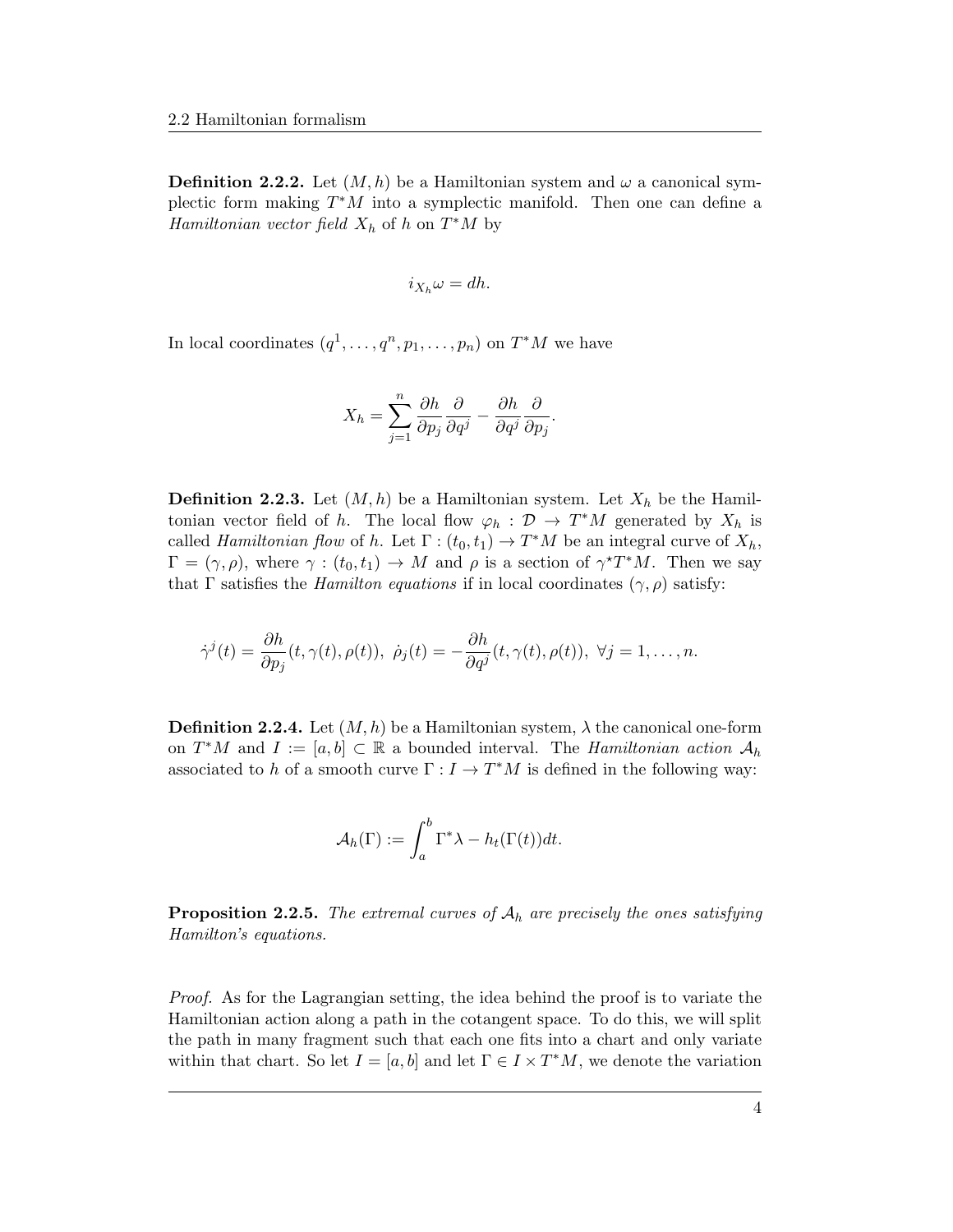**Definition 2.2.2.** Let  $(M, h)$  be a Hamiltonian system and  $\omega$  a canonical symplectic form making  $T^*M$  into a symplectic manifold. Then one can define a Hamiltonian vector field  $X_h$  of h on  $T^*M$  by

$$
i_{X_h}\omega = dh.
$$

In local coordinates  $(q^1, \ldots, q^n, p_1, \ldots, p_n)$  on  $T^*M$  we have

$$
X_h = \sum_{j=1}^n \frac{\partial h}{\partial p_j} \frac{\partial}{\partial q^j} - \frac{\partial h}{\partial q^j} \frac{\partial}{\partial p_j}.
$$

**Definition 2.2.3.** Let  $(M, h)$  be a Hamiltonian system. Let  $X_h$  be the Hamiltonian vector field of h. The local flow  $\varphi_h$ :  $\mathcal{D} \to T^*M$  generated by  $X_h$  is called *Hamiltonian flow* of h. Let  $\Gamma$  :  $(t_0, t_1) \to T^*M$  be an integral curve of  $X_h$ ,  $\Gamma = (\gamma, \rho)$ , where  $\gamma : (t_0, t_1) \to M$  and  $\rho$  is a section of  $\gamma^* T^* M$ . Then we say that Γ satisfies the *Hamilton equations* if in local coordinates  $(\gamma, \rho)$  satisfy:

$$
\dot{\gamma}^j(t)=\frac{\partial h}{\partial p_j}(t,\gamma(t),\rho(t)),\ \dot{\rho}_j(t)=-\frac{\partial h}{\partial q^j}(t,\gamma(t),\rho(t)),\ \forall j=1,\ldots,n.
$$

**Definition 2.2.4.** Let  $(M, h)$  be a Hamiltonian system,  $\lambda$  the canonical one-form on  $T^*M$  and  $I := [a, b] \subset \mathbb{R}$  a bounded interval. The *Hamiltonian action*  $A_h$ associated to h of a smooth curve  $\Gamma: I \to T^*M$  is defined in the following way:

$$
\mathcal{A}_h(\Gamma) := \int_a^b \Gamma^* \lambda - h_t(\Gamma(t)) dt.
$$

**Proposition 2.2.5.** The extremal curves of  $A_h$  are precisely the ones satisfying Hamilton's equations.

Proof. As for the Lagrangian setting, the idea behind the proof is to variate the Hamiltonian action along a path in the cotangent space. To do this, we will split the path in many fragment such that each one fits into a chart and only variate within that chart. So let  $I = [a, b]$  and let  $\Gamma \in I \times T^*M$ , we denote the variation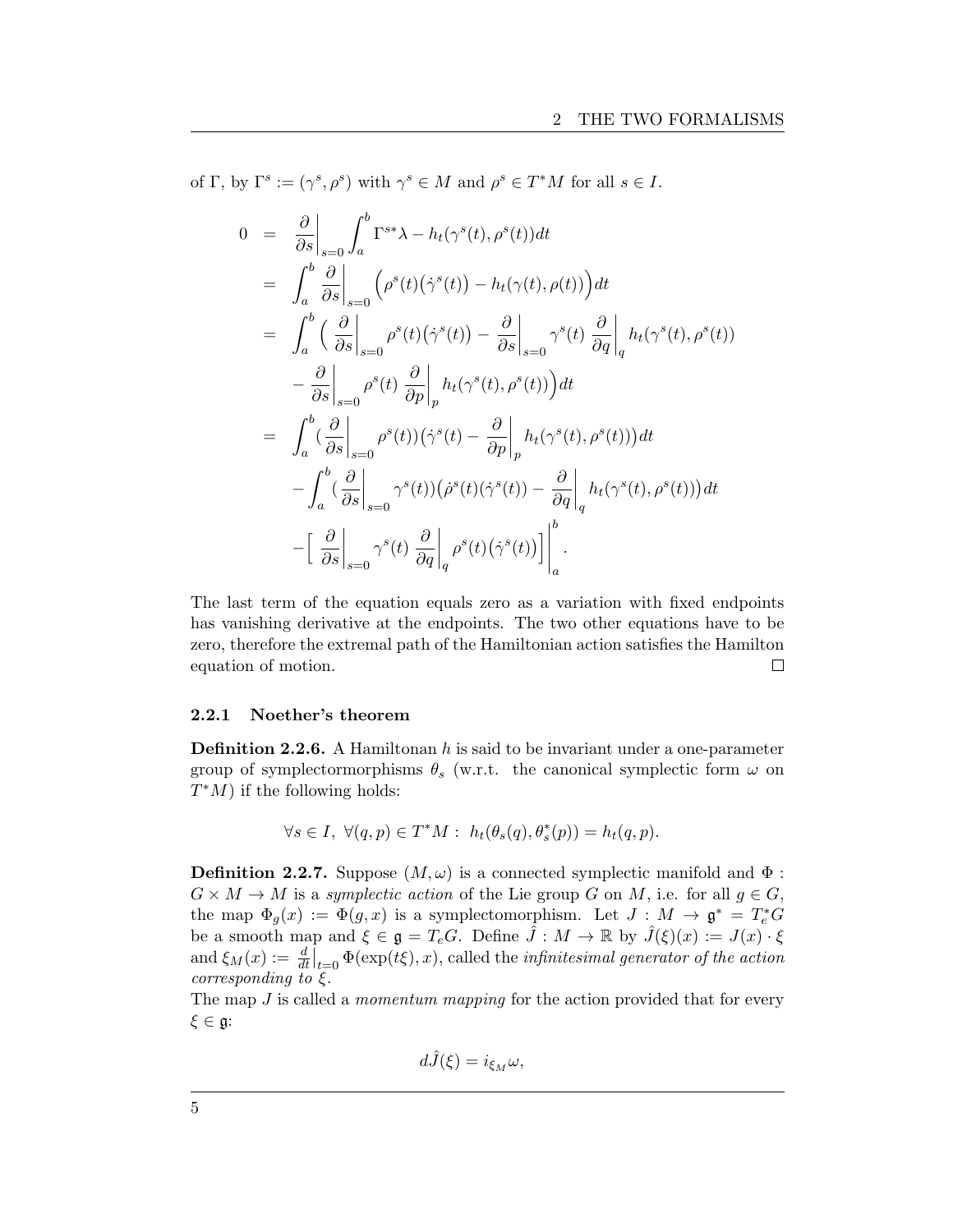of Γ, by  $\Gamma^s := (\gamma^s, \rho^s)$  with  $\gamma^s \in M$  and  $\rho^s \in T^*M$  for all  $s \in I$ .

$$
0 = \frac{\partial}{\partial s}\Big|_{s=0} \int_{a}^{b} \Gamma^{s*} \lambda - h_{t}(\gamma^{s}(t), \rho^{s}(t)) dt
$$
  
\n
$$
= \int_{a}^{b} \frac{\partial}{\partial s}\Big|_{s=0} \left(\rho^{s}(t)(\dot{\gamma}^{s}(t)) - h_{t}(\gamma(t), \rho(t))\right) dt
$$
  
\n
$$
= \int_{a}^{b} \left(\frac{\partial}{\partial s}\Big|_{s=0} \rho^{s}(t)(\dot{\gamma}^{s}(t)) - \frac{\partial}{\partial s}\Big|_{s=0} \gamma^{s}(t) \frac{\partial}{\partial q}\Big|_{q} h_{t}(\gamma^{s}(t), \rho^{s}(t))
$$
  
\n
$$
- \frac{\partial}{\partial s}\Big|_{s=0} \rho^{s}(t) \frac{\partial}{\partial p}\Big|_{p} h_{t}(\gamma^{s}(t), \rho^{s}(t)) dt
$$
  
\n
$$
= \int_{a}^{b} (\frac{\partial}{\partial s}\Big|_{s=0} \rho^{s}(t)) (\dot{\gamma}^{s}(t) - \frac{\partial}{\partial p}\Big|_{p} h_{t}(\gamma^{s}(t), \rho^{s}(t))) dt
$$
  
\n
$$
- \int_{a}^{b} (\frac{\partial}{\partial s}\Big|_{s=0} \gamma^{s}(t)) (\dot{\rho}^{s}(t)(\dot{\gamma}^{s}(t)) - \frac{\partial}{\partial q}\Big|_{q} h_{t}(\gamma^{s}(t), \rho^{s}(t))) dt
$$
  
\n
$$
- \Big[\frac{\partial}{\partial s}\Big|_{s=0} \gamma^{s}(t) \frac{\partial}{\partial q}\Big|_{q} \rho^{s}(t)(\dot{\gamma}^{s}(t)) \Big]\Big|_{a}^{b}.
$$

The last term of the equation equals zero as a variation with fixed endpoints has vanishing derivative at the endpoints. The two other equations have to be zero, therefore the extremal path of the Hamiltonian action satisfies the Hamilton equation of motion.  $\Box$ 

#### <span id="page-5-0"></span>2.2.1 Noether's theorem

**Definition 2.2.6.** A Hamiltonan  $h$  is said to be invariant under a one-parameter group of symplectormorphisms  $\theta_s$  (w.r.t. the canonical symplectic form  $\omega$  on  $T^*M$ ) if the following holds:

$$
\forall s \in I, \ \forall (q, p) \in T^*M: h_t(\theta_s(q), \theta_s^*(p)) = h_t(q, p).
$$

**Definition 2.2.7.** Suppose  $(M, \omega)$  is a connected symplectic manifold and  $\Phi$ :  $G \times M \to M$  is a symplectic action of the Lie group G on M, i.e. for all  $g \in G$ , the map  $\Phi_g(x) := \Phi(g, x)$  is a symplectomorphism. Let  $J : M \to \mathfrak{g}^* = T_e^*G$ be a smooth map and  $\xi \in \mathfrak{g} = T_eG$ . Define  $\hat{J}: M \to \mathbb{R}$  by  $\hat{J}(\xi)(x) := J(x) \cdot \xi$ and  $\xi_M(x) := \frac{d}{dt}\Big|_{t=0} \Phi(\exp(t\xi),x)$ , called the *infinitesimal generator of the action*  $corresponding to \xi$ .

The map  $J$  is called a *momentum mapping* for the action provided that for every  $\xi \in \mathfrak{g}$ :

$$
d\hat{J}(\xi) = i_{\xi_M}\omega,
$$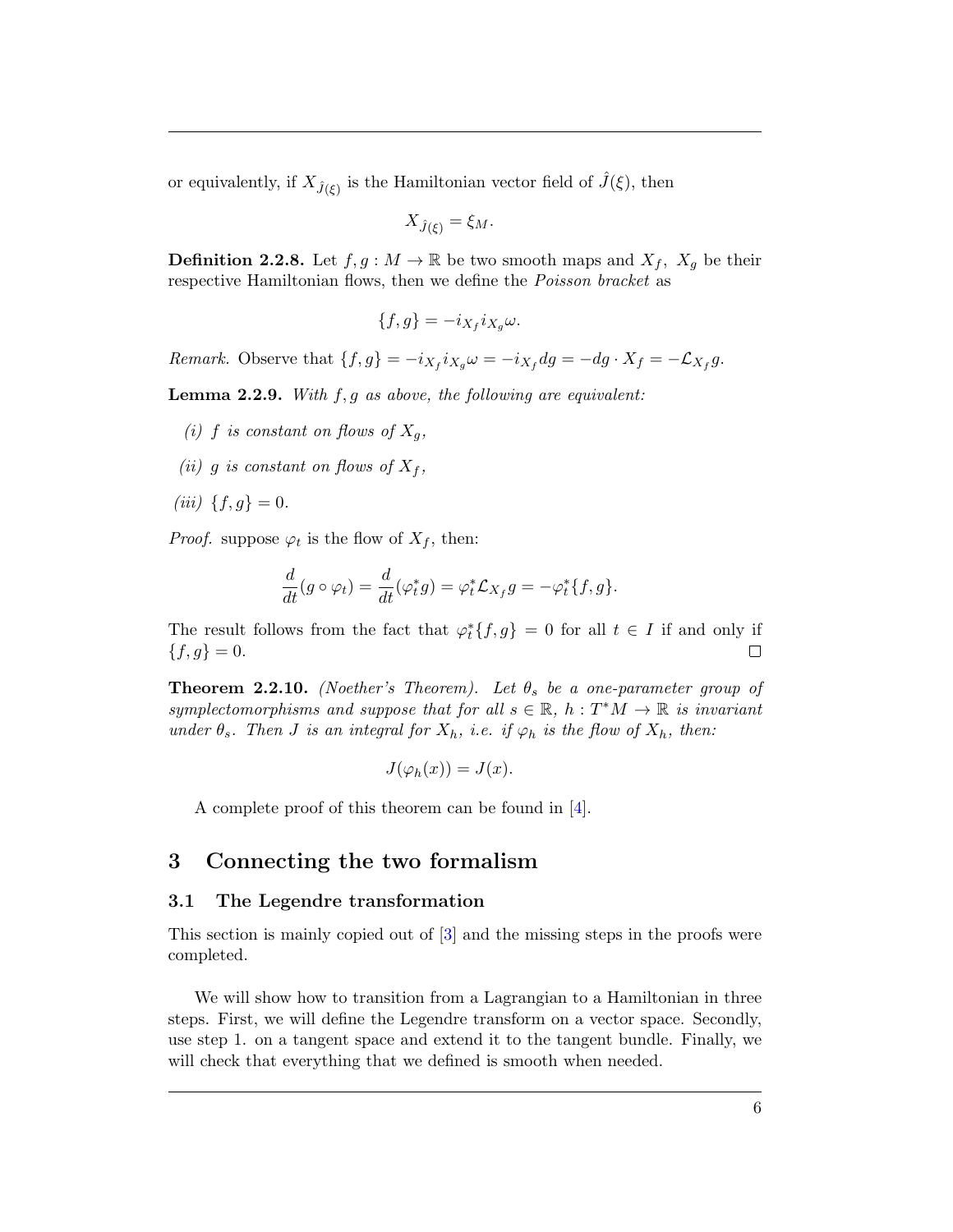or equivalently, if  $X_{\hat{J}(\xi)}$  is the Hamiltonian vector field of  $\hat{J}(\xi)$ , then

$$
X_{\hat{J}(\xi)} = \xi_M.
$$

**Definition 2.2.8.** Let  $f, g: M \to \mathbb{R}$  be two smooth maps and  $X_f$ ,  $X_g$  be their respective Hamiltonian flows, then we define the *Poisson bracket* as

$$
\{f,g\} = -i_{X_f} i_{X_g} \omega.
$$

Remark. Observe that  $\{f, g\} = -i_{X_f} i_{X_g} \omega = -i_{X_f} dg = -dg \cdot X_f = -\mathcal{L}_{X_f} g$ .

**Lemma 2.2.9.** With  $f, g$  as above, the following are equivalent:

- (i) f is constant on flows of  $X_q$ ,
- (ii) g is constant on flows of  $X_f$ ,
- (*iii*)  $\{f, g\} = 0$ .

*Proof.* suppose  $\varphi_t$  is the flow of  $X_f$ , then:

$$
\frac{d}{dt}(g \circ \varphi_t) = \frac{d}{dt}(\varphi_t^* g) = \varphi_t^* \mathcal{L}_{X_f} g = -\varphi_t^* \{f, g\}.
$$

The result follows from the fact that  $\varphi_t^*\{f, g\} = 0$  for all  $t \in I$  if and only if  ${f, g} = 0.$  $\Box$ 

<span id="page-6-2"></span>**Theorem 2.2.10.** (Noether's Theorem). Let  $\theta_s$  be a one-parameter group of symplectomorphisms and suppose that for all  $s \in \mathbb{R}$ ,  $h : T^*M \to \mathbb{R}$  is invariant under  $\theta_s$ . Then J is an integral for  $X_h$ , i.e. if  $\varphi_h$  is the flow of  $X_h$ , then:

$$
J(\varphi_h(x)) = J(x).
$$

A complete proof of this theorem can be found in [\[4\]](#page-39-2).

### <span id="page-6-0"></span>3 Connecting the two formalism

### <span id="page-6-1"></span>3.1 The Legendre transformation

This section is mainly copied out of [\[3\]](#page-39-3) and the missing steps in the proofs were completed.

We will show how to transition from a Lagrangian to a Hamiltonian in three steps. First, we will define the Legendre transform on a vector space. Secondly, use step 1. on a tangent space and extend it to the tangent bundle. Finally, we will check that everything that we defined is smooth when needed.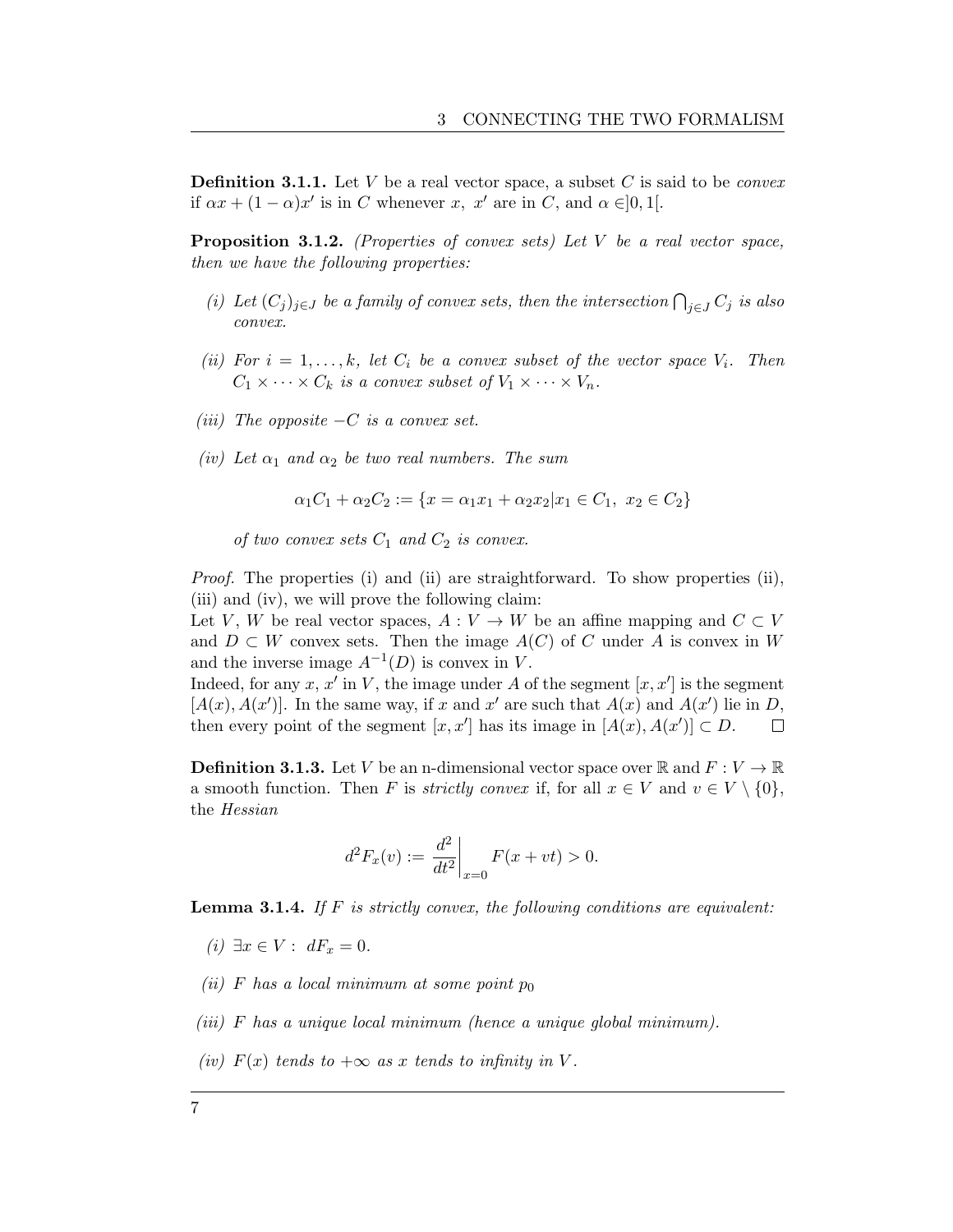**Definition 3.1.1.** Let V be a real vector space, a subset C is said to be *convex* if  $\alpha x + (1 - \alpha)x'$  is in C whenever x, x' are in C, and  $\alpha \in ]0,1[$ .

**Proposition 3.1.2.** (Properties of convex sets) Let V be a real vector space, then we have the following properties:

- (i) Let  $(C_j)_{j\in J}$  be a family of convex sets, then the intersection  $\bigcap_{j\in J} C_j$  is also convex.
- (ii) For  $i = 1, \ldots, k$ , let  $C_i$  be a convex subset of the vector space  $V_i$ . Then  $C_1 \times \cdots \times C_k$  is a convex subset of  $V_1 \times \cdots \times V_n$ .
- (iii) The opposite  $-C$  is a convex set.
- (iv) Let  $\alpha_1$  and  $\alpha_2$  be two real numbers. The sum

$$
\alpha_1 C_1 + \alpha_2 C_2 := \{ x = \alpha_1 x_1 + \alpha_2 x_2 | x_1 \in C_1, \ x_2 \in C_2 \}
$$

of two convex sets  $C_1$  and  $C_2$  is convex.

*Proof.* The properties (i) and (ii) are straightforward. To show properties (ii), (iii) and (iv), we will prove the following claim:

Let V, W be real vector spaces,  $A: V \to W$  be an affine mapping and  $C \subset V$ and  $D \subset W$  convex sets. Then the image  $A(C)$  of C under A is convex in W and the inverse image  $A^{-1}(D)$  is convex in V.

Indeed, for any x, x' in V, the image under A of the segment  $[x, x']$  is the segment  $[A(x), A(x')]$ . In the same way, if x and x' are such that  $A(x)$  and  $A(x')$  lie in D, then every point of the segment  $[x, x']$  has its image in  $[A(x), A(x')] \subset D$ .  $\Box$ 

**Definition 3.1.3.** Let V be an n-dimensional vector space over  $\mathbb{R}$  and  $F: V \to \mathbb{R}$ a smooth function. Then F is *strictly convex* if, for all  $x \in V$  and  $v \in V \setminus \{0\}$ , the Hessian

$$
d^{2}F_{x}(v) := \frac{d^{2}}{dt^{2}} \bigg|_{x=0} F(x + vt) > 0.
$$

**Lemma 3.1.4.** If  $F$  is strictly convex, the following conditions are equivalent:

- (i)  $\exists x \in V : dF_x = 0.$
- (ii) F has a local minimum at some point  $p_0$
- (iii) F has a unique local minimum (hence a unique global minimum).
- (iv)  $F(x)$  tends to  $+\infty$  as x tends to infinity in V.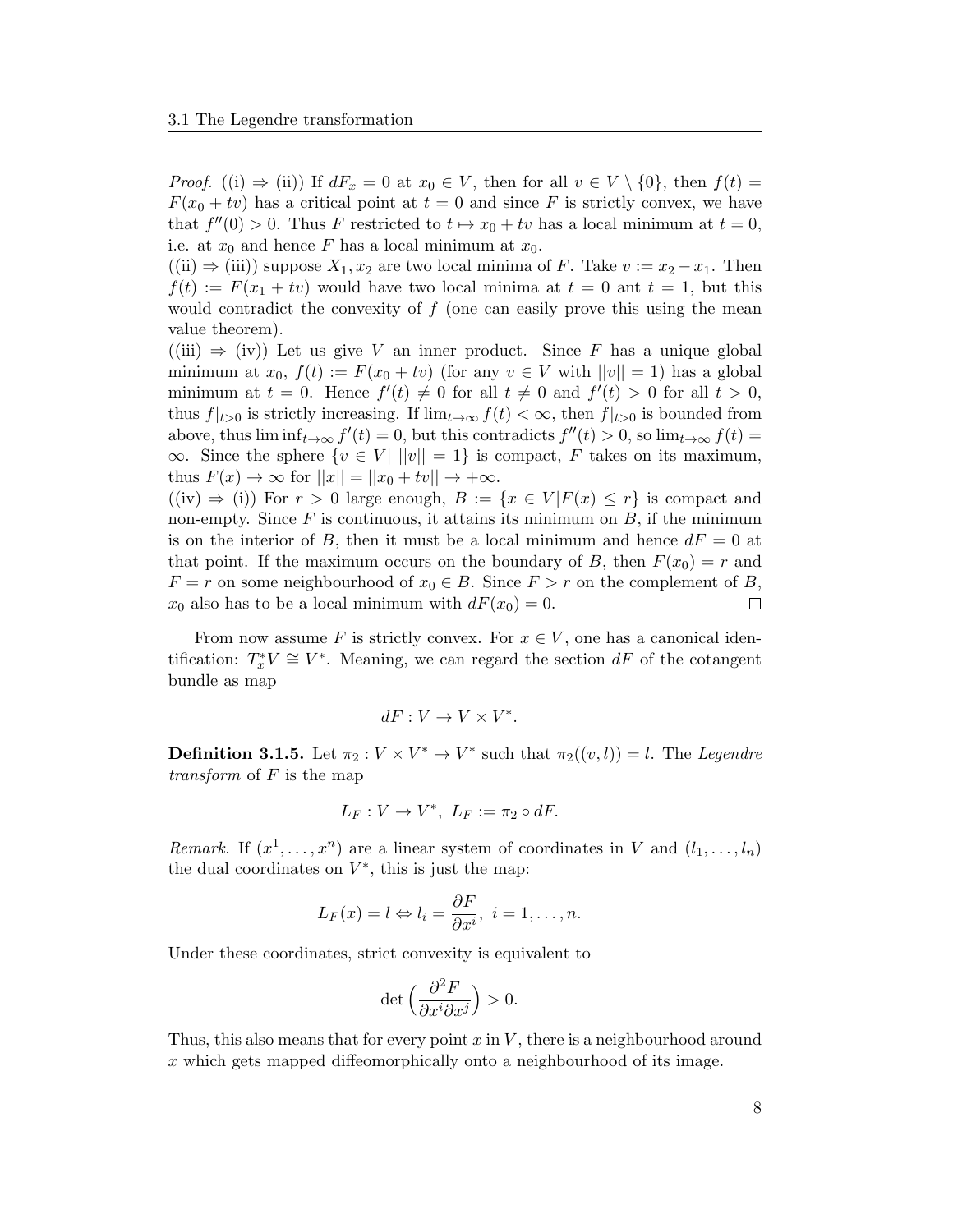*Proof.* ((i)  $\Rightarrow$  (ii)) If  $dF_x = 0$  at  $x_0 \in V$ , then for all  $v \in V \setminus \{0\}$ , then  $f(t) =$  $F(x_0 + tv)$  has a critical point at  $t = 0$  and since F is strictly convex, we have that  $f''(0) > 0$ . Thus F restricted to  $t \mapsto x_0 + tv$  has a local minimum at  $t = 0$ , i.e. at  $x_0$  and hence F has a local minimum at  $x_0$ .

 $((ii) \Rightarrow (iii))$  suppose  $X_1, x_2$  are two local minima of F. Take  $v := x_2 - x_1$ . Then  $f(t) := F(x_1 + tv)$  would have two local minima at  $t = 0$  ant  $t = 1$ , but this would contradict the convexity of  $f$  (one can easily prove this using the mean value theorem).

 $((iii) \Rightarrow (iv))$  Let us give V an inner product. Since F has a unique global minimum at  $x_0$ ,  $f(t) := F(x_0 + tv)$  (for any  $v \in V$  with  $||v|| = 1$ ) has a global minimum at  $t = 0$ . Hence  $f'(t) \neq 0$  for all  $t \neq 0$  and  $f'(t) > 0$  for all  $t > 0$ , thus  $f|_{t>0}$  is strictly increasing. If  $\lim_{t\to\infty} f(t) < \infty$ , then  $f|_{t>0}$  is bounded from above, thus  $\liminf_{t\to\infty} f'(t) = 0$ , but this contradicts  $f''(t) > 0$ , so  $\lim_{t\to\infty} f(t) =$  $\infty$ . Since the sphere  $\{v \in V \mid ||v|| = 1\}$  is compact, F takes on its maximum, thus  $F(x) \to \infty$  for  $||x|| = ||x_0 + tv|| \to +\infty$ .

 $((iv) \Rightarrow (i))$  For  $r > 0$  large enough,  $B := \{x \in V | F(x) \leq r\}$  is compact and non-empty. Since  $F$  is continuous, it attains its minimum on  $B$ , if the minimum is on the interior of B, then it must be a local minimum and hence  $dF = 0$  at that point. If the maximum occurs on the boundary of B, then  $F(x_0) = r$  and  $F = r$  on some neighbourhood of  $x_0 \in B$ . Since  $F > r$  on the complement of B,  $x_0$  also has to be a local minimum with  $dF(x_0) = 0$ .  $\Box$ 

From now assume F is strictly convex. For  $x \in V$ , one has a canonical identification:  $T_x^*V \cong V^*$ . Meaning, we can regard the section dF of the cotangent bundle as map

$$
dF: V \to V \times V^*.
$$

**Definition 3.1.5.** Let  $\pi_2: V \times V^* \to V^*$  such that  $\pi_2((v,l)) = l$ . The Legendre *transform* of  $F$  is the map

$$
L_F: V \to V^*, \ L_F := \pi_2 \circ dF.
$$

Remark. If  $(x^1, \ldots, x^n)$  are a linear system of coordinates in V and  $(l_1, \ldots, l_n)$ the dual coordinates on  $V^*$ , this is just the map:

$$
L_F(x) = l \Leftrightarrow l_i = \frac{\partial F}{\partial x^i}, i = 1, \ldots, n.
$$

Under these coordinates, strict convexity is equivalent to

$$
\det\left(\frac{\partial^2 F}{\partial x^i \partial x^j}\right) > 0.
$$

Thus, this also means that for every point  $x$  in  $V$ , there is a neighbourhood around  $x$  which gets mapped diffeomorphically onto a neighbourhood of its image.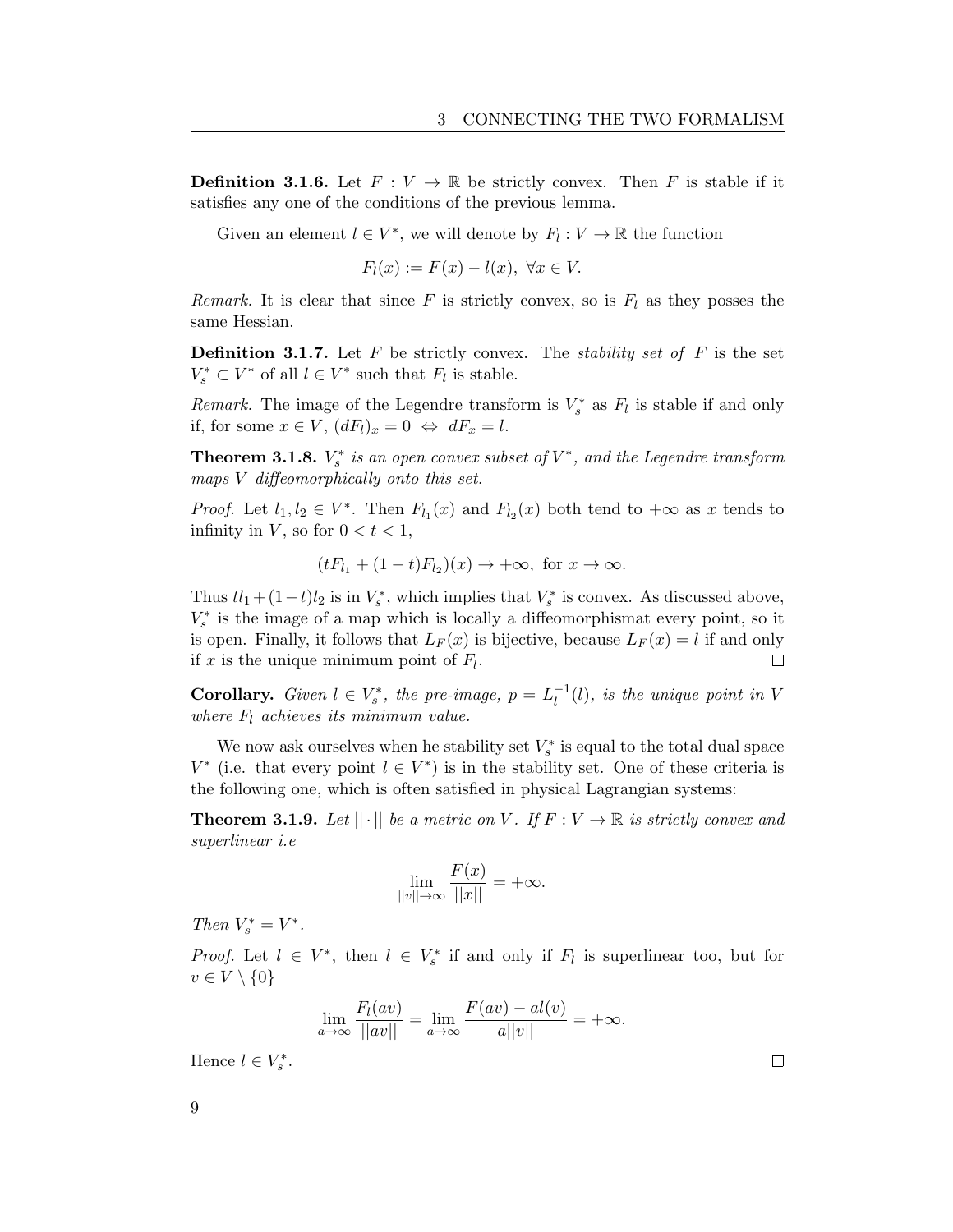**Definition 3.1.6.** Let  $F: V \to \mathbb{R}$  be strictly convex. Then F is stable if it satisfies any one of the conditions of the previous lemma.

Given an element  $l \in V^*$ , we will denote by  $F_l: V \to \mathbb{R}$  the function

 $F_l(x) := F(x) - l(x), \ \forall x \in V.$ 

Remark. It is clear that since F is strictly convex, so is  $F_l$  as they posses the same Hessian.

**Definition 3.1.7.** Let F be strictly convex. The *stability set of* F is the set  $V_s^* \subset V^*$  of all  $l \in V^*$  such that  $F_l$  is stable.

Remark. The image of the Legendre transform is  $V_s^*$  as  $F_l$  is stable if and only if, for some  $x \in V$ ,  $(dF_l)_x = 0 \Leftrightarrow dF_x = l$ .

**Theorem 3.1.8.**  $V_s^*$  is an open convex subset of  $V^*$ , and the Legendre transform maps V diffeomorphically onto this set.

*Proof.* Let  $l_1, l_2 \in V^*$ . Then  $F_{l_1}(x)$  and  $F_{l_2}(x)$  both tend to  $+\infty$  as x tends to infinity in V, so for  $0 < t < 1$ ,

$$
(tF_{l_1} + (1-t)F_{l_2})(x) \to +\infty, \text{ for } x \to \infty.
$$

Thus  $tl_1 + (1-t)l_2$  is in  $V_s^*$ , which implies that  $V_s^*$  is convex. As discussed above,  $V_s^*$  is the image of a map which is locally a diffeomorphismat every point, so it is open. Finally, it follows that  $L_F(x)$  is bijective, because  $L_F(x) = l$  if and only if x is the unique minimum point of  $F_l$ .  $\Box$ 

**Corollary.** Given  $l \in V_s^*$ , the pre-image,  $p = L_l^{-1}$  $\overline{l}^{1}(l)$ , is the unique point in V where  $F_l$  achieves its minimum value.

We now ask ourselves when he stability set  $V_s^*$  is equal to the total dual space  $V^*$  (i.e. that every point  $l \in V^*$ ) is in the stability set. One of these criteria is the following one, which is often satisfied in physical Lagrangian systems:

**Theorem 3.1.9.** Let  $||\cdot||$  be a metric on V. If  $F: V \to \mathbb{R}$  is strictly convex and superlinear i.e

$$
\lim_{\|v\| \to \infty} \frac{F(x)}{\|x\|} = +\infty.
$$

 $Then\ V_{s}^{*}=V^{*}.$ 

*Proof.* Let  $l \in V^*$ , then  $l \in V_s^*$  if and only if  $F_l$  is superlinear too, but for  $v \in V \setminus \{0\}$ 

$$
\lim_{a \to \infty} \frac{F_l(av)}{||av||} = \lim_{a \to \infty} \frac{F(av) - al(v)}{a||v||} = +\infty.
$$

Hence  $l \in V_s^*$ .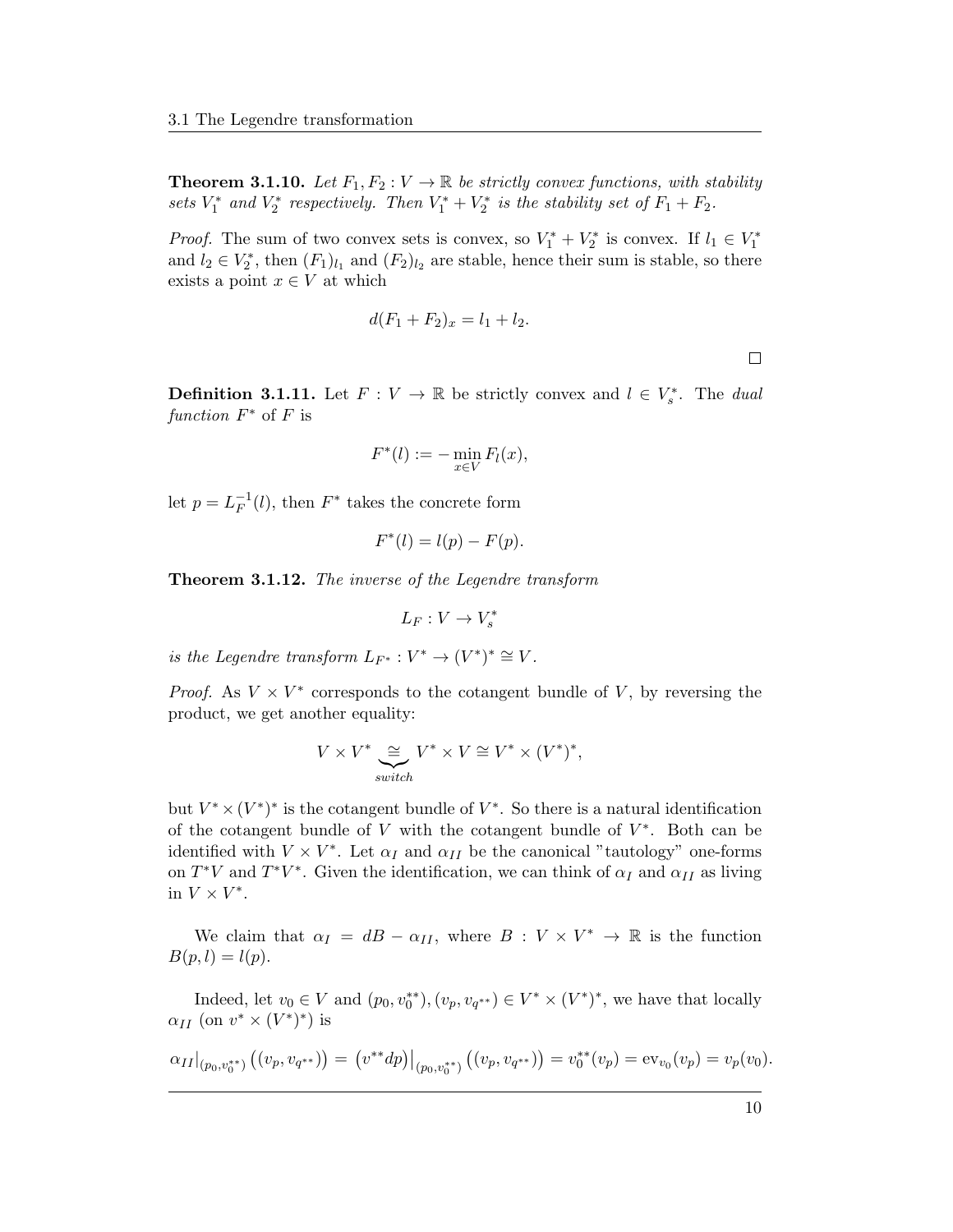**Theorem 3.1.10.** Let  $F_1, F_2 : V \to \mathbb{R}$  be strictly convex functions, with stability sets  $V_1^*$  and  $V_2^*$  respectively. Then  $V_1^* + V_2^*$  is the stability set of  $F_1 + F_2$ .

*Proof.* The sum of two convex sets is convex, so  $V_1^* + V_2^*$  is convex. If  $l_1 \in V_1^*$ and  $l_2 \in V_2^*$ , then  $(F_1)_{l_1}$  and  $(F_2)_{l_2}$  are stable, hence their sum is stable, so there exists a point  $x \in V$  at which

$$
d(F_1 + F_2)_x = l_1 + l_2.
$$

 $\Box$ 

**Definition 3.1.11.** Let  $F: V \to \mathbb{R}$  be strictly convex and  $l \in V_s^*$ . The *dual* function  $F^*$  of F is

$$
F^*(l) := -\min_{x \in V} F_l(x),
$$

let  $p = L_F^{-1}$  $_F^{-1}(l)$ , then  $F^*$  takes the concrete form

F

$$
F^*(l) = l(p) - F(p).
$$

**Theorem 3.1.12.** The inverse of the Legendre transform

$$
L_F:V\to V^*_s
$$

is the Legendre transform  $L_{F^*}: V^* \to (V^*)^* \cong V$ .

*Proof.* As  $V \times V^*$  corresponds to the cotangent bundle of V, by reversing the product, we get another equality:

$$
V \times V^* \underbrace{\cong}_{switch} V^* \times V \cong V^* \times (V^*)^*,
$$

but  $V^* \times (V^*)^*$  is the cotangent bundle of  $V^*$ . So there is a natural identification of the cotangent bundle of  $V$  with the cotangent bundle of  $V^*$ . Both can be identified with  $V \times V^*$ . Let  $\alpha_I$  and  $\alpha_{II}$  be the canonical "tautology" one-forms on  $T^*V$  and  $T^*V^*$ . Given the identification, we can think of  $\alpha_I$  and  $\alpha_{II}$  as living in  $V \times V^*$ .

We claim that  $\alpha_I = dB - \alpha_{II}$ , where  $B: V \times V^* \to \mathbb{R}$  is the function  $B(p, l) = l(p).$ 

Indeed, let  $v_0 \in V$  and  $(p_0, v_0^{**})$ ,  $(v_p, v_{q^{**}}) \in V^* \times (V^*)^*$ , we have that locally  $\alpha_{II}$  (on  $v^* \times (V^*)^*$ ) is

$$
\alpha_{II}|_{(p_0, v_0^{**})} ((v_p, v_{q^{**}})) = (v^{**} dp)|_{(p_0, v_0^{**})} ((v_p, v_{q^{**}})) = v_0^{**}(v_p) = \mathrm{ev}_{v_0}(v_p) = v_p(v_0).
$$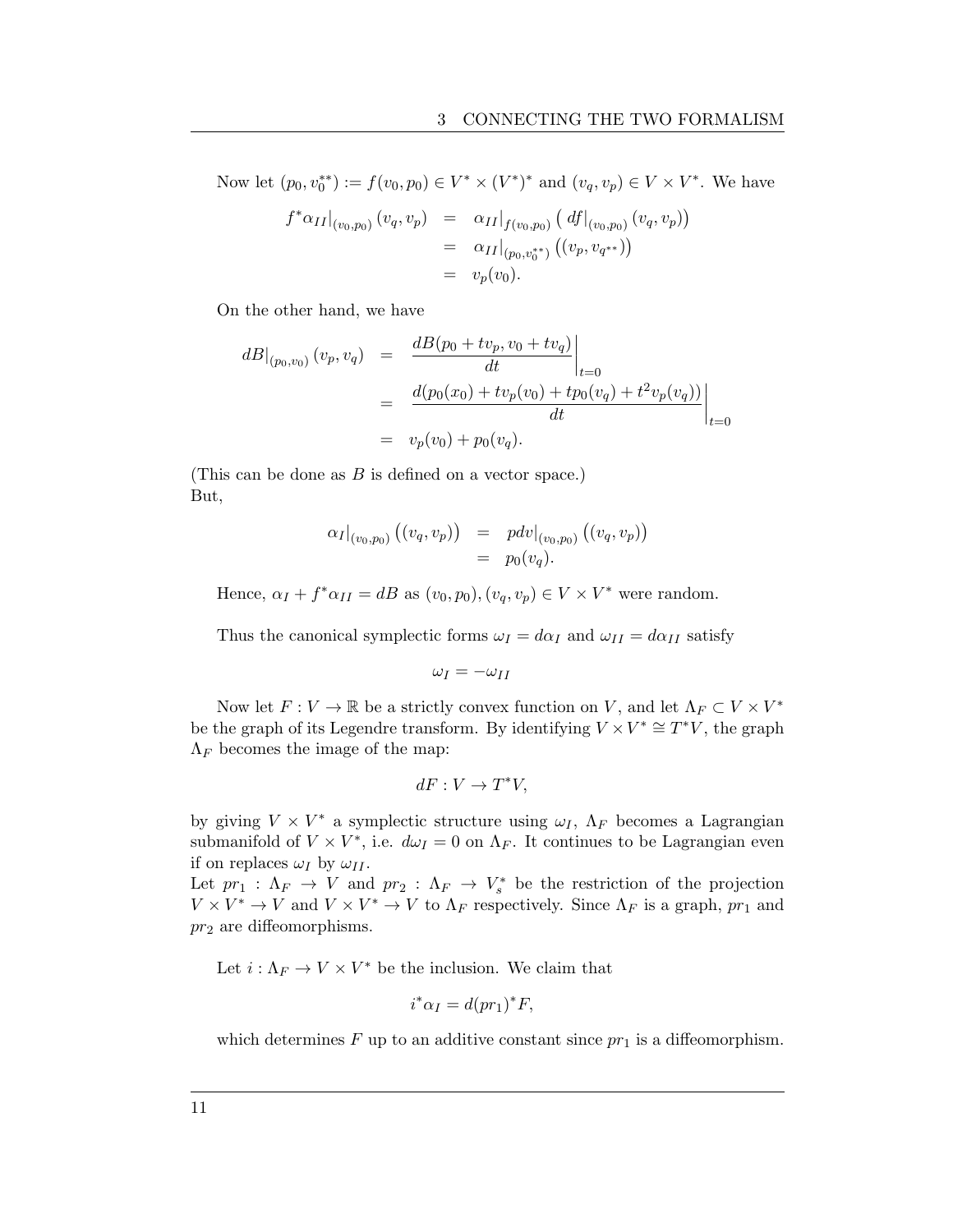Now let  $(p_0, v_0^{**}) := f(v_0, p_0) \in V^* \times (V^*)^*$  and  $(v_q, v_p) \in V \times V^*$ . We have

$$
f^*\alpha_{II}|_{(v_0,p_0)} (v_q, v_p) = \alpha_{II}|_{f(v_0,p_0)} (df|_{(v_0,p_0)} (v_q, v_p))
$$
  
=  $\alpha_{II}|_{(p_0,v_0^{**})} ((v_p, v_{q^{**}}))$   
=  $v_p(v_0).$ 

On the other hand, we have

$$
dB|_{(p_0, v_0)} (v_p, v_q) = \frac{dB(p_0 + tv_p, v_0 + tv_q)}{dt} \Big|_{t=0}
$$
  
= 
$$
\frac{d(p_0(x_0) + tv_p(v_0) + tp_0(v_q) + t^2v_p(v_q))}{dt} \Big|_{t=0}
$$
  
= 
$$
v_p(v_0) + p_0(v_q).
$$

(This can be done as  $B$  is defined on a vector space.) But,

$$
\alpha_{I}|_{(v_0,p_0)} ((v_q,v_p)) = pdv|_{(v_0,p_0)} ((v_q,v_p))
$$
  
=  $p_0(v_q)$ .

Hence,  $\alpha_I + f^* \alpha_{II} = dB$  as  $(v_0, p_0), (v_q, v_p) \in V \times V^*$  were random.

Thus the canonical symplectic forms  $\omega_I = d\alpha_I$  and  $\omega_{II} = d\alpha_{II}$  satisfy

$$
\omega_I = -\omega_{II}
$$

Now let  $F: V \to \mathbb{R}$  be a strictly convex function on V, and let  $\Lambda_F \subset V \times V^*$ be the graph of its Legendre transform. By identifying  $V \times V^* \cong T^*V$ , the graph  $\Lambda_F$  becomes the image of the map:

$$
dF: V \to T^*V,
$$

by giving  $V \times V^*$  a symplectic structure using  $\omega_I$ ,  $\Lambda_F$  becomes a Lagrangian submanifold of  $V \times V^*$ , i.e.  $d\omega_I = 0$  on  $\Lambda_F$ . It continues to be Lagrangian even if on replaces  $\omega_I$  by  $\omega_{II}$ .

Let  $pr_1$ :  $\Lambda_F \to V$  and  $pr_2$ :  $\Lambda_F \to V_s^*$  be the restriction of the projection  $V \times V^* \to V$  and  $V \times V^* \to V$  to  $\Lambda_F$  respectively. Since  $\Lambda_F$  is a graph,  $pr_1$  and  $pr_2$  are diffeomorphisms.

Let  $i: \Lambda_F \to V \times V^*$  be the inclusion. We claim that

$$
i^*\alpha_I = d(pr_1)^*F,
$$

which determines  $F$  up to an additive constant since  $pr_1$  is a diffeomorphism.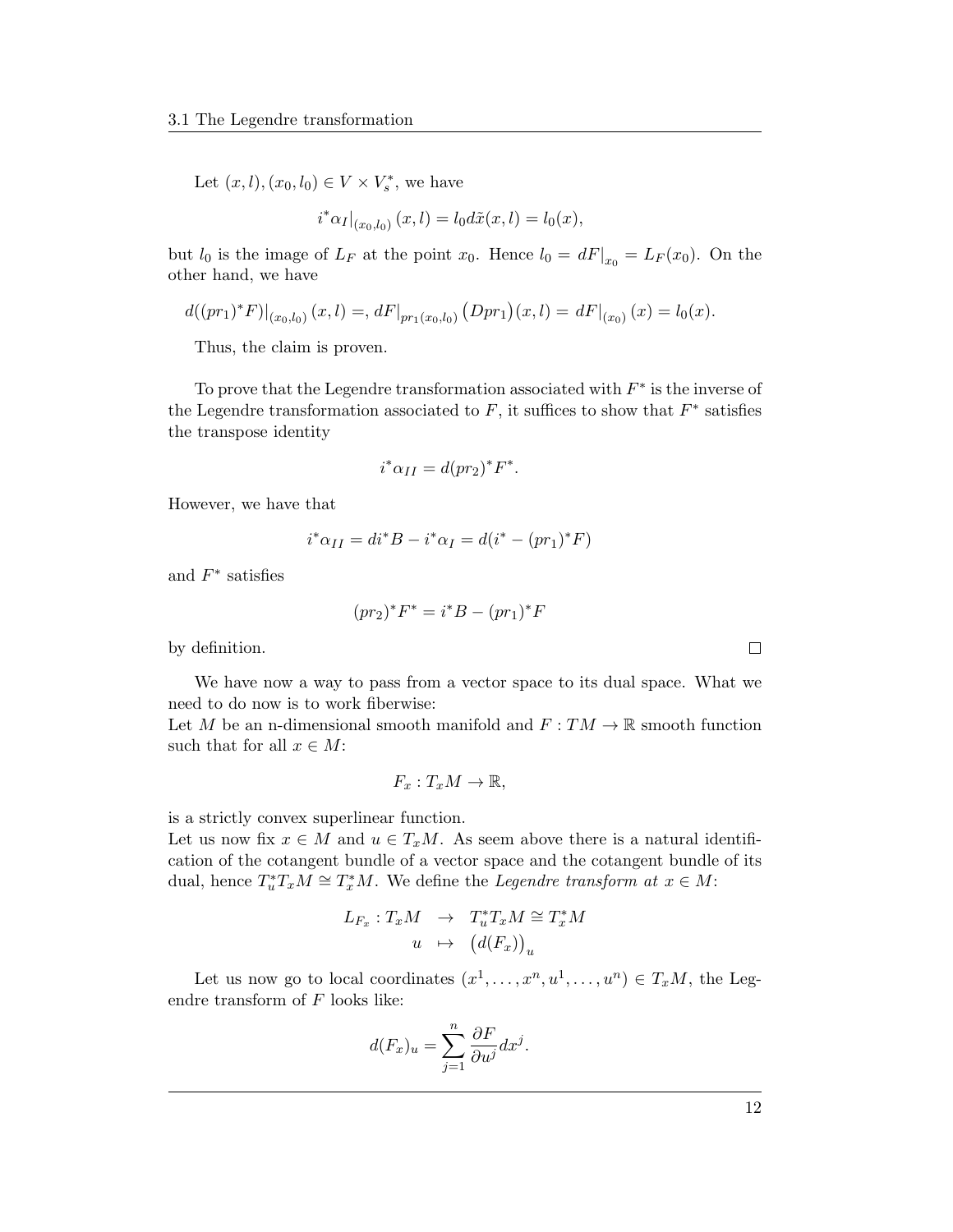Let  $(x, l), (x_0, l_0) \in V \times V_s^*$ , we have

$$
i^* \alpha_I|_{(x_0,l_0)} (x,l) = l_0 d\tilde{x}(x,l) = l_0(x),
$$

but  $l_0$  is the image of  $L_F$  at the point  $x_0$ . Hence  $l_0 = dF|_{x_0} = L_F(x_0)$ . On the other hand, we have

$$
d((pr_1)^*F)|_{(x_0,l_0)} (x,l) = dF|_{pr_1(x_0,l_0)} (Dpr_1)(x,l) = dF|_{(x_0)} (x) = l_0(x).
$$

Thus, the claim is proven.

To prove that the Legendre transformation associated with  $F^*$  is the inverse of the Legendre transformation associated to  $F$ , it suffices to show that  $F^*$  satisfies the transpose identity

$$
i^*\alpha_{II} = d(pr_2)^*F^*.
$$

However, we have that

$$
i^* \alpha_{II} = di^* B - i^* \alpha_I = d(i^* - (pr_1)^* F)
$$

and  $F^*$  satisfies

$$
(pr_2)^* F^* = i^* B - (pr_1)^* F
$$

by definition.

We have now a way to pass from a vector space to its dual space. What we need to do now is to work fiberwise:

Let M be an n-dimensional smooth manifold and  $F: TM \to \mathbb{R}$  smooth function such that for all  $x \in M$ :

$$
F_x: T_xM \to \mathbb{R},
$$

is a strictly convex superlinear function.

Let us now fix  $x \in M$  and  $u \in T_xM$ . As seem above there is a natural identification of the cotangent bundle of a vector space and the cotangent bundle of its dual, hence  $T^*_u T_x M \cong T^*_x M$ . We define the *Legendre transform* at  $x \in M$ :

$$
L_{F_x} : T_x M \rightarrow T_u^* T_x M \cong T_x^* M
$$
  

$$
u \mapsto (d(F_x))_u
$$

Let us now go to local coordinates  $(x^1, \ldots, x^n, u^1, \ldots, u^n) \in T_xM$ , the Legendre transform of  $F$  looks like:

$$
d(F_x)_u = \sum_{j=1}^n \frac{\partial F}{\partial u^j} dx^j.
$$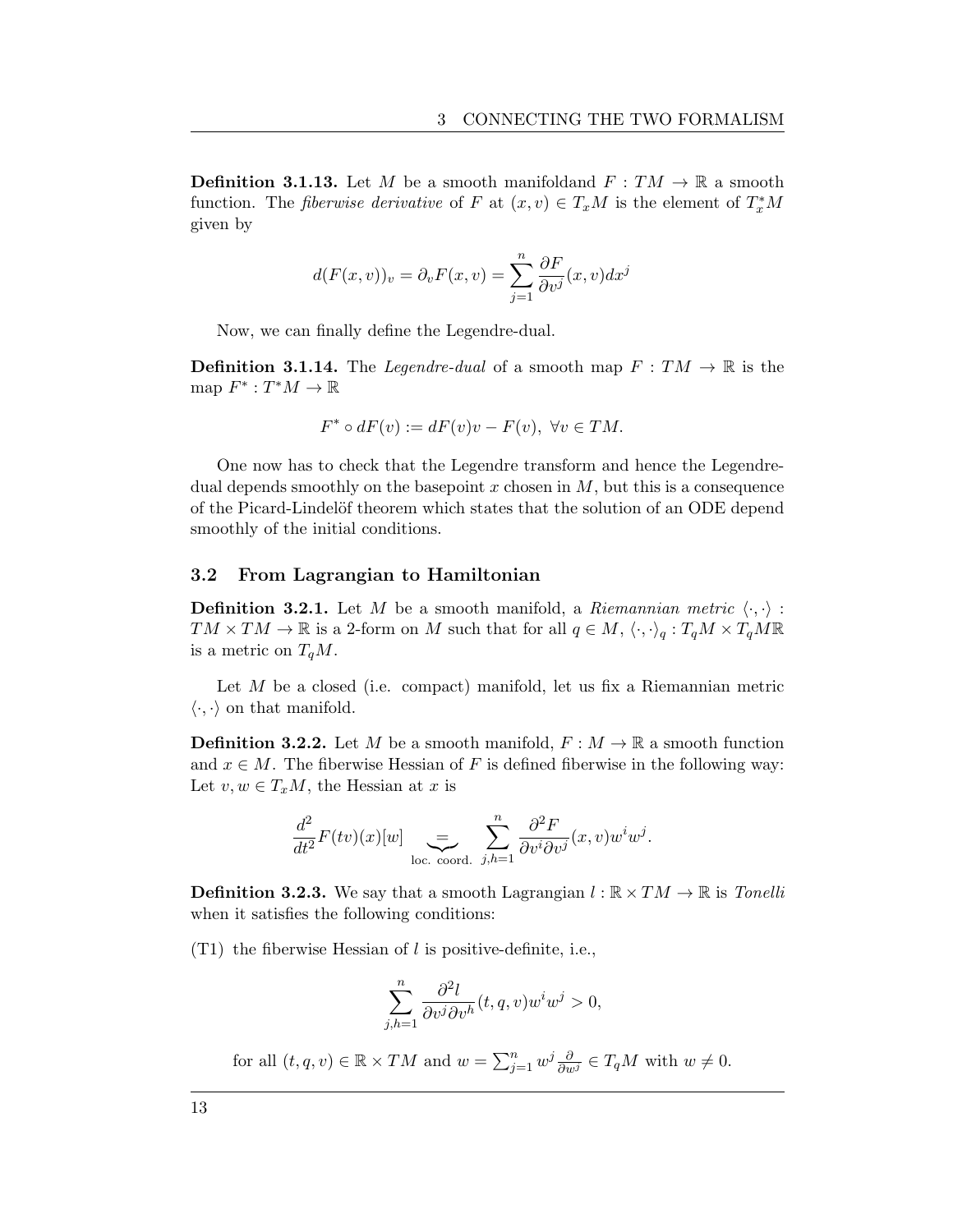**Definition 3.1.13.** Let M be a smooth manifoldand  $F: TM \to \mathbb{R}$  a smooth function. The *fiberwise derivative* of F at  $(x, v) \in T_xM$  is the element of  $T_x^*M$ given by

$$
d(F(x, v))_v = \partial_v F(x, v) = \sum_{j=1}^n \frac{\partial F}{\partial v^j}(x, v) dx^j
$$

Now, we can finally define the Legendre-dual.

**Definition 3.1.14.** The Legendre-dual of a smooth map  $F: TM \to \mathbb{R}$  is the map  $F^*: T^*M \to \mathbb{R}$ 

$$
F^* \circ dF(v) := dF(v)v - F(v), \ \forall v \in TM.
$$

One now has to check that the Legendre transform and hence the Legendredual depends smoothly on the basepoint  $x$  chosen in  $M$ , but this is a consequence of the Picard-Lindelöf theorem which states that the solution of an ODE depend smoothly of the initial conditions.

### <span id="page-13-0"></span>3.2 From Lagrangian to Hamiltonian

**Definition 3.2.1.** Let M be a smooth manifold, a Riemannian metric  $\langle \cdot, \cdot \rangle$ :  $TM \times TM \to \mathbb{R}$  is a 2-form on M such that for all  $q \in M, \langle \cdot, \cdot \rangle_q : T_qM \times T_qM\mathbb{R}$ is a metric on  $T_qM$ .

Let  $M$  be a closed (i.e. compact) manifold, let us fix a Riemannian metric  $\langle \cdot, \cdot \rangle$  on that manifold.

**Definition 3.2.2.** Let M be a smooth manifold,  $F : M \to \mathbb{R}$  a smooth function and  $x \in M$ . The fiberwise Hessian of F is defined fiberwise in the following way: Let  $v, w \in T_xM$ , the Hessian at x is

$$
\frac{d^2}{dt^2}F(tv)(x)[w] \sum_{\text{loc. coord. } j, h=1} \frac{\partial^2 F}{\partial v^i \partial v^j}(x, v) w^i w^j.
$$

**Definition 3.2.3.** We say that a smooth Lagrangian  $l : \mathbb{R} \times TM \to \mathbb{R}$  is Tonelli when it satisfies the following conditions:

 $(T1)$  the fiberwise Hessian of l is positive-definite, i.e.,

$$
\sum_{j,h=1}^n \frac{\partial^2 l}{\partial v^j \partial v^h}(t,q,v) w^i w^j > 0,
$$

for all  $(t, q, v) \in \mathbb{R} \times TM$  and  $w = \sum_{j=1}^{n} w^j \frac{\partial}{\partial w^j} \in T_qM$  with  $w \neq 0$ .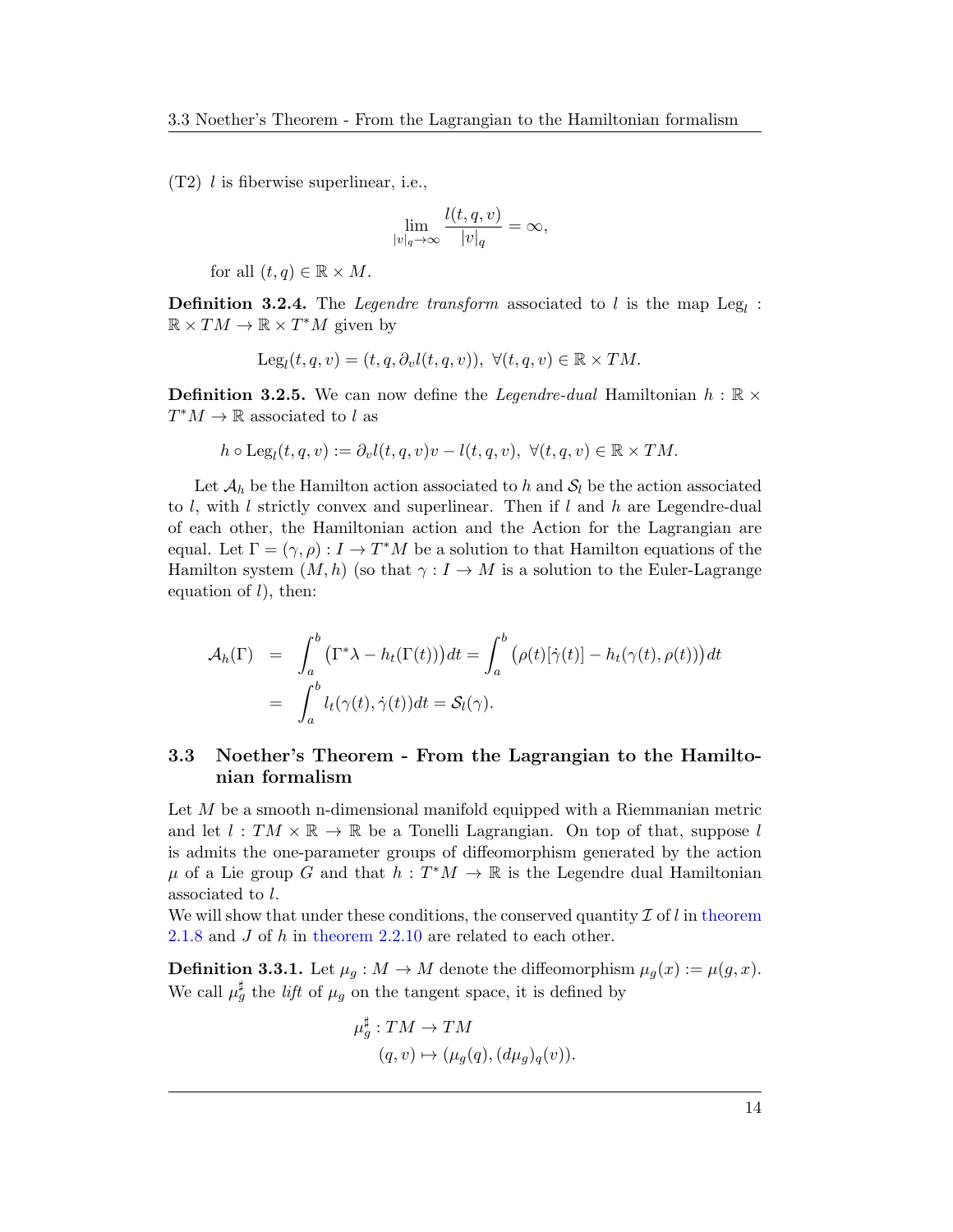$(T2)$  *l* is fiberwise superlinear, i.e.,

$$
\lim_{|v|_q \to \infty} \frac{l(t, q, v)}{|v|_q} = \infty,
$$

for all  $(t, q) \in \mathbb{R} \times M$ .

**Definition 3.2.4.** The *Legendre transform* associated to l is the map Leg<sub>l</sub>:  $\mathbb{R} \times TM \to \mathbb{R} \times T^*M$  given by

$$
Leg_l(t,q,v)=(t,q,\partial_v l(t,q,v)),\ \forall (t,q,v)\in\mathbb{R}\times TM.
$$

**Definition 3.2.5.** We can now define the *Legendre-dual* Hamiltonian  $h : \mathbb{R} \times$  $T^*M \to \mathbb{R}$  associated to l as

$$
h \circ \mathrm{Leg}_l(t,q,v) := \partial_v l(t,q,v)v - l(t,q,v), \ \forall (t,q,v) \in \mathbb{R} \times TM.
$$

Let  $\mathcal{A}_h$  be the Hamilton action associated to h and  $\mathcal{S}_l$  be the action associated to l, with l strictly convex and superlinear. Then if l and h are Legendre-dual of each other, the Hamiltonian action and the Action for the Lagrangian are equal. Let  $\Gamma = (\gamma, \rho) : I \to T^*M$  be a solution to that Hamilton equations of the Hamilton system  $(M, h)$  (so that  $\gamma : I \to M$  is a solution to the Euler-Lagrange equation of  $l$ ), then:

$$
\mathcal{A}_h(\Gamma) = \int_a^b (\Gamma^* \lambda - h_t(\Gamma(t))) dt = \int_a^b (\rho(t)[\dot{\gamma}(t)] - h_t(\gamma(t), \rho(t))) dt
$$
  
= 
$$
\int_a^b l_t(\gamma(t), \dot{\gamma}(t)) dt = \mathcal{S}_l(\gamma).
$$

### <span id="page-14-0"></span>3.3 Noether's Theorem - From the Lagrangian to the Hamiltonian formalism

Let M be a smooth n-dimensional manifold equipped with a Riemmanian metric and let  $l : TM \times \mathbb{R} \to \mathbb{R}$  be a Tonelli Lagrangian. On top of that, suppose l is admits the one-parameter groups of diffeomorphism generated by the action  $\mu$  of a Lie group G and that  $h: T^*M \to \mathbb{R}$  is the Legendre dual Hamiltonian associated to l.

We will show that under these conditions, the conserved quantity  $\mathcal I$  of l in [theorem](#page-3-2) [2.1.8](#page-3-2) and J of h in [theorem 2.2.10](#page-6-2) are related to each other.

**Definition 3.3.1.** Let  $\mu_g : M \to M$  denote the diffeomorphism  $\mu_g(x) := \mu(g, x)$ . We call  $\mu_g^{\sharp}$  the *lift* of  $\mu_g$  on the tangent space, it is defined by

$$
\mu_g^{\sharp} : TM \to TM
$$
  

$$
(q, v) \mapsto (\mu_g(q), (d\mu_g)_q(v)).
$$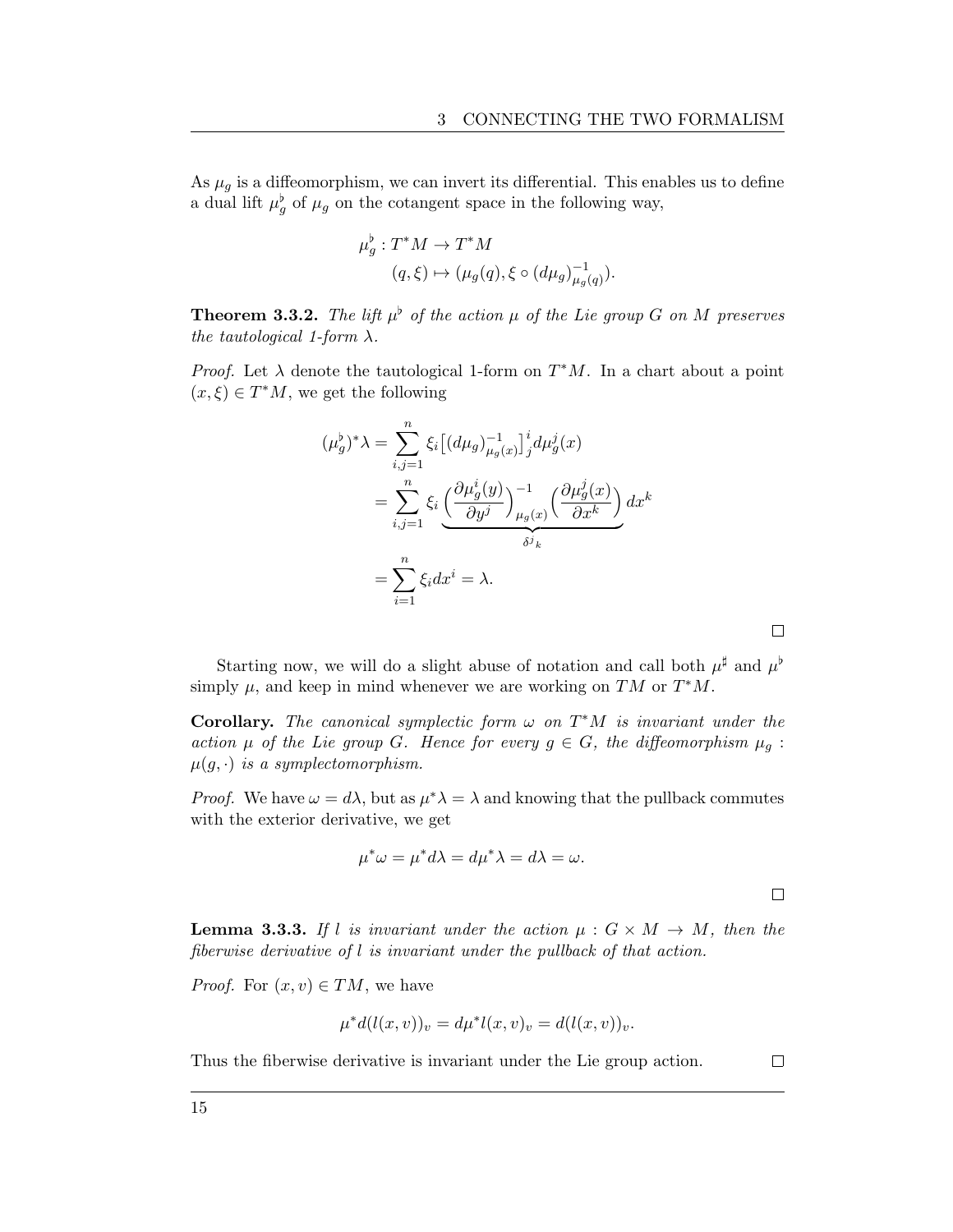As  $\mu_g$  is a diffeomorphism, we can invert its differential. This enables us to define a dual lift  $\mu_g^{\flat}$  of  $\mu_g$  on the cotangent space in the following way,

$$
\mu_g^{\flat} : T^*M \to T^*M
$$
  

$$
(q,\xi) \mapsto (\mu_g(q), \xi \circ (d\mu_g)_{\mu_g(q)}^{-1}).
$$

**Theorem 3.3.2.** The lift  $\mu^{\flat}$  of the action  $\mu$  of the Lie group G on M preserves the tautological 1-form  $\lambda$ .

*Proof.* Let  $\lambda$  denote the tautological 1-form on  $T^*M$ . In a chart about a point  $(x,\xi) \in T^*M$ , we get the following

$$
(\mu_g^{\flat})^* \lambda = \sum_{i,j=1}^n \xi_i \left[ (d\mu_g)_{\mu_g(x)}^{-1} \right]_j^i d\mu_g^j(x)
$$
  
= 
$$
\sum_{i,j=1}^n \xi_i \underbrace{\left( \frac{\partial \mu_g^i(y)}{\partial y^j} \right)_{\mu_g(x)}^{-1}}_{\delta^j_k} \underbrace{\left( \frac{\partial \mu_g^j(x)}{\partial x^k} \right)}_{\delta^j_k} dx^k
$$
  
= 
$$
\sum_{i=1}^n \xi_i dx^i = \lambda.
$$

Starting now, we will do a slight abuse of notation and call both  $\mu^{\sharp}$  and  $\mu^{\flat}$ simply  $\mu$ , and keep in mind whenever we are working on TM or  $T^*M$ .

**Corollary.** The canonical symplectic form  $\omega$  on  $T^*M$  is invariant under the action  $\mu$  of the Lie group G. Hence for every  $g \in G$ , the diffeomorphism  $\mu_q$ :  $\mu(q, \cdot)$  is a symplectomorphism.

*Proof.* We have  $\omega = d\lambda$ , but as  $\mu^* \lambda = \lambda$  and knowing that the pullback commutes with the exterior derivative, we get

$$
\mu^*\omega = \mu^*d\lambda = d\mu^*\lambda = d\lambda = \omega.
$$

**Lemma 3.3.3.** If l is invariant under the action  $\mu: G \times M \rightarrow M$ , then the fiberwise derivative of l is invariant under the pullback of that action.

*Proof.* For  $(x, v) \in TM$ , we have

$$
\mu^* d(l(x,v))_v = d\mu^* l(x,v)_v = d(l(x,v))_v.
$$

Thus the fiberwise derivative is invariant under the Lie group action.

 $\Box$ 

 $\Box$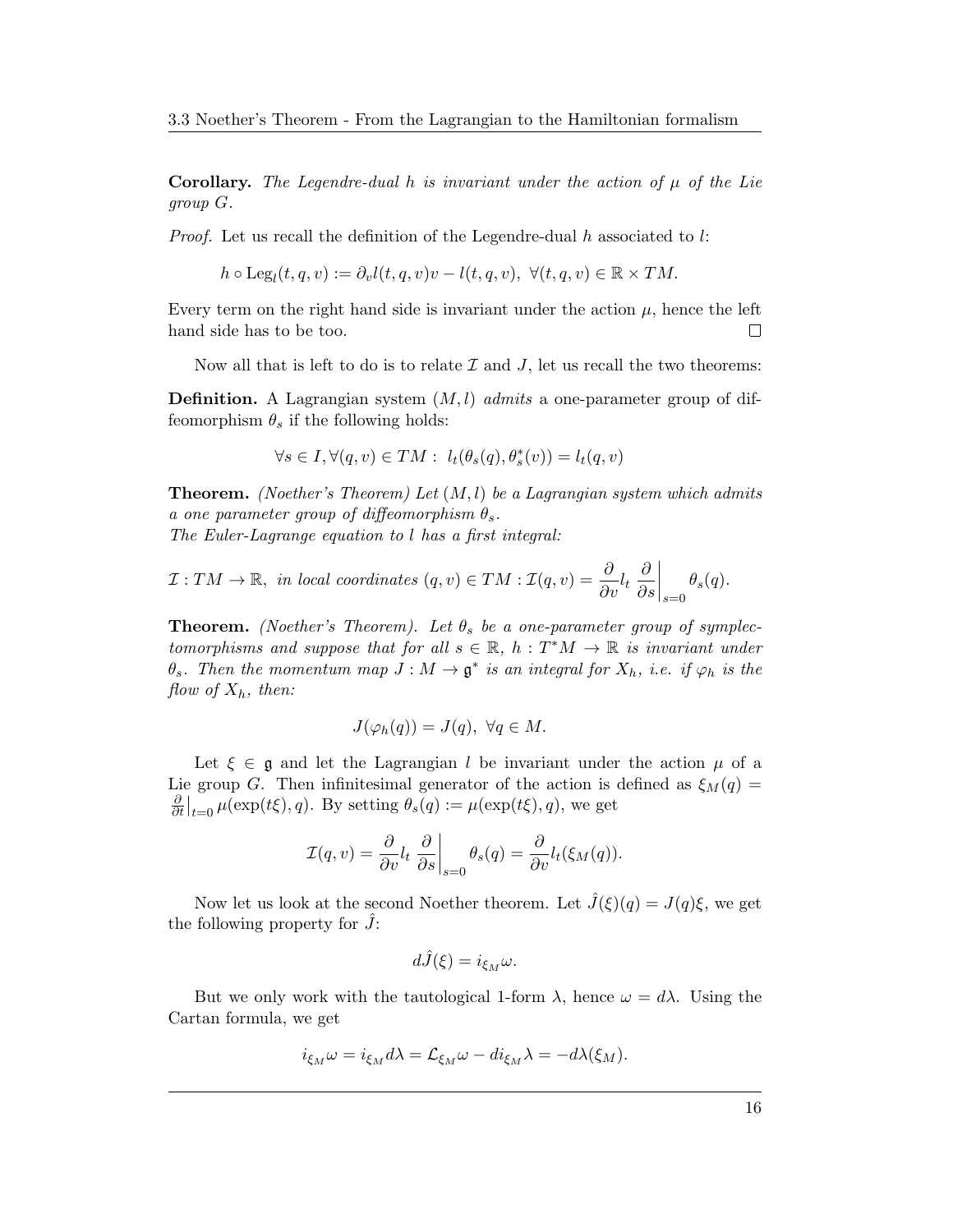**Corollary.** The Legendre-dual h is invariant under the action of  $\mu$  of the Lie group G.

*Proof.* Let us recall the definition of the Legendre-dual h associated to l:

$$
h \circ \mathrm{Leg}_l(t,q,v) := \partial_v l(t,q,v)v - l(t,q,v), \ \forall (t,q,v) \in \mathbb{R} \times TM.
$$

Every term on the right hand side is invariant under the action  $\mu$ , hence the left hand side has to be too.  $\Box$ 

Now all that is left to do is to relate  $\mathcal I$  and  $J$ , let us recall the two theorems:

**Definition.** A Lagrangian system  $(M, l)$  admits a one-parameter group of diffeomorphism  $\theta_s$  if the following holds:

$$
\forall s \in I, \forall (q,v) \in TM: \ l_t(\theta_s(q),\theta_s^*(v)) = l_t(q,v)
$$

**Theorem.** (Noether's Theorem) Let  $(M, l)$  be a Lagrangian system which admits a one parameter group of diffeomorphism  $\theta_s$ .

The Euler-Lagrange equation to l has a first integral:

$$
\mathcal{I}: TM \to \mathbb{R}, \text{ in local coordinates } (q, v) \in TM: \mathcal{I}(q, v) = \frac{\partial}{\partial v} l_t \left. \frac{\partial}{\partial s} \right|_{s=0} \theta_s(q).
$$

**Theorem.** (Noether's Theorem). Let  $\theta_s$  be a one-parameter group of symplectomorphisms and suppose that for all  $s \in \mathbb{R}$ ,  $h : T^*M \to \mathbb{R}$  is invariant under  $\theta_s$ . Then the momentum map  $J : M \to \mathfrak{g}^*$  is an integral for  $X_h$ , i.e. if  $\varphi_h$  is the flow of  $X_h$ , then:

$$
J(\varphi_h(q)) = J(q), \ \forall q \in M.
$$

Let  $\xi \in \mathfrak{g}$  and let the Lagrangian l be invariant under the action  $\mu$  of a Lie group G. Then infinitesimal generator of the action is defined as  $\xi_M(q)$  = ∂  $\frac{\partial}{\partial t}\Big|_{t=0} \mu(\exp(t\xi), q)$ . By setting  $\theta_s(q) := \mu(\exp(t\xi), q)$ , we get

$$
\mathcal{I}(q,v) = \frac{\partial}{\partial v} l_t \left. \frac{\partial}{\partial s} \right|_{s=0} \theta_s(q) = \frac{\partial}{\partial v} l_t(\xi_M(q)).
$$

Now let us look at the second Noether theorem. Let  $\hat{J}(\xi)(q) = J(q)\xi$ , we get the following property for  $J$ :

$$
d\hat{J}(\xi) = i_{\xi_M}\omega.
$$

But we only work with the tautological 1-form  $\lambda$ , hence  $\omega = d\lambda$ . Using the Cartan formula, we get

$$
i_{\xi_M}\omega = i_{\xi_M}d\lambda = \mathcal{L}_{\xi_M}\omega - di_{\xi_M}\lambda = -d\lambda(\xi_M).
$$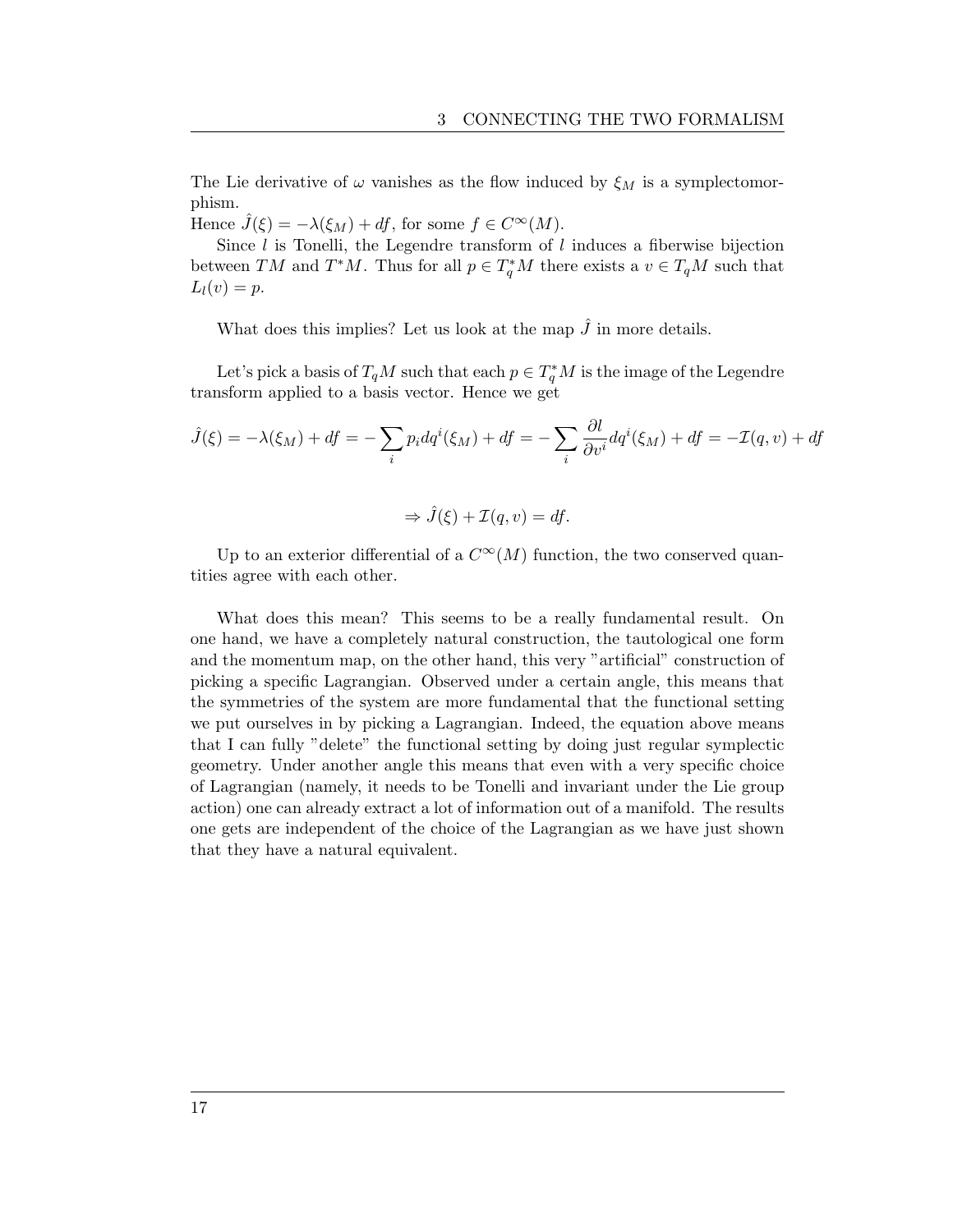The Lie derivative of  $\omega$  vanishes as the flow induced by  $\xi_M$  is a symplectomorphism.

Hence  $J(\xi) = -\lambda(\xi_M) + df$ , for some  $f \in C^{\infty}(M)$ .

Since  $l$  is Tonelli, the Legendre transform of  $l$  induces a fiberwise bijection between TM and  $T^*M$ . Thus for all  $p \in T_q^*M$  there exists a  $v \in T_qM$  such that  $L_l(v) = p.$ 

What does this implies? Let us look at the map  $\ddot{J}$  in more details.

Let's pick a basis of  $T_qM$  such that each  $p \in T_q^*M$  is the image of the Legendre transform applied to a basis vector. Hence we get

$$
\hat{J}(\xi) = -\lambda(\xi_M) + df = -\sum_i p_i dq^i(\xi_M) + df = -\sum_i \frac{\partial l}{\partial v^i} dq^i(\xi_M) + df = -\mathcal{I}(q, v) + df
$$

$$
\Rightarrow \hat{J}(\xi) + \mathcal{I}(q, v) = df.
$$

Up to an exterior differential of a  $C^{\infty}(M)$  function, the two conserved quantities agree with each other.

What does this mean? This seems to be a really fundamental result. On one hand, we have a completely natural construction, the tautological one form and the momentum map, on the other hand, this very "artificial" construction of picking a specific Lagrangian. Observed under a certain angle, this means that the symmetries of the system are more fundamental that the functional setting we put ourselves in by picking a Lagrangian. Indeed, the equation above means that I can fully "delete" the functional setting by doing just regular symplectic geometry. Under another angle this means that even with a very specific choice of Lagrangian (namely, it needs to be Tonelli and invariant under the Lie group action) one can already extract a lot of information out of a manifold. The results one gets are independent of the choice of the Lagrangian as we have just shown that they have a natural equivalent.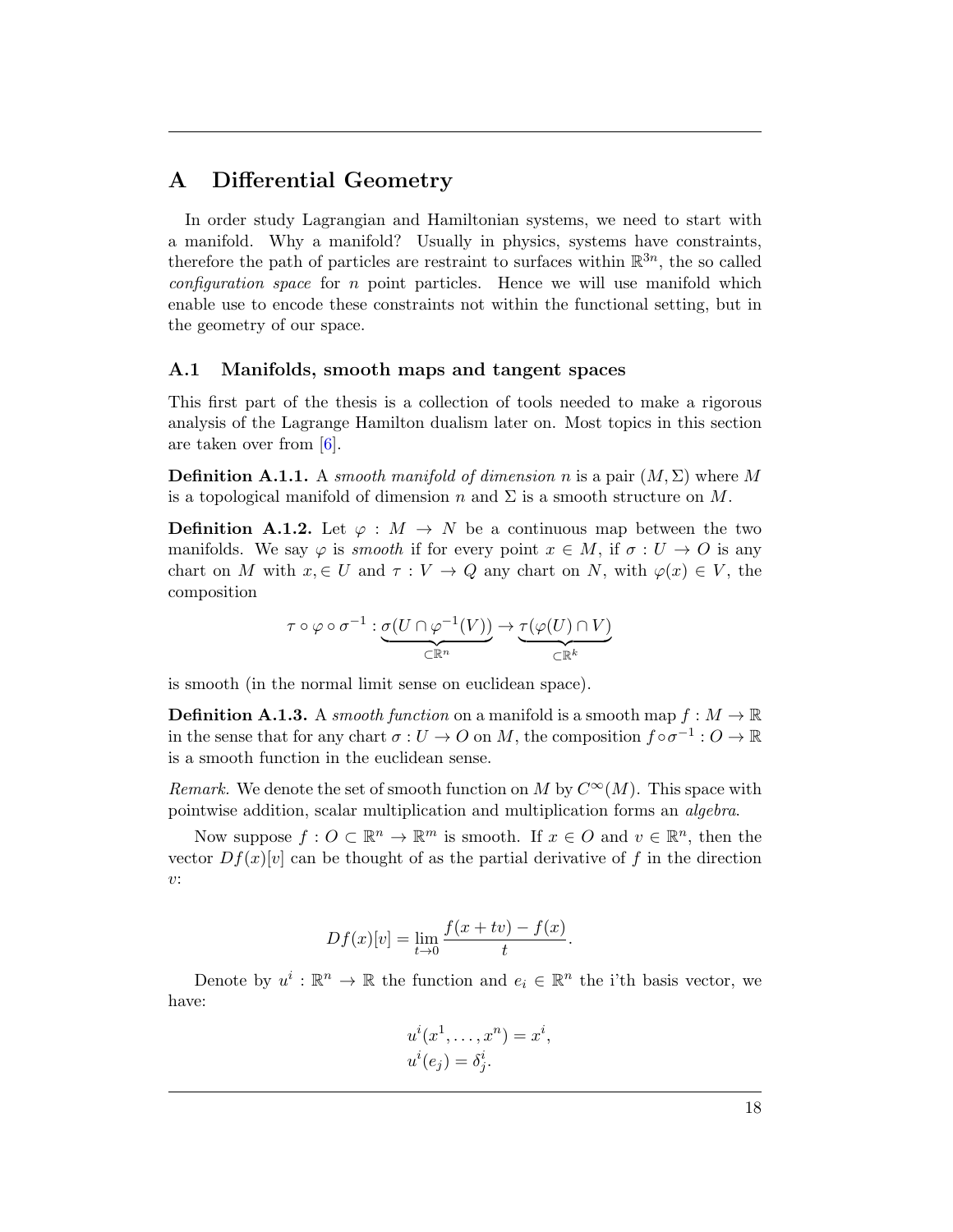### A Differential Geometry

In order study Lagrangian and Hamiltonian systems, we need to start with a manifold. Why a manifold? Usually in physics, systems have constraints, therefore the path of particles are restraint to surfaces within  $\mathbb{R}^{3n}$ , the so called  $configuration\ space\ for\ n\ point\ particles.$  Hence we will use manifold which enable use to encode these constraints not within the functional setting, but in the geometry of our space.

### <span id="page-18-0"></span>A.1 Manifolds, smooth maps and tangent spaces

This first part of the thesis is a collection of tools needed to make a rigorous analysis of the Lagrange Hamilton dualism later on. Most topics in this section are taken over from [\[6\]](#page-39-4).

**Definition A.1.1.** A smooth manifold of dimension n is a pair  $(M, \Sigma)$  where M is a topological manifold of dimension n and  $\Sigma$  is a smooth structure on M.

**Definition A.1.2.** Let  $\varphi : M \to N$  be a continuous map between the two manifolds. We say  $\varphi$  is smooth if for every point  $x \in M$ , if  $\sigma : U \to O$  is any chart on M with  $x \in U$  and  $\tau : V \to Q$  any chart on N, with  $\varphi(x) \in V$ , the composition

$$
\tau\circ\varphi\circ\sigma^{-1}:\underbrace{\sigma(U\cap\varphi^{-1}(V))}_{\subset\mathbb{R}^n}\to\underbrace{\tau(\varphi(U)\cap V)}_{\subset\mathbb{R}^k}
$$

is smooth (in the normal limit sense on euclidean space).

**Definition A.1.3.** A smooth function on a manifold is a smooth map  $f : M \to \mathbb{R}$ in the sense that for any chart  $\sigma: U \to O$  on M, the composition  $f \circ \sigma^{-1}: O \to \mathbb{R}$ is a smooth function in the euclidean sense.

Remark. We denote the set of smooth function on M by  $C^{\infty}(M)$ . This space with pointwise addition, scalar multiplication and multiplication forms an algebra.

Now suppose  $f: O \subset \mathbb{R}^n \to \mathbb{R}^m$  is smooth. If  $x \in O$  and  $v \in \mathbb{R}^n$ , then the vector  $Df(x)[v]$  can be thought of as the partial derivative of f in the direction  $v:$ 

$$
Df(x)[v] = \lim_{t \to 0} \frac{f(x + tv) - f(x)}{t}.
$$

Denote by  $u^i : \mathbb{R}^n \to \mathbb{R}$  the function and  $e_i \in \mathbb{R}^n$  the i'th basis vector, we have:

$$
u^{i}(x^{1},...,x^{n}) = x^{i},
$$
  

$$
u^{i}(e_{j}) = \delta^{i}_{j}.
$$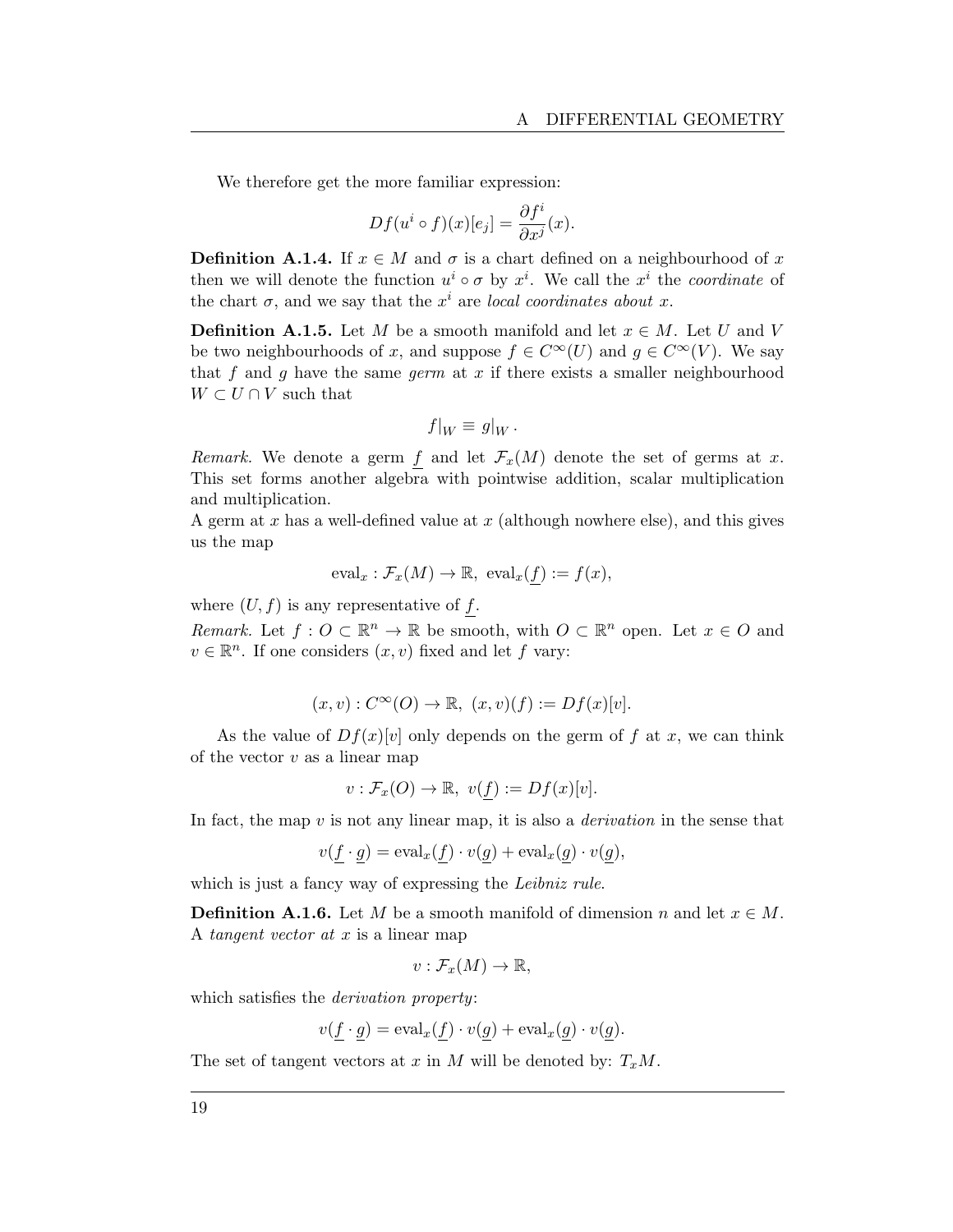We therefore get the more familiar expression:

$$
Df(u^i \circ f)(x)[e_j] = \frac{\partial f^i}{\partial x^j}(x).
$$

**Definition A.1.4.** If  $x \in M$  and  $\sigma$  is a chart defined on a neighbourhood of x then we will denote the function  $u^i \circ \sigma$  by  $x^i$ . We call the  $x^i$  the *coordinate* of the chart  $\sigma$ , and we say that the  $x^i$  are local coordinates about x.

**Definition A.1.5.** Let M be a smooth manifold and let  $x \in M$ . Let U and V be two neighbourhoods of x, and suppose  $f \in C^{\infty}(U)$  and  $g \in C^{\infty}(V)$ . We say that f and q have the same germ at x if there exists a smaller neighbourhood  $W \subset U \cap V$  such that

$$
f|_W \equiv g|_W.
$$

Remark. We denote a germ  $\underline{f}$  and let  $\mathcal{F}_x(M)$  denote the set of germs at x. This set forms another algebra with pointwise addition, scalar multiplication and multiplication.

A germ at x has a well-defined value at x (although nowhere else), and this gives us the map

$$
\mathrm{eval}_x:\mathcal{F}_x(M)\to\mathbb{R},\ \mathrm{eval}_x(f):=f(x),
$$

where  $(U, f)$  is any representative of f.

Remark. Let  $f: O \subset \mathbb{R}^n \to \mathbb{R}$  be smooth, with  $O \subset \mathbb{R}^n$  open. Let  $x \in O$  and  $v \in \mathbb{R}^n$ . If one considers  $(x, v)$  fixed and let f vary:

$$
(x,v): C^{\infty}(O) \to \mathbb{R}, \ (x,v)(f) := Df(x)[v].
$$

As the value of  $Df(x)[v]$  only depends on the germ of f at x, we can think of the vector  $v$  as a linear map

$$
v: \mathcal{F}_x(O) \to \mathbb{R}, \ v(f) := Df(x)[v].
$$

In fact, the map  $v$  is not any linear map, it is also a *derivation* in the sense that

$$
v(\underline{f} \cdot \underline{g}) = \mathrm{eval}_x(\underline{f}) \cdot v(\underline{g}) + \mathrm{eval}_x(\underline{g}) \cdot v(\underline{g}),
$$

which is just a fancy way of expressing the Leibniz rule.

**Definition A.1.6.** Let M be a smooth manifold of dimension n and let  $x \in M$ . A tangent vector at x is a linear map

$$
v: \mathcal{F}_x(M) \to \mathbb{R},
$$

which satisfies the derivation property:

$$
v(\underline{f} \cdot \underline{g}) = \mathrm{eval}_x(\underline{f}) \cdot v(\underline{g}) + \mathrm{eval}_x(\underline{g}) \cdot v(\underline{g}).
$$

The set of tangent vectors at x in M will be denoted by:  $T_xM$ .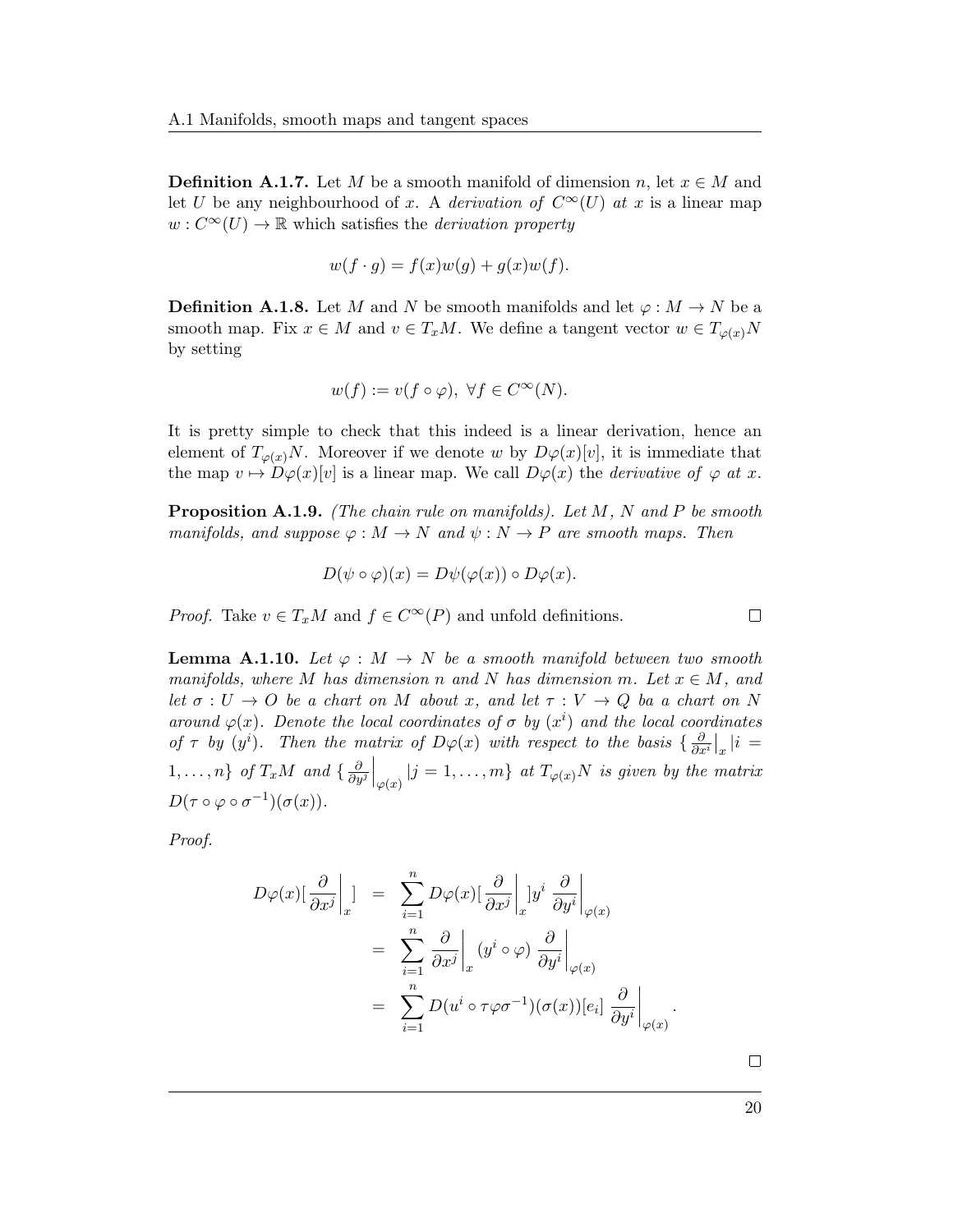**Definition A.1.7.** Let M be a smooth manifold of dimension n, let  $x \in M$  and let U be any neighbourhood of x. A derivation of  $C^{\infty}(U)$  at x is a linear map  $w: C^{\infty}(U) \to \mathbb{R}$  which satisfies the *derivation property* 

$$
w(f \cdot g) = f(x)w(g) + g(x)w(f).
$$

**Definition A.1.8.** Let M and N be smooth manifolds and let  $\varphi : M \to N$  be a smooth map. Fix  $x \in M$  and  $v \in T_xM$ . We define a tangent vector  $w \in T_{\varphi(x)}N$ by setting

$$
w(f) := v(f \circ \varphi), \ \forall f \in C^{\infty}(N).
$$

It is pretty simple to check that this indeed is a linear derivation, hence an element of  $T_{\varphi(x)}N$ . Moreover if we denote w by  $D\varphi(x)[v]$ , it is immediate that the map  $v \mapsto D\varphi(x)[v]$  is a linear map. We call  $D\varphi(x)$  the *derivative of*  $\varphi$  at x.

**Proposition A.1.9.** (The chain rule on manifolds). Let  $M$ ,  $N$  and  $P$  be smooth manifolds, and suppose  $\varphi : M \to N$  and  $\psi : N \to P$  are smooth maps. Then

$$
D(\psi \circ \varphi)(x) = D\psi(\varphi(x)) \circ D\varphi(x).
$$

*Proof.* Take  $v \in T_xM$  and  $f \in C^{\infty}(P)$  and unfold definitions.

**Lemma A.1.10.** Let  $\varphi : M \to N$  be a smooth manifold between two smooth manifolds, where M has dimension n and N has dimension m. Let  $x \in M$ , and let  $\sigma: U \to O$  be a chart on M about x, and let  $\tau: V \to Q$  ba a chart on N around  $\varphi(x)$ . Denote the local coordinates of  $\sigma$  by  $(x^{i})$  and the local coordinates of  $\tau$  by  $(y^i)$ . Then the matrix of  $D\varphi(x)$  with respect to the basis  $\left\{\frac{\partial}{\partial x^i}\Big|_x |i =$  $1, \ldots, n\}$  of  $T_xM$  and  $\{\frac{\partial}{\partial y^j}$  $\Big|_{\varphi(x)} |j = 1, \ldots, m\}$  at  $T_{\varphi(x)}N$  is given by the matrix  $D(\tau \circ \varphi \circ \sigma^{-1})(\sigma(x)).$ 

Proof.

$$
D\varphi(x)[\frac{\partial}{\partial x^{j}}\Big|_{x} = \sum_{i=1}^{n} D\varphi(x)[\frac{\partial}{\partial x^{j}}\Big|_{x}y^{i} \frac{\partial}{\partial y^{i}}\Big|_{\varphi(x)}
$$
  

$$
= \sum_{i=1}^{n} \frac{\partial}{\partial x^{j}}\Big|_{x} (y^{i} \circ \varphi) \frac{\partial}{\partial y^{i}}\Big|_{\varphi(x)}
$$
  

$$
= \sum_{i=1}^{n} D(u^{i} \circ \tau \varphi \sigma^{-1})(\sigma(x))[e_{i}] \frac{\partial}{\partial y^{i}}\Big|_{\varphi(x)}.
$$

 $\Box$ 

 $\Box$ 

20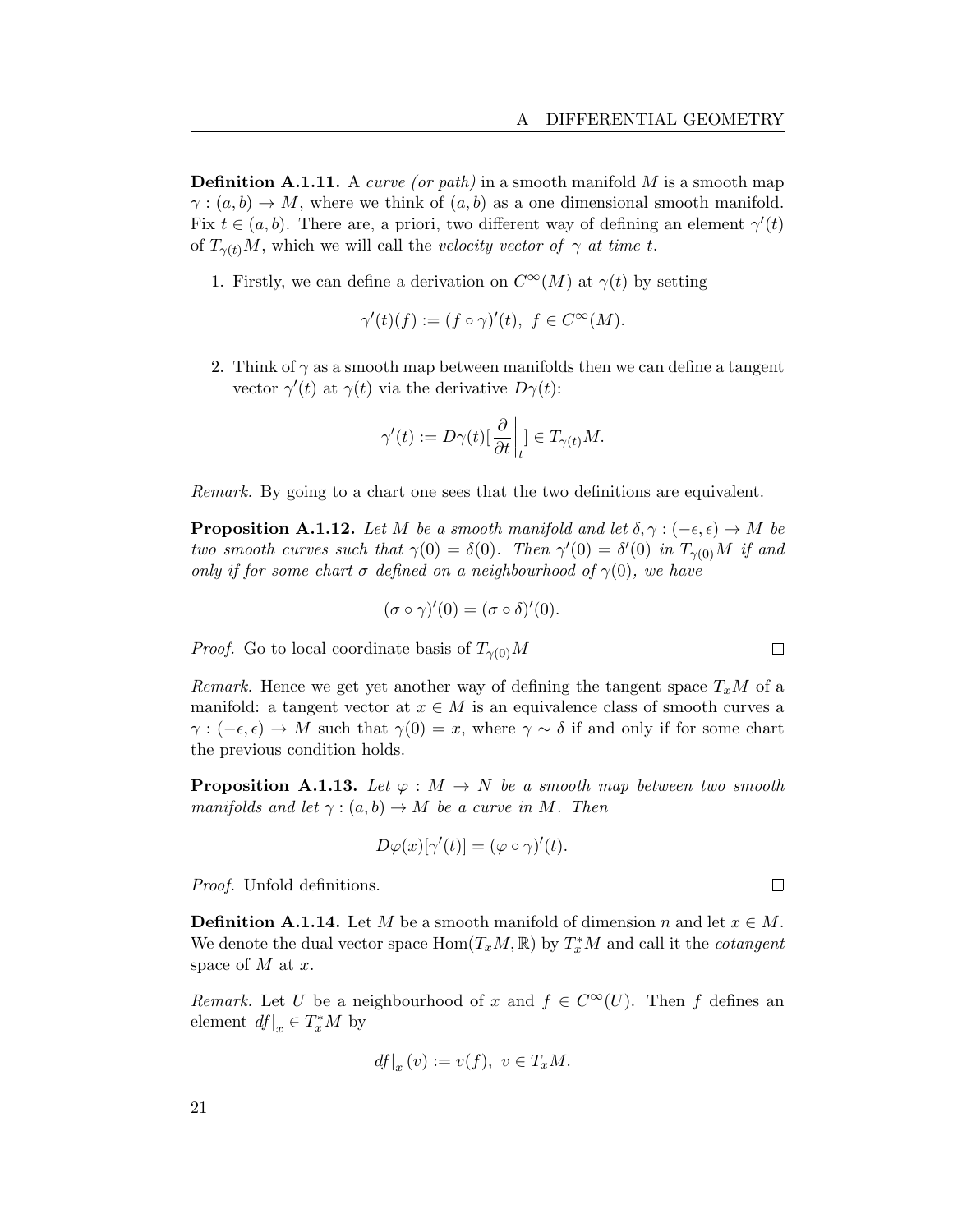**Definition A.1.11.** A curve (or path) in a smooth manifold M is a smooth map  $\gamma: (a, b) \to M$ , where we think of  $(a, b)$  as a one dimensional smooth manifold. Fix  $t \in (a, b)$ . There are, a priori, two different way of defining an element  $\gamma'(t)$ of  $T_{\gamma(t)}M$ , which we will call the velocity vector of  $\gamma$  at time t.

1. Firstly, we can define a derivation on  $C^{\infty}(M)$  at  $\gamma(t)$  by setting

$$
\gamma'(t)(f) := (f \circ \gamma)'(t), \ f \in C^{\infty}(M).
$$

2. Think of  $\gamma$  as a smooth map between manifolds then we can define a tangent vector  $\gamma'(t)$  at  $\gamma(t)$  via the derivative  $D\gamma(t)$ :

$$
\gamma'(t) := D\gamma(t) \left[\left.\frac{\partial}{\partial t}\right|_t\right] \in T_{\gamma(t)}M.
$$

Remark. By going to a chart one sees that the two definitions are equivalent.

**Proposition A.1.12.** Let M be a smooth manifold and let  $\delta, \gamma : (-\epsilon, \epsilon) \to M$  be two smooth curves such that  $\gamma(0) = \delta(0)$ . Then  $\gamma'(0) = \delta'(0)$  in  $T_{\gamma(0)}M$  if and only if for some chart  $\sigma$  defined on a neighbourhood of  $\gamma(0)$ , we have

$$
(\sigma \circ \gamma)'(0) = (\sigma \circ \delta)'(0).
$$

*Proof.* Go to local coordinate basis of  $T_{\gamma(0)}M$ 

Remark. Hence we get yet another way of defining the tangent space  $T_xM$  of a manifold: a tangent vector at  $x \in M$  is an equivalence class of smooth curves a  $\gamma : (-\epsilon, \epsilon) \to M$  such that  $\gamma(0) = x$ , where  $\gamma \sim \delta$  if and only if for some chart the previous condition holds.

**Proposition A.1.13.** Let  $\varphi : M \to N$  be a smooth map between two smooth manifolds and let  $\gamma : (a, b) \to M$  be a curve in M. Then

$$
D\varphi(x)[\gamma'(t)] = (\varphi \circ \gamma)'(t).
$$

Proof. Unfold definitions.

**Definition A.1.14.** Let M be a smooth manifold of dimension n and let  $x \in M$ . We denote the dual vector space  $\text{Hom}(T_xM, \mathbb{R})$  by  $T_x^*M$  and call it the *cotangent* space of  $M$  at  $x$ .

Remark. Let U be a neighbourhood of x and  $f \in C^{\infty}(U)$ . Then f defines an element  $df|_x \in T_x^*M$  by

$$
df|_x(v) := v(f), \ v \in T_xM.
$$

 $\Box$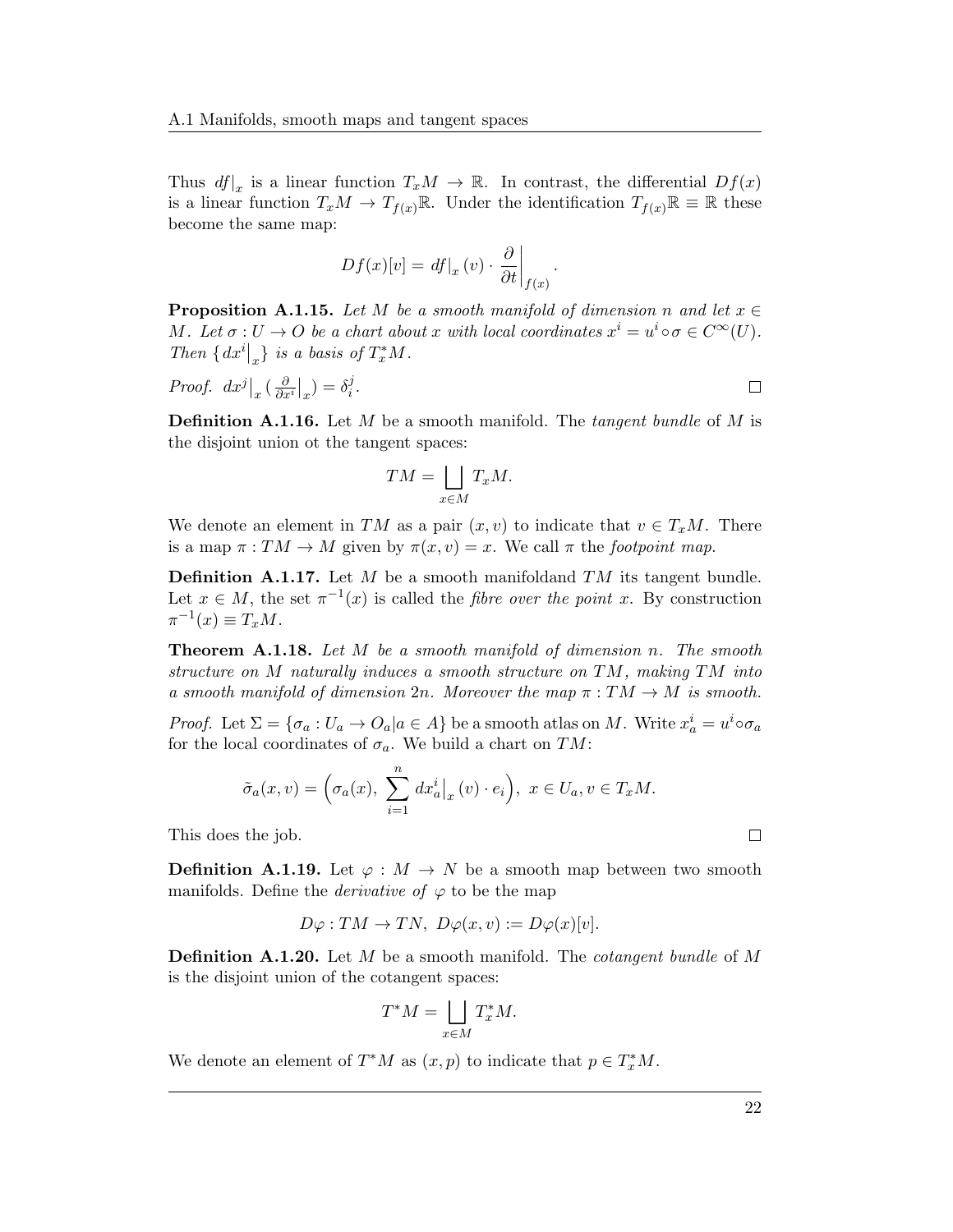Thus  $df|_x$  is a linear function  $T_xM \to \mathbb{R}$ . In contrast, the differential  $Df(x)$ is a linear function  $T_xM \to T_{f(x)}\mathbb{R}$ . Under the identification  $T_{f(x)}\mathbb{R} \equiv \mathbb{R}$  these become the same map:

$$
Df(x)[v] = df|_x(v) \cdot \frac{\partial}{\partial t}\bigg|_{f(x)}
$$

**Proposition A.1.15.** Let M be a smooth manifold of dimension n and let  $x \in$ M. Let  $\sigma: U \to O$  be a chart about x with local coordinates  $x^i = u^i \circ \sigma \in C^{\infty}(U)$ . Then  $\{dx^i\big|_x\}$  is a basis of  $T_x^*M$ .

.

*Proof.*  $dx^{j}|_{x} \left(\frac{\partial}{\partial x^{i}}\right|_{x}\right) = \delta_{i}^{j}$  $\Box$  $\frac{j}{i}$ .

**Definition A.1.16.** Let M be a smooth manifold. The tangent bundle of M is the disjoint union ot the tangent spaces:

$$
TM = \bigsqcup_{x \in M} T_x M.
$$

We denote an element in TM as a pair  $(x, v)$  to indicate that  $v \in T_xM$ . There is a map  $\pi: TM \to M$  given by  $\pi(x, v) = x$ . We call  $\pi$  the footpoint map.

**Definition A.1.17.** Let  $M$  be a smooth manifoldand  $TM$  its tangent bundle. Let  $x \in M$ , the set  $\pi^{-1}(x)$  is called the *fibre over the point x*. By construction  $\pi^{-1}(x) \equiv T_x M.$ 

**Theorem A.1.18.** Let  $M$  be a smooth manifold of dimension n. The smooth structure on M naturally induces a smooth structure on TM, making TM into a smooth manifold of dimension  $2n$ . Moreover the map  $\pi: TM \to M$  is smooth.

*Proof.* Let  $\Sigma = {\sigma_a : U_a \to O_a | a \in A}$  be a smooth at as on M. Write  $x_a^i = u^i \circ \sigma_a$ for the local coordinates of  $\sigma_a$ . We build a chart on TM:

$$
\tilde{\sigma}_a(x,v) = \left(\sigma_a(x), \sum_{i=1}^n dx_a^i\big|_x(v) \cdot e_i\right), \ x \in U_a, v \in T_xM.
$$

This does the job.

**Definition A.1.19.** Let  $\varphi : M \to N$  be a smooth map between two smooth manifolds. Define the *derivative* of  $\varphi$  to be the map

$$
D\varphi: TM \to TN, D\varphi(x, v) := D\varphi(x)[v].
$$

**Definition A.1.20.** Let  $M$  be a smooth manifold. The *cotangent bundle* of  $M$ is the disjoint union of the cotangent spaces:

$$
T^*M = \bigsqcup_{x \in M} T_x^*M.
$$

We denote an element of  $T^*M$  as  $(x, p)$  to indicate that  $p \in T_x^*M$ .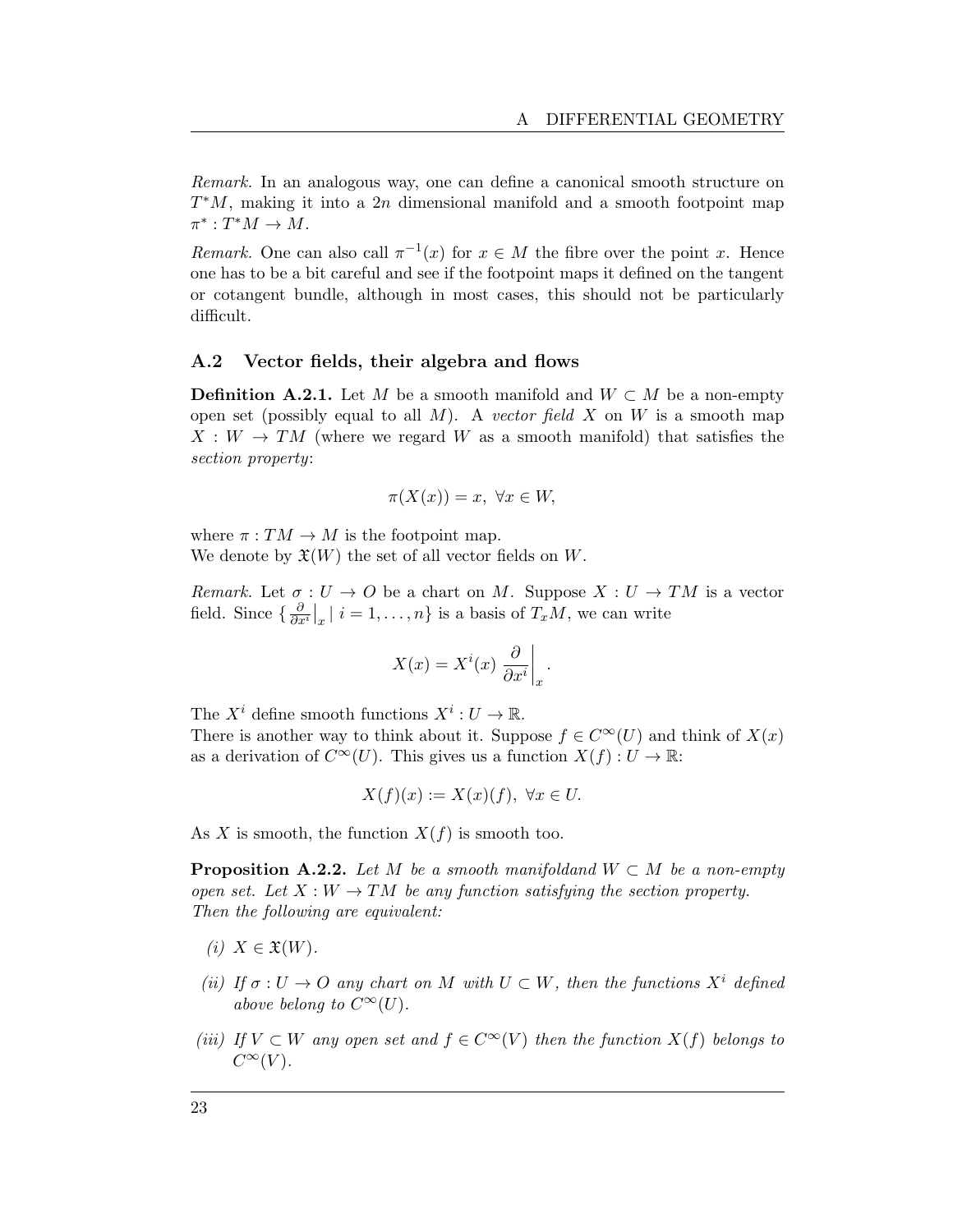Remark. In an analogous way, one can define a canonical smooth structure on  $T^*M$ , making it into a 2n dimensional manifold and a smooth footpoint map  $\pi^*: T^*M \to M.$ 

Remark. One can also call  $\pi^{-1}(x)$  for  $x \in M$  the fibre over the point x. Hence one has to be a bit careful and see if the footpoint maps it defined on the tangent or cotangent bundle, although in most cases, this should not be particularly difficult.

### <span id="page-23-0"></span>A.2 Vector fields, their algebra and flows

**Definition A.2.1.** Let M be a smooth manifold and  $W \subset M$  be a non-empty open set (possibly equal to all M). A vector field X on W is a smooth map  $X: W \to TM$  (where we regard W as a smooth manifold) that satisfies the section property:

$$
\pi(X(x)) = x, \ \forall x \in W,
$$

where  $\pi: TM \to M$  is the footpoint map.

We denote by  $\mathfrak{X}(W)$  the set of all vector fields on W.

Remark. Let  $\sigma: U \to O$  be a chart on M. Suppose  $X: U \to TM$  is a vector field. Since  $\left\{\frac{\partial}{\partial x^i}\Big|_x \mid i=1,\ldots,n\right\}$  is a basis of  $T_xM$ , we can write

$$
X(x) = X^{i}(x) \left. \frac{\partial}{\partial x^{i}} \right|_{x}.
$$

The  $X^i$  define smooth functions  $X^i: U \to \mathbb{R}$ .

There is another way to think about it. Suppose  $f \in C^{\infty}(U)$  and think of  $X(x)$ as a derivation of  $C^{\infty}(U)$ . This gives us a function  $X(f): U \to \mathbb{R}$ :

$$
X(f)(x) := X(x)(f), \ \forall x \in U.
$$

As X is smooth, the function  $X(f)$  is smooth too.

**Proposition A.2.2.** Let M be a smooth manifoldand  $W \subset M$  be a non-empty open set. Let  $X: W \to TM$  be any function satisfying the section property. Then the following are equivalent:

- (i)  $X \in \mathfrak{X}(W)$ .
- (ii) If  $\sigma: U \to O$  any chart on M with  $U \subset W$ , then the functions  $X^i$  defined above belong to  $C^{\infty}(U)$ .
- (iii) If  $V \subset W$  any open set and  $f \in C^{\infty}(V)$  then the function  $X(f)$  belongs to  $C^{\infty}(V)$ .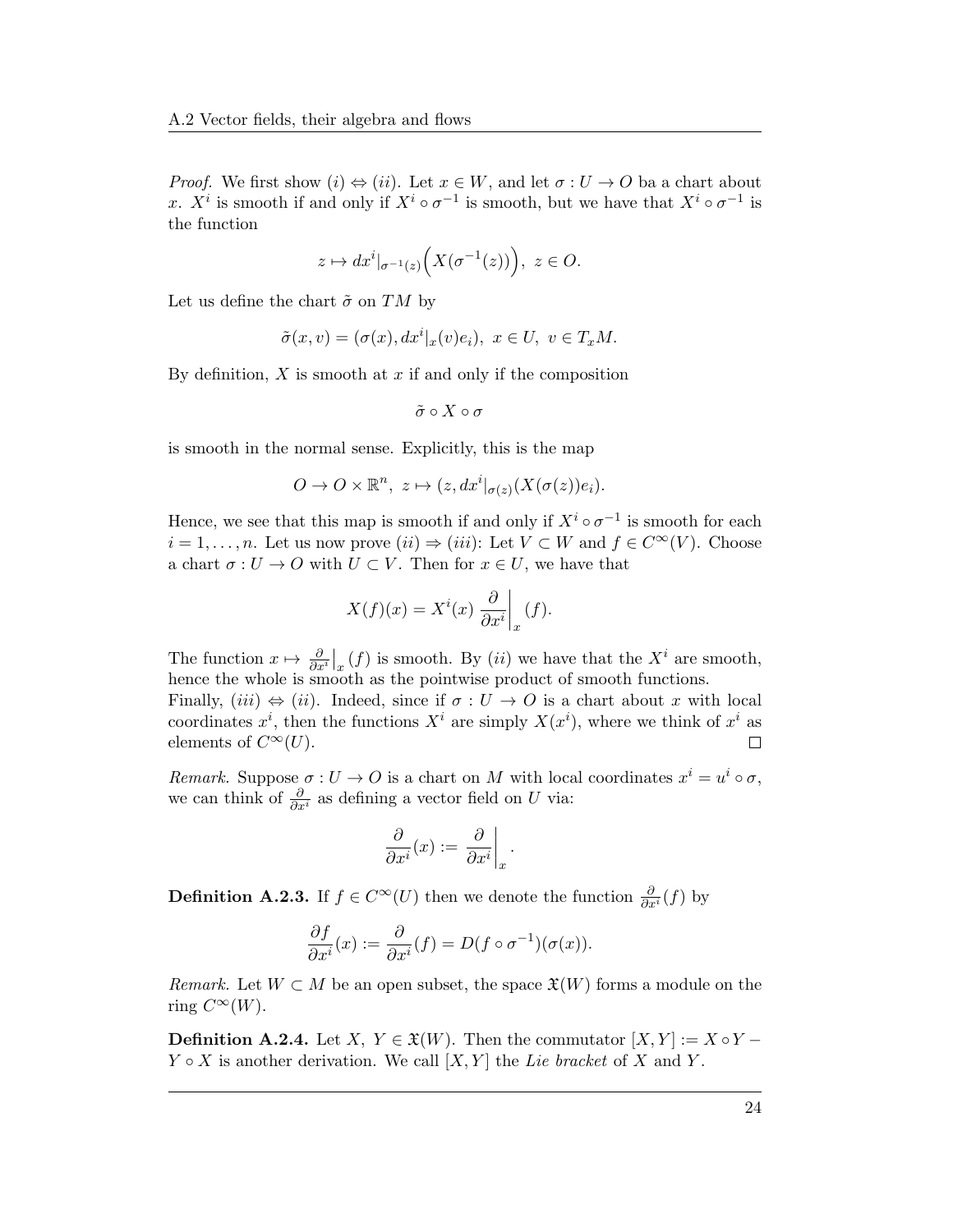*Proof.* We first show  $(i) \Leftrightarrow (ii)$ . Let  $x \in W$ , and let  $\sigma : U \to O$  ba a chart about x.  $X^i$  is smooth if and only if  $X^i \circ \sigma^{-1}$  is smooth, but we have that  $X^i \circ \sigma^{-1}$  is the function

$$
z\mapsto dx^i|_{\sigma^{-1}(z)}\Big(X(\sigma^{-1}(z))\Big),\ z\in O.
$$

Let us define the chart  $\tilde{\sigma}$  on TM by

elements of  $C^{\infty}(U)$ .

$$
\tilde{\sigma}(x,v) = (\sigma(x), dx^i|_x(v)e_i), \ x \in U, \ v \in T_xM.
$$

By definition,  $X$  is smooth at  $x$  if and only if the composition

$$
\tilde{\sigma}\circ X\circ \sigma
$$

is smooth in the normal sense. Explicitly, this is the map

$$
O \to O \times \mathbb{R}^n, \ z \mapsto (z, dx^i|_{\sigma(z)}(X(\sigma(z))e_i).
$$

Hence, we see that this map is smooth if and only if  $X^i \circ \sigma^{-1}$  is smooth for each  $i = 1, \ldots, n$ . Let us now prove  $(ii) \Rightarrow (iii)$ : Let  $V \subset W$  and  $f \in C^{\infty}(V)$ . Choose a chart  $\sigma: U \to O$  with  $U \subset V$ . Then for  $x \in U$ , we have that

$$
X(f)(x) = X^{i}(x) \left. \frac{\partial}{\partial x^{i}} \right|_{x} (f).
$$

The function  $x \mapsto \frac{\partial}{\partial x^i}\Big|_x(f)$  is smooth. By *(ii)* we have that the  $X^i$  are smooth, hence the whole is smooth as the pointwise product of smooth functions. Finally, (iii)  $\Leftrightarrow$  (ii). Indeed, since if  $\sigma: U \to O$  is a chart about x with local coordinates  $x^i$ , then the functions  $X^i$  are simply  $X(x^i)$ , where we think of  $x^i$  as

Remark. Suppose  $\sigma: U \to O$  is a chart on M with local coordinates  $x^i = u^i \circ \sigma$ , we can think of  $\frac{\partial}{\partial x^i}$  as defining a vector field on U via:

$$
\frac{\partial}{\partial x^i}(x) := \frac{\partial}{\partial x^i}\bigg|_x.
$$

**Definition A.2.3.** If  $f \in C^{\infty}(U)$  then we denote the function  $\frac{\partial}{\partial x^i}(f)$  by

$$
\frac{\partial f}{\partial x^i}(x) := \frac{\partial}{\partial x^i}(f) = D(f \circ \sigma^{-1})(\sigma(x)).
$$

Remark. Let  $W \subset M$  be an open subset, the space  $\mathfrak{X}(W)$  forms a module on the ring  $C^{\infty}(W)$ .

**Definition A.2.4.** Let X,  $Y \in \mathfrak{X}(W)$ . Then the commutator  $[X, Y] := X \circ Y Y \circ X$  is another derivation. We call  $[X, Y]$  the Lie bracket of X and Y.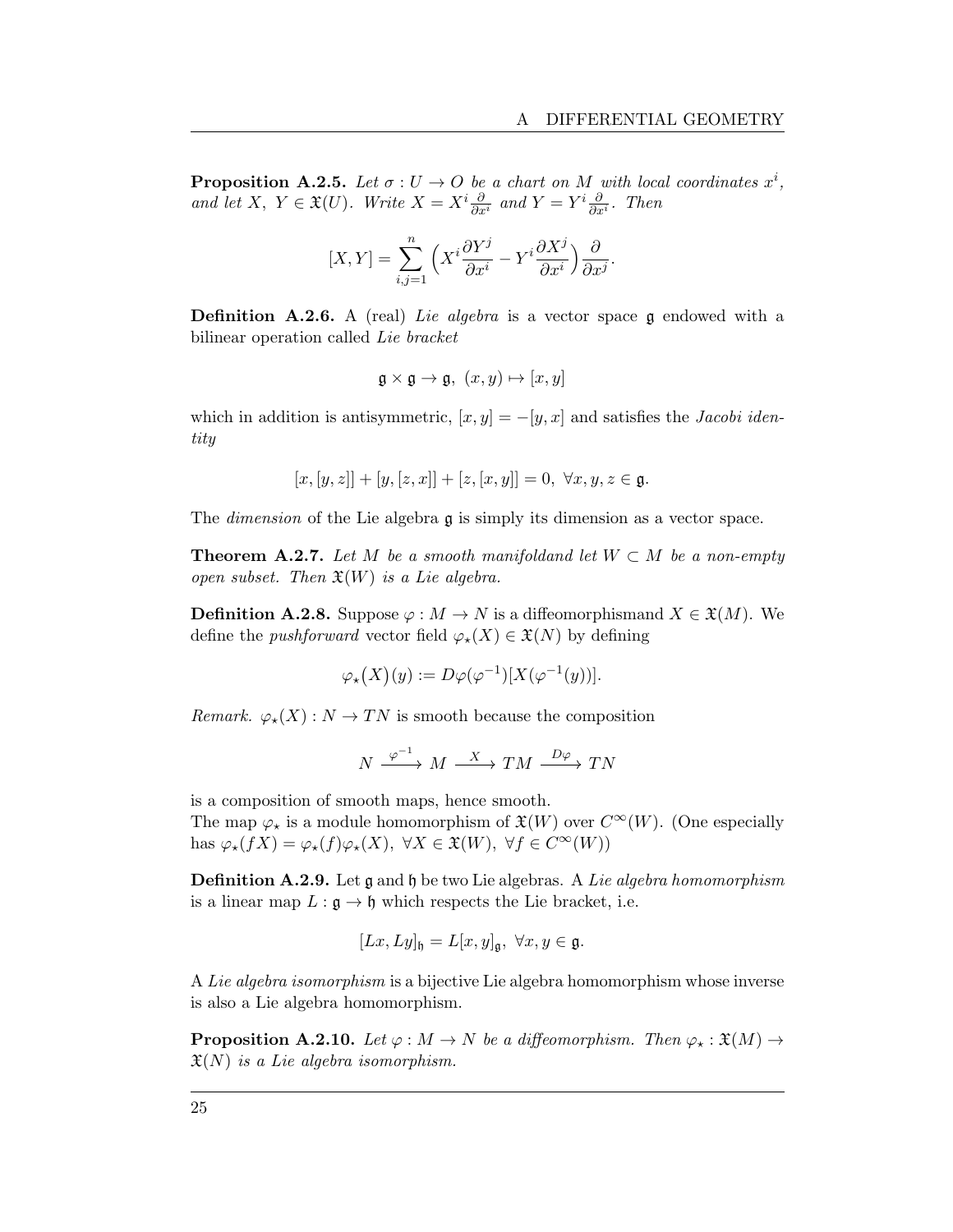**Proposition A.2.5.** Let  $\sigma: U \to O$  be a chart on M with local coordinates  $x^i$ , and let X,  $Y \in \mathfrak{X}(U)$ . Write  $X = X^i \frac{\partial}{\partial x^i}$  and  $Y = Y^i \frac{\partial}{\partial x^i}$ . Then

$$
[X,Y] = \sum_{i,j=1}^{n} \left( X^i \frac{\partial Y^j}{\partial x^i} - Y^i \frac{\partial X^j}{\partial x^i} \right) \frac{\partial}{\partial x^j}.
$$

**Definition A.2.6.** A (real) Lie algebra is a vector space  $\mathfrak{g}$  endowed with a bilinear operation called Lie bracket

$$
\mathfrak{g} \times \mathfrak{g} \to \mathfrak{g}, \ (x, y) \mapsto [x, y]
$$

which in addition is antisymmetric,  $[x, y] = -[y, x]$  and satisfies the *Jacobi iden*tity

$$
[x,[y,z]] + [y,[z,x]] + [z,[x,y]] = 0, \ \forall x,y,z \in \mathfrak{g}.
$$

The *dimension* of the Lie algebra g is simply its dimension as a vector space.

**Theorem A.2.7.** Let M be a smooth manifoldand let  $W \subset M$  be a non-empty open subset. Then  $\mathfrak{X}(W)$  is a Lie algebra.

**Definition A.2.8.** Suppose  $\varphi : M \to N$  is a diffeomorphismand  $X \in \mathfrak{X}(M)$ . We define the *pushforward* vector field  $\varphi_{\star}(X) \in \mathfrak{X}(N)$  by defining

$$
\varphi_{\star}(X)(y) := D\varphi(\varphi^{-1})[X(\varphi^{-1}(y))].
$$

Remark.  $\varphi_{\star}(X) : N \to TN$  is smooth because the composition

$$
N \xrightarrow{\varphi^{-1}} M \xrightarrow{X} TM \xrightarrow{D\varphi} TN
$$

is a composition of smooth maps, hence smooth.

The map  $\varphi_{\star}$  is a module homomorphism of  $\mathfrak{X}(W)$  over  $C^{\infty}(W)$ . (One especially has  $\varphi_{\star}(fX) = \varphi_{\star}(f)\varphi_{\star}(X), \ \forall X \in \mathfrak{X}(W), \ \forall f \in C^{\infty}(W)$ 

**Definition A.2.9.** Let  $\mathfrak g$  and  $\mathfrak h$  be two Lie algebras. A Lie algebra homomorphism is a linear map  $L : \mathfrak{g} \to \mathfrak{h}$  which respects the Lie bracket, i.e.

$$
[Lx, Ly]_{\mathfrak{h}} = L[x, y]_{\mathfrak{g}}, \ \forall x, y \in \mathfrak{g}.
$$

A Lie algebra isomorphism is a bijective Lie algebra homomorphism whose inverse is also a Lie algebra homomorphism.

**Proposition A.2.10.** Let  $\varphi : M \to N$  be a diffeomorphism. Then  $\varphi_* : \mathfrak{X}(M) \to$  $\mathfrak{X}(N)$  is a Lie algebra isomorphism.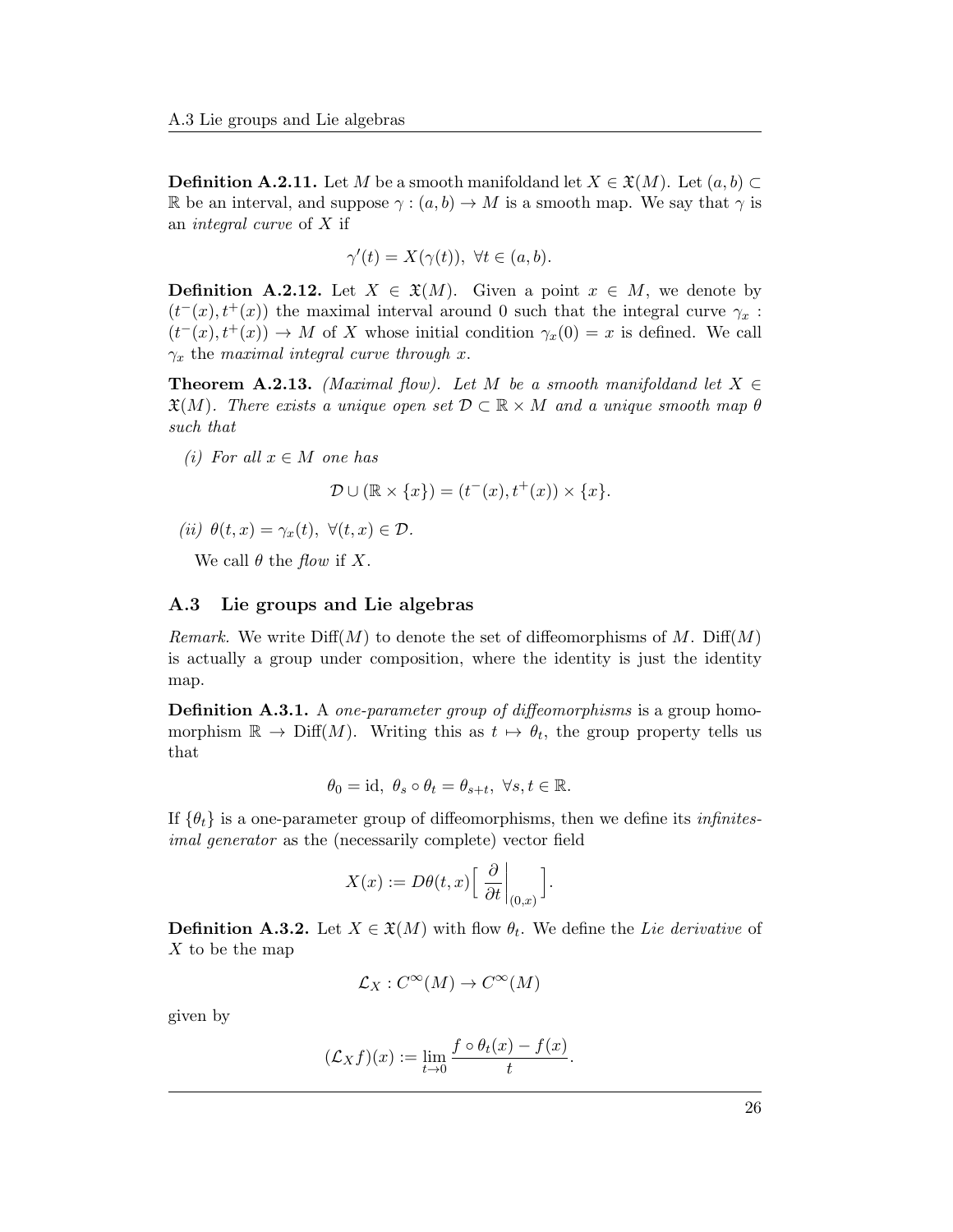**Definition A.2.11.** Let M be a smooth manifoldand let  $X \in \mathfrak{X}(M)$ . Let  $(a, b) \subset$ R be an interval, and suppose  $\gamma : (a, b) \to M$  is a smooth map. We say that  $\gamma$  is an integral curve of X if

$$
\gamma'(t) = X(\gamma(t)), \ \forall t \in (a, b).
$$

**Definition A.2.12.** Let  $X \in \mathfrak{X}(M)$ . Given a point  $x \in M$ , we denote by  $(t<sup>-</sup>(x), t<sup>+</sup>(x))$  the maximal interval around 0 such that the integral curve  $\gamma_x$ :  $(t^-(x), t^+(x)) \to M$  of X whose initial condition  $\gamma_x(0) = x$  is defined. We call  $\gamma_x$  the maximal integral curve through x.

**Theorem A.2.13.** (Maximal flow). Let M be a smooth manifoldand let  $X \in$  $\mathfrak{X}(M)$ . There exists a unique open set  $\mathcal{D} \subset \mathbb{R} \times M$  and a unique smooth map  $\theta$ such that

(i) For all  $x \in M$  one has

$$
\mathcal{D} \cup (\mathbb{R} \times \{x\}) = (t^-(x), t^+(x)) \times \{x\}.
$$

(ii)  $\theta(t, x) = \gamma_x(t), \ \forall (t, x) \in \mathcal{D}.$ 

We call  $\theta$  the flow if X.

### <span id="page-26-0"></span>A.3 Lie groups and Lie algebras

Remark. We write  $\text{Diff}(M)$  to denote the set of diffeomorphisms of M. Diff(M) is actually a group under composition, where the identity is just the identity map.

**Definition A.3.1.** A *one-parameter group of diffeomorphisms* is a group homomorphism  $\mathbb{R} \to \text{Diff}(M)$ . Writing this as  $t \mapsto \theta_t$ , the group property tells us that

$$
\theta_0 = \text{id}, \ \theta_s \circ \theta_t = \theta_{s+t}, \ \forall s, t \in \mathbb{R}.
$$

If  $\{\theta_t\}$  is a one-parameter group of diffeomorphisms, then we define its *infinites*imal generator as the (necessarily complete) vector field

$$
X(x) := D\theta(t,x) \Big[ \left. \frac{\partial}{\partial t} \right|_{(0,x)} \Big].
$$

**Definition A.3.2.** Let  $X \in \mathfrak{X}(M)$  with flow  $\theta_t$ . We define the Lie derivative of X to be the map

$$
\mathcal{L}_X : C^\infty(M) \to C^\infty(M)
$$

given by

$$
(\mathcal{L}_X f)(x) := \lim_{t \to 0} \frac{f \circ \theta_t(x) - f(x)}{t}.
$$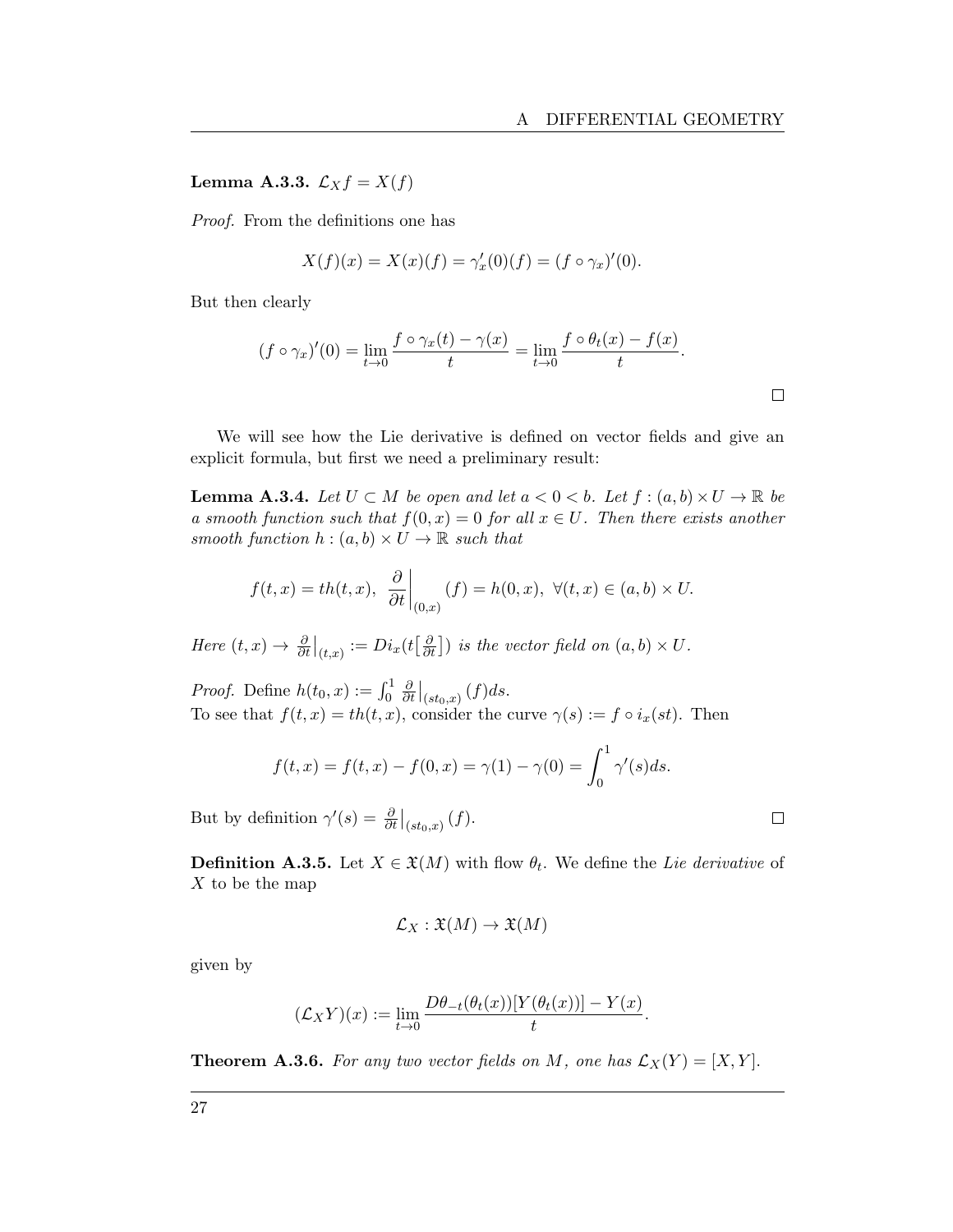$\Box$ 

Lemma A.3.3.  $\mathcal{L}_X f = X(f)$ 

Proof. From the definitions one has

$$
X(f)(x) = X(x)(f) = \gamma_x'(0)(f) = (f \circ \gamma_x)'(0).
$$

But then clearly

$$
(f \circ \gamma_x)'(0) = \lim_{t \to 0} \frac{f \circ \gamma_x(t) - \gamma(x)}{t} = \lim_{t \to 0} \frac{f \circ \theta_t(x) - f(x)}{t}.
$$

We will see how the Lie derivative is defined on vector fields and give an explicit formula, but first we need a preliminary result:

**Lemma A.3.4.** Let  $U \subset M$  be open and let  $a < 0 < b$ . Let  $f : (a, b) \times U \to \mathbb{R}$  be a smooth function such that  $f(0, x) = 0$  for all  $x \in U$ . Then there exists another smooth function  $h : (a, b) \times U \to \mathbb{R}$  such that

$$
f(t,x) = th(t,x), \left. \frac{\partial}{\partial t} \right|_{(0,x)}(f) = h(0,x), \ \forall (t,x) \in (a,b) \times U.
$$

Here  $(t, x) \to \frac{\partial}{\partial t}\big|_{(t,x)} := Di_x(t\big[\frac{\partial}{\partial t}\big])$  is the vector field on  $(a, b) \times U$ .

*Proof.* Define  $h(t_0, x) := \int_0^1$ ∂  $\frac{\partial}{\partial t}\big|_{(st_0,x)}(f)ds.$ To see that  $f(t, x) = th(t, x)$ , consider the curve  $\gamma(s) := f \circ i_x(st)$ . Then

$$
f(t,x) = f(t,x) - f(0,x) = \gamma(1) - \gamma(0) = \int_0^1 \gamma'(s)ds.
$$

But by definition  $\gamma'(s) = \frac{\partial}{\partial t}\big|_{(st_0,x)}(f)$ .

**Definition A.3.5.** Let  $X \in \mathfrak{X}(M)$  with flow  $\theta_t$ . We define the Lie derivative of  $X$  to be the map

$$
\mathcal{L}_X: \mathfrak{X}(M) \to \mathfrak{X}(M)
$$

given by

$$
(\mathcal{L}_X Y)(x) := \lim_{t \to 0} \frac{D\theta_{-t}(\theta_t(x))[Y(\theta_t(x))] - Y(x)}{t}.
$$

**Theorem A.3.6.** For any two vector fields on M, one has  $\mathcal{L}_X(Y) = [X, Y]$ .

27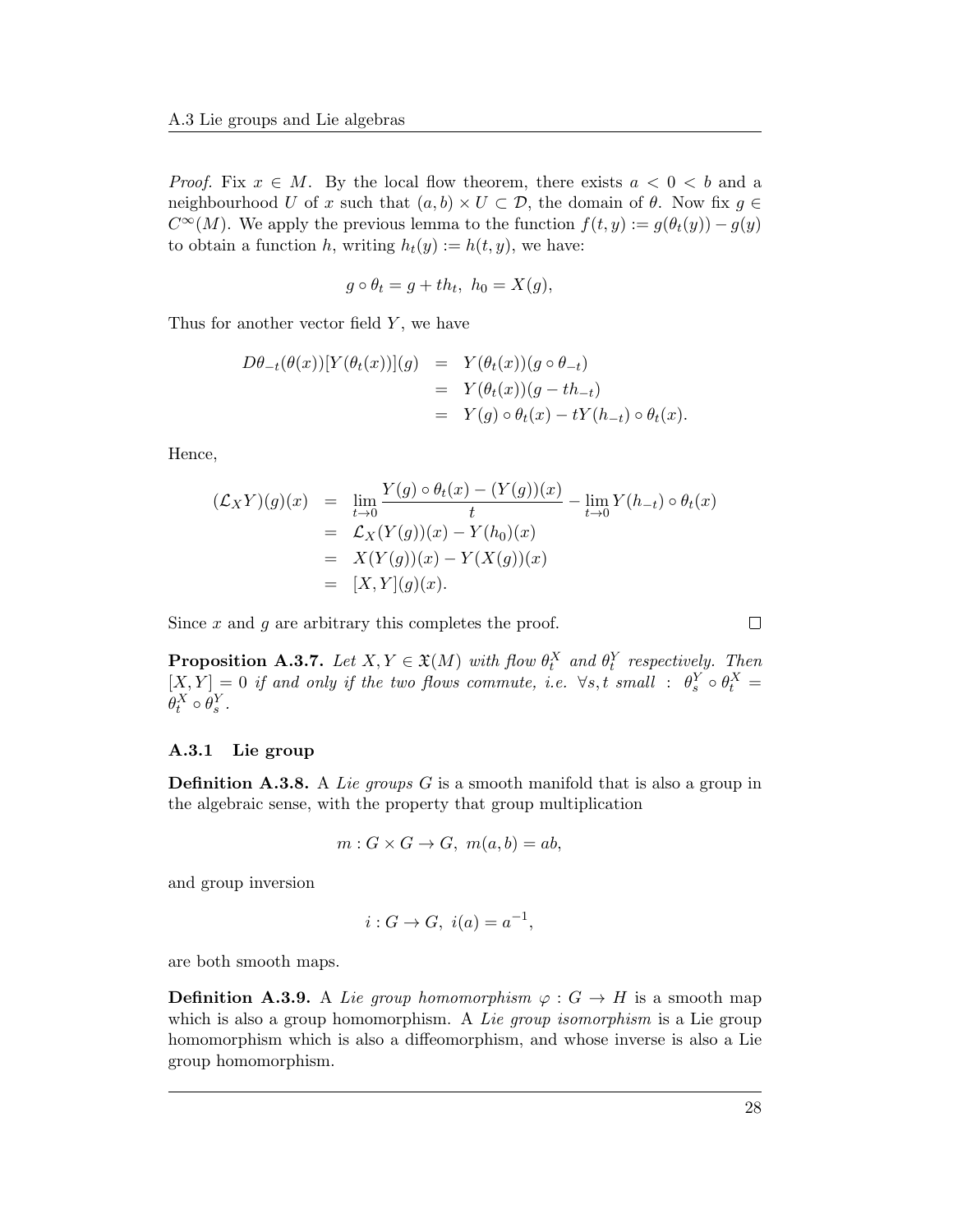*Proof.* Fix  $x \in M$ . By the local flow theorem, there exists  $a < 0 < b$  and a neighbourhood U of x such that  $(a, b) \times U \subset \mathcal{D}$ , the domain of  $\theta$ . Now fix  $g \in$  $C^{\infty}(M)$ . We apply the previous lemma to the function  $f(t, y) := g(\theta_t(y)) - g(y)$ to obtain a function h, writing  $h_t(y) := h(t, y)$ , we have:

$$
g \circ \theta_t = g + th_t, \ h_0 = X(g),
$$

Thus for another vector field  $Y$ , we have

$$
D\theta_{-t}(\theta(x))[Y(\theta_t(x))](g) = Y(\theta_t(x))(g \circ \theta_{-t})
$$
  
=  $Y(\theta_t(x))(g - th_{-t})$   
=  $Y(g) \circ \theta_t(x) - tY(h_{-t}) \circ \theta_t(x).$ 

Hence,

$$
\begin{array}{rcl}\n(\mathcal{L}_X Y)(g)(x) & = & \lim_{t \to 0} \frac{Y(g) \circ \theta_t(x) - (Y(g))(x)}{t} - \lim_{t \to 0} Y(h_{-t}) \circ \theta_t(x) \\
& = & \mathcal{L}_X(Y(g))(x) - Y(h_0)(x) \\
& = & X(Y(g))(x) - Y(X(g))(x) \\
& = & [X, Y](g)(x).\n\end{array}
$$

Since  $x$  and  $g$  are arbitrary this completes the proof.

**Proposition A.3.7.** Let  $X, Y \in \mathfrak{X}(M)$  with flow  $\theta_t^X$  and  $\theta_t^Y$  respectively. Then  $[X, Y] = 0$  if and only if the two flows commute, i.e.  $\forall s, t \text{ small } : \theta_s^Y \circ \theta_t^X =$  $\theta_t^X \circ \theta_s^Y$ .

### <span id="page-28-0"></span>A.3.1 Lie group

**Definition A.3.8.** A Lie groups G is a smooth manifold that is also a group in the algebraic sense, with the property that group multiplication

$$
m: G \times G \to G, \ m(a, b) = ab,
$$

and group inversion

$$
i: G \to G, \ i(a) = a^{-1},
$$

are both smooth maps.

**Definition A.3.9.** A Lie group homomorphism  $\varphi : G \to H$  is a smooth map which is also a group homomorphism. A Lie group isomorphism is a Lie group homomorphism which is also a diffeomorphism, and whose inverse is also a Lie group homomorphism.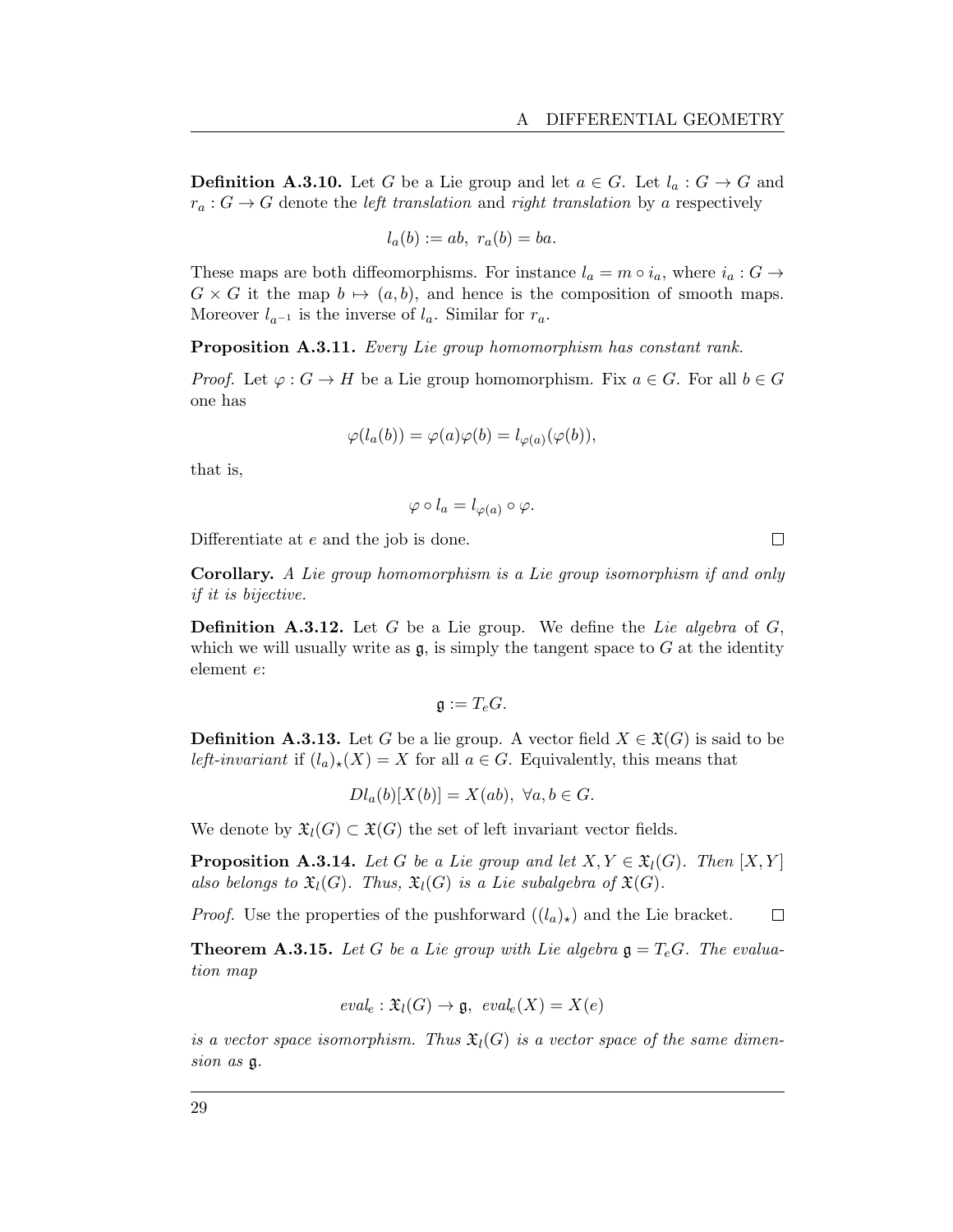**Definition A.3.10.** Let G be a Lie group and let  $a \in G$ . Let  $l_a : G \to G$  and  $r_a: G \to G$  denote the *left translation* and *right translation* by a respectively

$$
l_a(b) := ab, r_a(b) = ba.
$$

These maps are both diffeomorphisms. For instance  $l_a = m \circ i_a$ , where  $i_a : G \rightarrow$  $G \times G$  it the map  $b \mapsto (a, b)$ , and hence is the composition of smooth maps. Moreover  $l_{a^{-1}}$  is the inverse of  $l_a$ . Similar for  $r_a$ .

Proposition A.3.11. Every Lie group homomorphism has constant rank.

*Proof.* Let  $\varphi: G \to H$  be a Lie group homomorphism. Fix  $a \in G$ . For all  $b \in G$ one has

$$
\varphi(l_a(b)) = \varphi(a)\varphi(b) = l_{\varphi(a)}(\varphi(b)),
$$

that is,

$$
\varphi \circ l_a = l_{\varphi(a)} \circ \varphi.
$$

Differentiate at e and the job is done.

Corollary. A Lie group homomorphism is a Lie group isomorphism if and only if it is bijective.

**Definition A.3.12.** Let G be a Lie group. We define the Lie algebra of G, which we will usually write as  $\mathfrak{g}$ , is simply the tangent space to G at the identity element e:

$$
\mathfrak{g}:=T_eG.
$$

**Definition A.3.13.** Let G be a lie group. A vector field  $X \in \mathfrak{X}(G)$  is said to be left-invariant if  $(l_a)_*(X) = X$  for all  $a \in G$ . Equivalently, this means that

$$
Dl_a(b)[X(b)] = X(ab), \ \forall a, b \in G.
$$

We denote by  $\mathfrak{X}_l(G) \subset \mathfrak{X}(G)$  the set of left invariant vector fields.

**Proposition A.3.14.** Let G be a Lie group and let  $X, Y \in \mathfrak{X}_l(G)$ . Then  $[X, Y]$ also belongs to  $\mathfrak{X}_l(G)$ . Thus,  $\mathfrak{X}_l(G)$  is a Lie subalgebra of  $\mathfrak{X}(G)$ .

*Proof.* Use the properties of the pushforward  $((l_a)_\star)$  and the Lie bracket.  $\Box$ 

<span id="page-29-0"></span>**Theorem A.3.15.** Let G be a Lie group with Lie algebra  $\mathfrak{g} = T_eG$ . The evaluation map

$$
eval_e: \mathfrak{X}_l(G) \to \mathfrak{g}, \ \text{eval}_e(X) = X(e)
$$

is a vector space isomorphism. Thus  $\mathfrak{X}_l(G)$  is a vector space of the same dimension as g.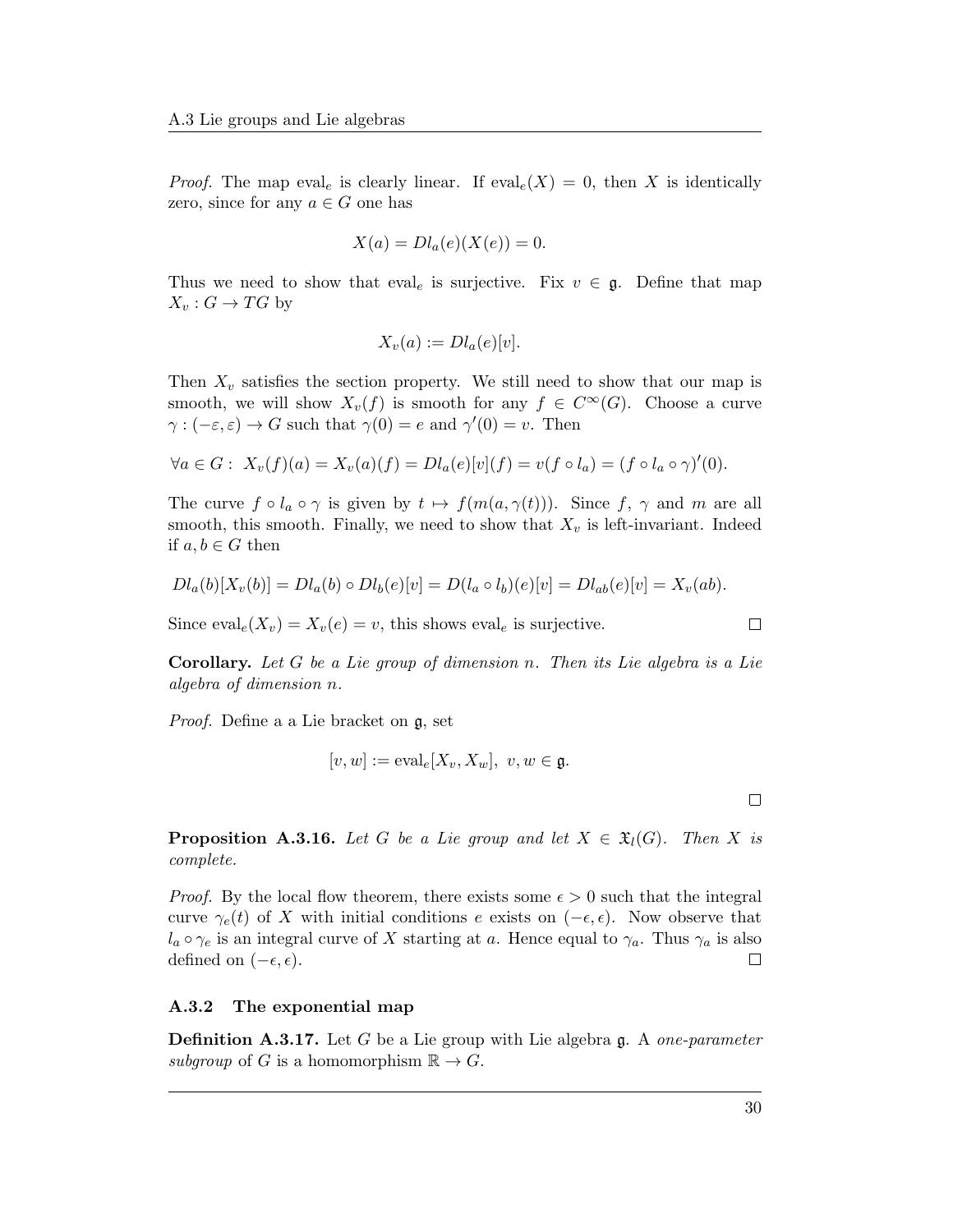*Proof.* The map eval<sub>e</sub> is clearly linear. If  $eval_e(X) = 0$ , then X is identically zero, since for any  $a \in G$  one has

$$
X(a) = Dl_a(e)(X(e)) = 0.
$$

Thus we need to show that eval<sub>e</sub> is surjective. Fix  $v \in \mathfrak{g}$ . Define that map  $X_v : G \to TG$  by

$$
X_v(a) := Dl_a(e)[v].
$$

Then  $X_v$  satisfies the section property. We still need to show that our map is smooth, we will show  $X_v(f)$  is smooth for any  $f \in C^{\infty}(G)$ . Choose a curve  $\gamma: (-\varepsilon, \varepsilon) \to G$  such that  $\gamma(0) = e$  and  $\gamma'(0) = v$ . Then

$$
\forall a \in G: X_v(f)(a) = X_v(a)(f) = Dl_a(e)[v](f) = v(f \circ l_a) = (f \circ l_a \circ \gamma)'(0).
$$

The curve  $f \circ l_a \circ \gamma$  is given by  $t \mapsto f(m(a, \gamma(t)))$ . Since  $f, \gamma$  and m are all smooth, this smooth. Finally, we need to show that  $X_v$  is left-invariant. Indeed if  $a, b \in G$  then

$$
Dl_a(b)[X_v(b)] = Dl_a(b) \circ Dl_b(e)[v] = D(l_a \circ l_b)(e)[v] = Dl_{ab}(e)[v] = X_v(ab).
$$

Since  $eval_e(X_v) = X_v(e) = v$ , this shows eval<sub>e</sub> is surjective.

Corollary. Let G be a Lie group of dimension n. Then its Lie algebra is a Lie algebra of dimension n.

Proof. Define a a Lie bracket on g, set

$$
[v, w] := \text{eval}_{e}[X_v, X_w], \ v, w \in \mathfrak{g}.
$$

 $\Box$ 

**Proposition A.3.16.** Let G be a Lie group and let  $X \in \mathfrak{X}_l(G)$ . Then X is complete.

*Proof.* By the local flow theorem, there exists some  $\epsilon > 0$  such that the integral curve  $\gamma_e(t)$  of X with initial conditions e exists on  $(-\epsilon, \epsilon)$ . Now observe that  $l_a \circ \gamma_e$  is an integral curve of X starting at a. Hence equal to  $\gamma_a$ . Thus  $\gamma_a$  is also defined on  $(-\epsilon, \epsilon)$ .  $\Box$ 

#### <span id="page-30-0"></span>A.3.2 The exponential map

**Definition A.3.17.** Let G be a Lie group with Lie algebra g. A one-parameter subgroup of G is a homomorphism  $\mathbb{R} \to G$ .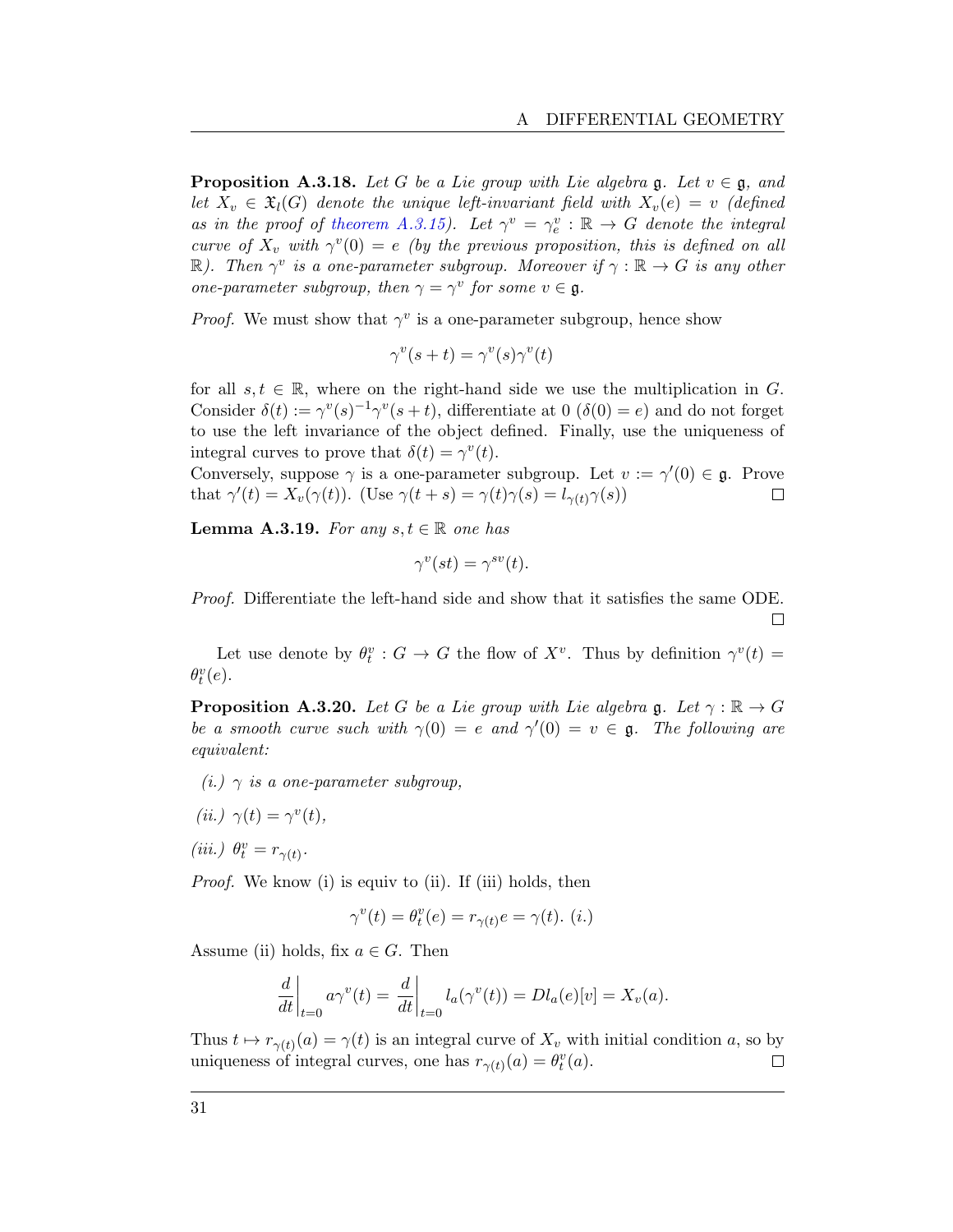**Proposition A.3.18.** Let G be a Lie group with Lie algebra  $\mathfrak{g}$ . Let  $v \in \mathfrak{g}$ , and let  $X_v \in \mathfrak{X}_l(G)$  denote the unique left-invariant field with  $X_v(e) = v$  (defined as in the proof of [theorem A.3.15\)](#page-29-0). Let  $\gamma^v = \gamma_e^v : \mathbb{R} \to G$  denote the integral curve of  $X_v$  with  $\gamma^v(0) = e$  (by the previous proposition, this is defined on all **R**). Then  $\gamma^v$  is a one-parameter subgroup. Moreover if  $\gamma : \mathbb{R} \to G$  is any other one-parameter subgroup, then  $\gamma = \gamma^v$  for some  $v \in \mathfrak{g}$ .

*Proof.* We must show that  $\gamma^v$  is a one-parameter subgroup, hence show

$$
\gamma^v(s+t) = \gamma^v(s)\gamma^v(t)
$$

for all  $s, t \in \mathbb{R}$ , where on the right-hand side we use the multiplication in G. Consider  $\delta(t) := \gamma^{v}(s)^{-1} \gamma^{v}(s+t)$ , differentiate at 0  $(\delta(0) = e)$  and do not forget to use the left invariance of the object defined. Finally, use the uniqueness of integral curves to prove that  $\delta(t) = \gamma^{v}(t)$ .

Conversely, suppose  $\gamma$  is a one-parameter subgroup. Let  $v := \gamma'(0) \in \mathfrak{g}$ . Prove that  $\gamma'(t) = X_v(\gamma(t))$ . (Use  $\gamma(t + s) = \gamma(t)\gamma(s) = l_{\gamma(t)}\gamma(s)$ )  $\Box$ 

**Lemma A.3.19.** For any  $s, t \in \mathbb{R}$  one has

$$
\gamma^v(st) = \gamma^{sv}(t).
$$

Proof. Differentiate the left-hand side and show that it satisfies the same ODE.  $\Box$ 

Let use denote by  $\theta_t^v : G \to G$  the flow of  $X^v$ . Thus by definition  $\gamma^v(t) =$  $\theta_t^v(e)$ .

**Proposition A.3.20.** Let G be a Lie group with Lie algebra g. Let  $\gamma : \mathbb{R} \to G$ be a smooth curve such with  $\gamma(0) = e$  and  $\gamma'(0) = v \in \mathfrak{g}$ . The following are equivalent:

- (i.)  $\gamma$  is a one-parameter subgroup,
- (*ii.*)  $\gamma(t) = \gamma^{v}(t)$ ,
- (*iii.*)  $\theta_t^v = r_{\gamma(t)}$ .

Proof. We know (i) is equiv to (ii). If (iii) holds, then

$$
\gamma^v(t) = \theta_t^v(e) = r_{\gamma(t)}e = \gamma(t). \ (i.)
$$

Assume (ii) holds, fix  $a \in G$ . Then

$$
\left. \frac{d}{dt} \right|_{t=0} a \gamma^{v}(t) = \left. \frac{d}{dt} \right|_{t=0} l_a(\gamma^{v}(t)) = D l_a(e)[v] = X_v(a).
$$

Thus  $t \mapsto r_{\gamma(t)}(a) = \gamma(t)$  is an integral curve of  $X_v$  with initial condition a, so by uniqueness of integral curves, one has  $r_{\gamma(t)}(a) = \theta_t^v(a)$ .  $\Box$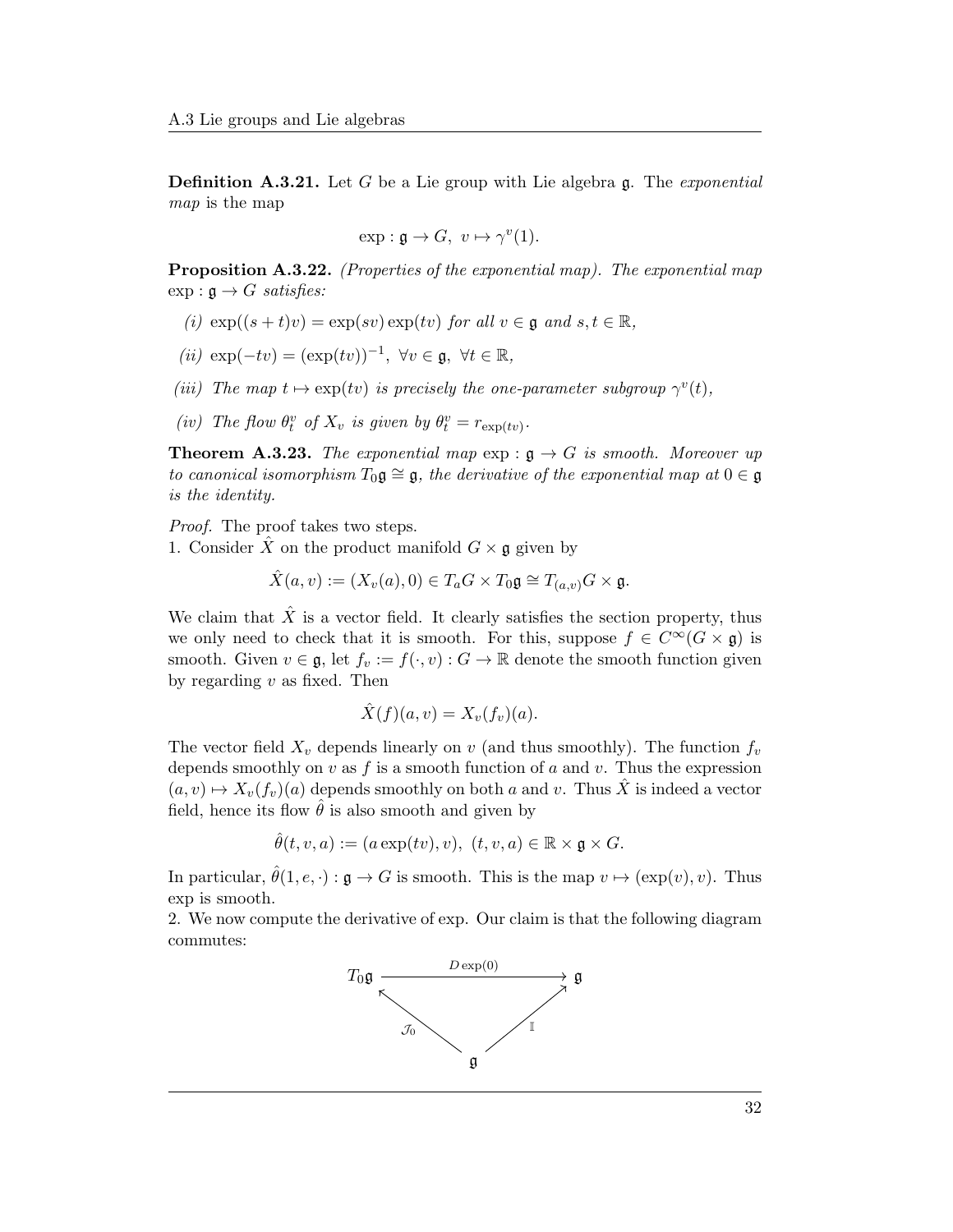**Definition A.3.21.** Let G be a Lie group with Lie algebra g. The exponential map is the map

$$
\exp: \mathfrak{g} \to G, \ v \mapsto \gamma^{v}(1).
$$

Proposition A.3.22. (Properties of the exponential map). The exponential map  $\exp : \mathfrak{g} \to G$  satisfies:

- (i)  $\exp((s+t)v) = \exp(sv)\exp(tv)$  for all  $v \in \mathfrak{g}$  and  $s, t \in \mathbb{R}$ ,
- (ii)  $\exp(-tv) = (\exp(tv))^{-1}, \forall v \in \mathfrak{g}, \forall t \in \mathbb{R},$
- (iii) The map  $t \mapsto \exp(tv)$  is precisely the one-parameter subgroup  $\gamma^{v}(t)$ ,
- (iv) The flow  $\theta_t^v$  of  $X_v$  is given by  $\theta_t^v = r_{\exp(tv)}$ .

**Theorem A.3.23.** The exponential map  $\exp : \mathfrak{g} \to G$  is smooth. Moreover up to canonical isomorphism  $T_0 \mathfrak{g} \cong \mathfrak{g}$ , the derivative of the exponential map at  $0 \in \mathfrak{g}$ is the identity.

Proof. The proof takes two steps.

1. Consider  $\hat{X}$  on the product manifold  $G \times \mathfrak{g}$  given by

$$
\hat{X}(a,v) := (X_v(a),0) \in T_aG \times T_0\mathfrak{g} \cong T_{(a,v)}G \times \mathfrak{g}.
$$

We claim that  $\hat{X}$  is a vector field. It clearly satisfies the section property, thus we only need to check that it is smooth. For this, suppose  $f \in C^{\infty}(G \times \mathfrak{g})$  is smooth. Given  $v \in \mathfrak{g}$ , let  $f_v := f(\cdot, v) : G \to \mathbb{R}$  denote the smooth function given by regarding  $v$  as fixed. Then

$$
\hat{X}(f)(a,v) = X_v(f_v)(a).
$$

The vector field  $X_v$  depends linearly on v (and thus smoothly). The function  $f_v$ depends smoothly on  $v$  as  $f$  is a smooth function of  $a$  and  $v$ . Thus the expression  $(a, v) \mapsto X_v(f_v)(a)$  depends smoothly on both a and v. Thus  $\hat{X}$  is indeed a vector field, hence its flow  $\hat{\theta}$  is also smooth and given by

$$
\theta(t, v, a) := (a \exp(tv), v), (t, v, a) \in \mathbb{R} \times \mathfrak{g} \times G.
$$

In particular,  $\hat{\theta}(1, e, \cdot) : \mathfrak{g} \to G$  is smooth. This is the map  $v \mapsto (\exp(v), v)$ . Thus exp is smooth.

2. We now compute the derivative of exp. Our claim is that the following diagram commutes:

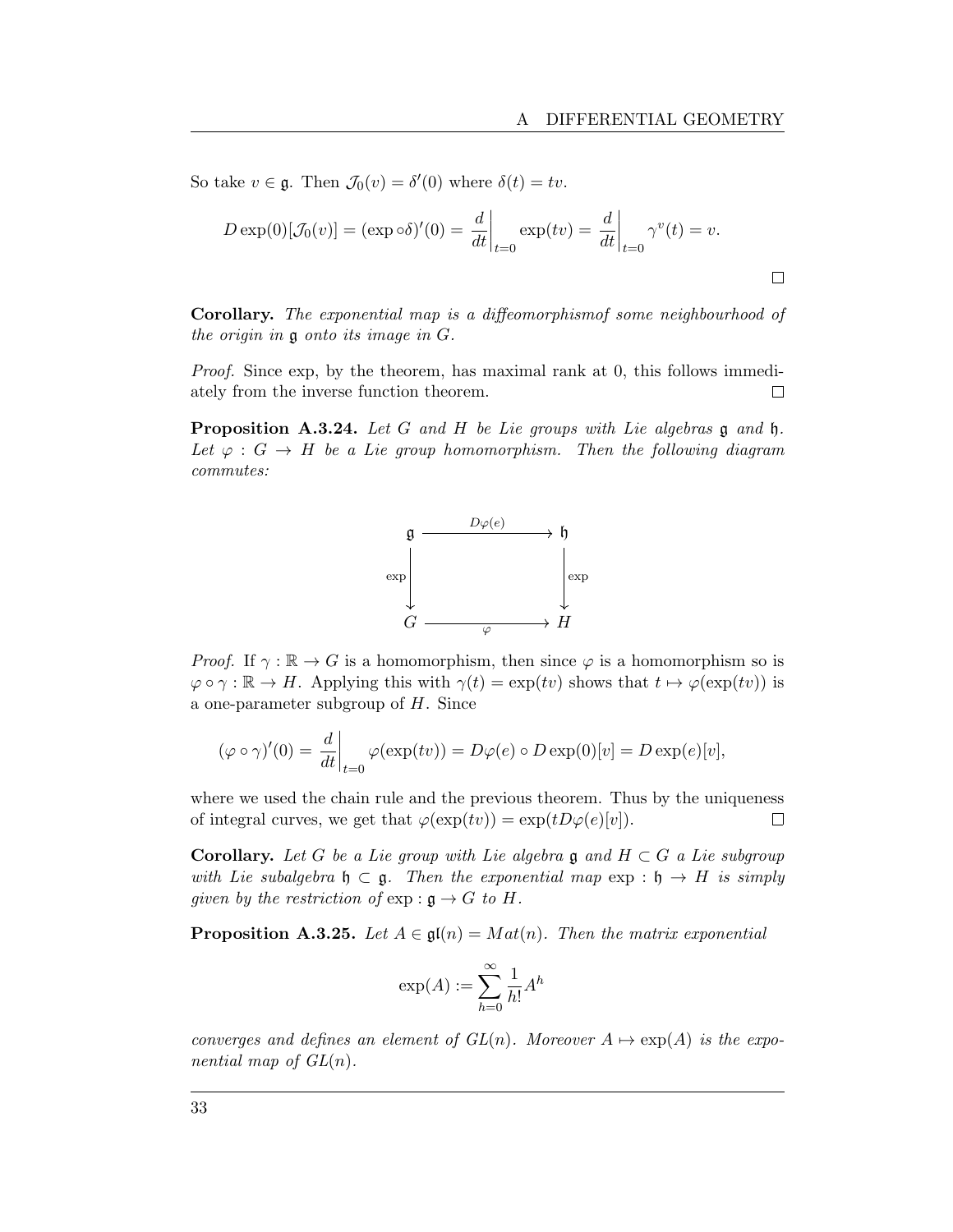So take  $v \in \mathfrak{g}$ . Then  $\mathcal{J}_0(v) = \delta'(0)$  where  $\delta(t) = tv$ .

$$
D \exp(0)[\mathcal{J}_0(v)] = (\exp \circ \delta)'(0) = \frac{d}{dt}\bigg|_{t=0} \exp(tv) = \frac{d}{dt}\bigg|_{t=0} \gamma^v(t) = v.
$$

Corollary. The exponential map is a diffeomorphismof some neighbourhood of the origin in g onto its image in G.

Proof. Since exp, by the theorem, has maximal rank at 0, this follows immediately from the inverse function theorem.  $\Box$ 

**Proposition A.3.24.** Let G and H be Lie groups with Lie algebras  $\mathfrak g$  and  $\mathfrak h$ . Let  $\varphi : G \to H$  be a Lie group homomorphism. Then the following diagram commutes:



*Proof.* If  $\gamma : \mathbb{R} \to G$  is a homomorphism, then since  $\varphi$  is a homomorphism so is  $\varphi \circ \gamma : \mathbb{R} \to H$ . Applying this with  $\gamma(t) = \exp(tv)$  shows that  $t \mapsto \varphi(\exp(tv))$  is a one-parameter subgroup of H. Since

$$
(\varphi \circ \gamma)'(0) = \frac{d}{dt}\bigg|_{t=0} \varphi(\exp(tv)) = D\varphi(e) \circ D \exp(0)[v] = D \exp(e)[v],
$$

where we used the chain rule and the previous theorem. Thus by the uniqueness of integral curves, we get that  $\varphi(\exp(tv)) = \exp(tD\varphi(e)[v]).$  $\Box$ 

**Corollary.** Let G be a Lie group with Lie algebra g and  $H \subset G$  a Lie subgroup with Lie subalgebra  $\mathfrak{h} \subset \mathfrak{g}$ . Then the exponential map  $\exp : \mathfrak{h} \to H$  is simply given by the restriction of  $\exp : \mathfrak{g} \to G$  to H.

**Proposition A.3.25.** Let  $A \in \mathfrak{gl}(n) = Mat(n)$ . Then the matrix exponential

$$
\exp(A) := \sum_{h=0}^{\infty} \frac{1}{h!} A^h
$$

converges and defines an element of  $GL(n)$ . Moreover  $A \mapsto \exp(A)$  is the exponential map of  $GL(n)$ .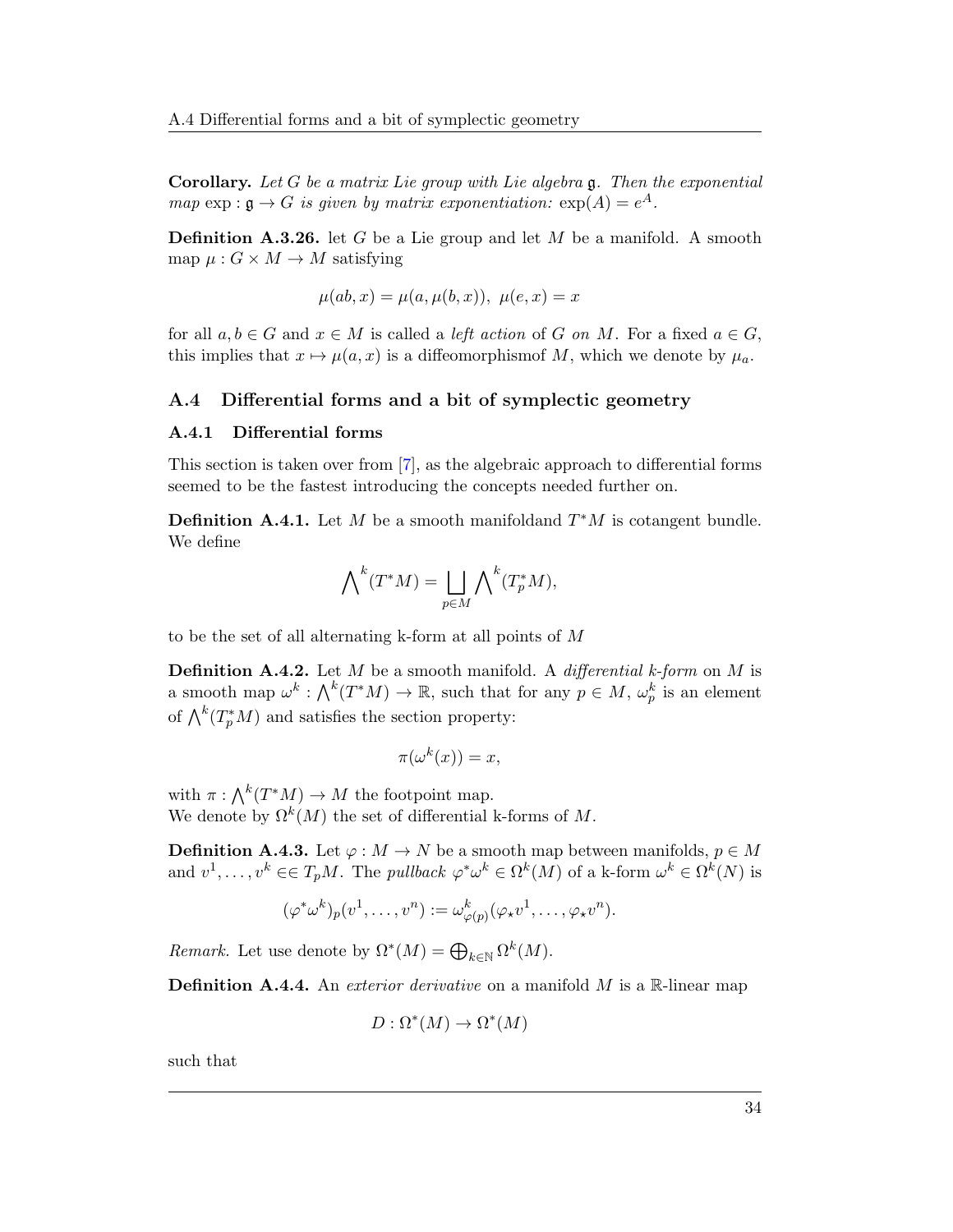**Corollary.** Let  $G$  be a matrix Lie group with Lie algebra  $\mathfrak{g}$ . Then the exponential map  $\exp : \mathfrak{g} \to G$  is given by matrix exponentiation:  $\exp(A) = e^A$ .

**Definition A.3.26.** let G be a Lie group and let M be a manifold. A smooth map  $\mu: G \times M \to M$  satisfying

$$
\mu(ab, x) = \mu(a, \mu(b, x)), \ \mu(e, x) = x
$$

for all  $a, b \in G$  and  $x \in M$  is called a *left action* of G on M. For a fixed  $a \in G$ , this implies that  $x \mapsto \mu(a, x)$  is a diffeomorphismof M, which we denote by  $\mu_a$ .

### <span id="page-34-0"></span>A.4 Differential forms and a bit of symplectic geometry

#### <span id="page-34-1"></span>A.4.1 Differential forms

This section is taken over from [\[7\]](#page-39-5), as the algebraic approach to differential forms seemed to be the fastest introducing the concepts needed further on.

**Definition A.4.1.** Let M be a smooth manifoldand  $T^*M$  is cotangent bundle. We define

$$
\bigwedge\nolimits^k (T^*M) = \bigsqcup_{p \in M} \bigwedge\nolimits^k (T_p^*M),
$$

to be the set of all alternating k-form at all points of M

**Definition A.4.2.** Let M be a smooth manifold. A differential k-form on M is a smooth map  $\omega^k : \bigwedge^k(T^*M) \to \mathbb{R}$ , such that for any  $p \in M$ ,  $\omega_p^k$  is an element of  $\bigwedge^k(T_p^*M)$  and satisfies the section property:

$$
\pi(\omega^k(x)) = x,
$$

with  $\pi: \bigwedge^k(T^*M) \to M$  the footpoint map.

We denote by  $\Omega^k(M)$  the set of differential k-forms of M.

**Definition A.4.3.** Let  $\varphi : M \to N$  be a smooth map between manifolds,  $p \in M$ and  $v^1, \ldots, v^k \in T_pM$ . The pullback  $\varphi^* \omega^k \in \Omega^k(M)$  of a k-form  $\omega^k \in \Omega^k(N)$  is

$$
(\varphi^*\omega^k)_p(v^1,\ldots,v^n):=\omega^k_{\varphi(p)}(\varphi_*v^1,\ldots,\varphi_*v^n).
$$

Remark. Let use denote by  $\Omega^*(M) = \bigoplus_{k \in \mathbb{N}} \Omega^k(M)$ .

**Definition A.4.4.** An exterior derivative on a manifold  $M$  is a  $\mathbb{R}$ -linear map

$$
D: \Omega^*(M) \to \Omega^*(M)
$$

such that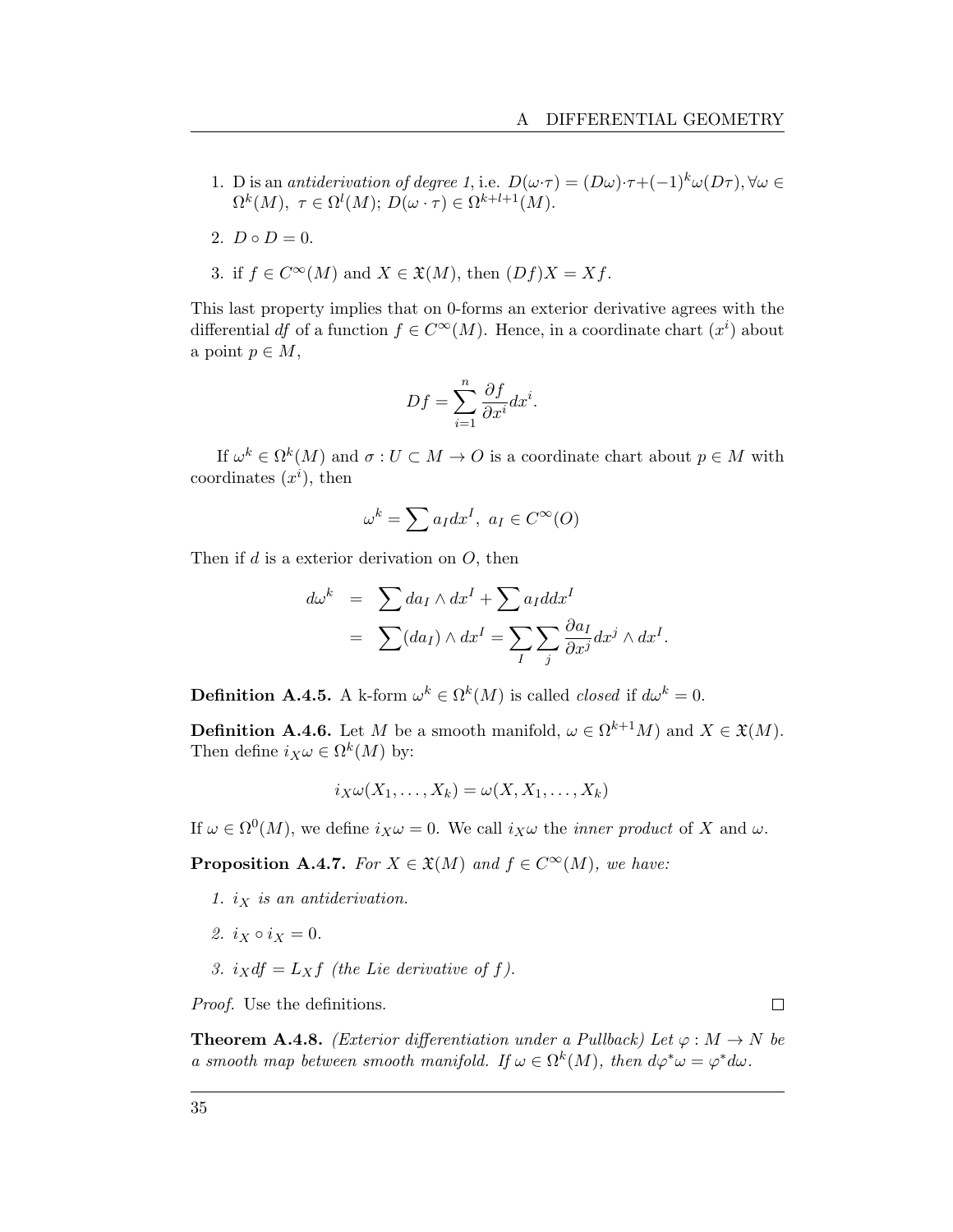- 1. D is an antiderivation of degree 1, i.e.  $D(\omega \cdot \tau) = (D\omega) \cdot \tau + (-1)^k \omega(D\tau)$ ,  $\forall \omega \in$  $\Omega^{k}(M), \tau \in \Omega^{l}(M); D(\omega \cdot \tau) \in \Omega^{k+l+1}(M).$
- 2.  $D \circ D = 0$ .
- 3. if  $f \in C^{\infty}(M)$  and  $X \in \mathfrak{X}(M)$ , then  $(Df)X = Xf$ .

This last property implies that on 0-forms an exterior derivative agrees with the differential df of a function  $f \in C^{\infty}(M)$ . Hence, in a coordinate chart  $(x^{i})$  about a point  $p \in M$ ,

$$
Df = \sum_{i=1}^{n} \frac{\partial f}{\partial x^{i}} dx^{i}.
$$

If  $\omega^k \in \Omega^k(M)$  and  $\sigma: U \subset M \to O$  is a coordinate chart about  $p \in M$  with coordinates  $(x^i)$ , then

$$
\omega^k = \sum a_I dx^I, \ a_I \in C^{\infty}(O)
$$

Then if  $d$  is a exterior derivation on  $O$ , then

$$
d\omega^{k} = \sum da_{I} \wedge dx^{I} + \sum a_{I} ddx^{I}
$$
  
= 
$$
\sum (da_{I}) \wedge dx^{I} = \sum_{I} \sum_{j} \frac{\partial a_{I}}{\partial x^{j}} dx^{j} \wedge dx^{I}.
$$

**Definition A.4.5.** A k-form  $\omega^k \in \Omega^k(M)$  is called *closed* if  $d\omega^k = 0$ .

**Definition A.4.6.** Let M be a smooth manifold,  $\omega \in \Omega^{k+1}(M)$  and  $X \in \mathfrak{X}(M)$ . Then define  $i_X \omega \in \Omega^k(M)$  by:

$$
i_X\omega(X_1,\ldots,X_k)=\omega(X,X_1,\ldots,X_k)
$$

If  $\omega \in \Omega^0(M)$ , we define  $i_X \omega = 0$ . We call  $i_X \omega$  the *inner product* of X and  $\omega$ .

**Proposition A.4.7.** For  $X \in \mathfrak{X}(M)$  and  $f \in C^{\infty}(M)$ , we have:

- 1.  $i_X$  is an antiderivation.
- 2.  $i_X \circ i_X = 0$ .
- 3. ixdf =  $L_Xf$  (the Lie derivative of f).

Proof. Use the definitions.

 $\Box$ 

**Theorem A.4.8.** (Exterior differentiation under a Pullback) Let  $\varphi : M \to N$  be a smooth map between smooth manifold. If  $\omega \in \Omega^k(M)$ , then  $d\varphi^* \omega = \varphi^* d\omega$ .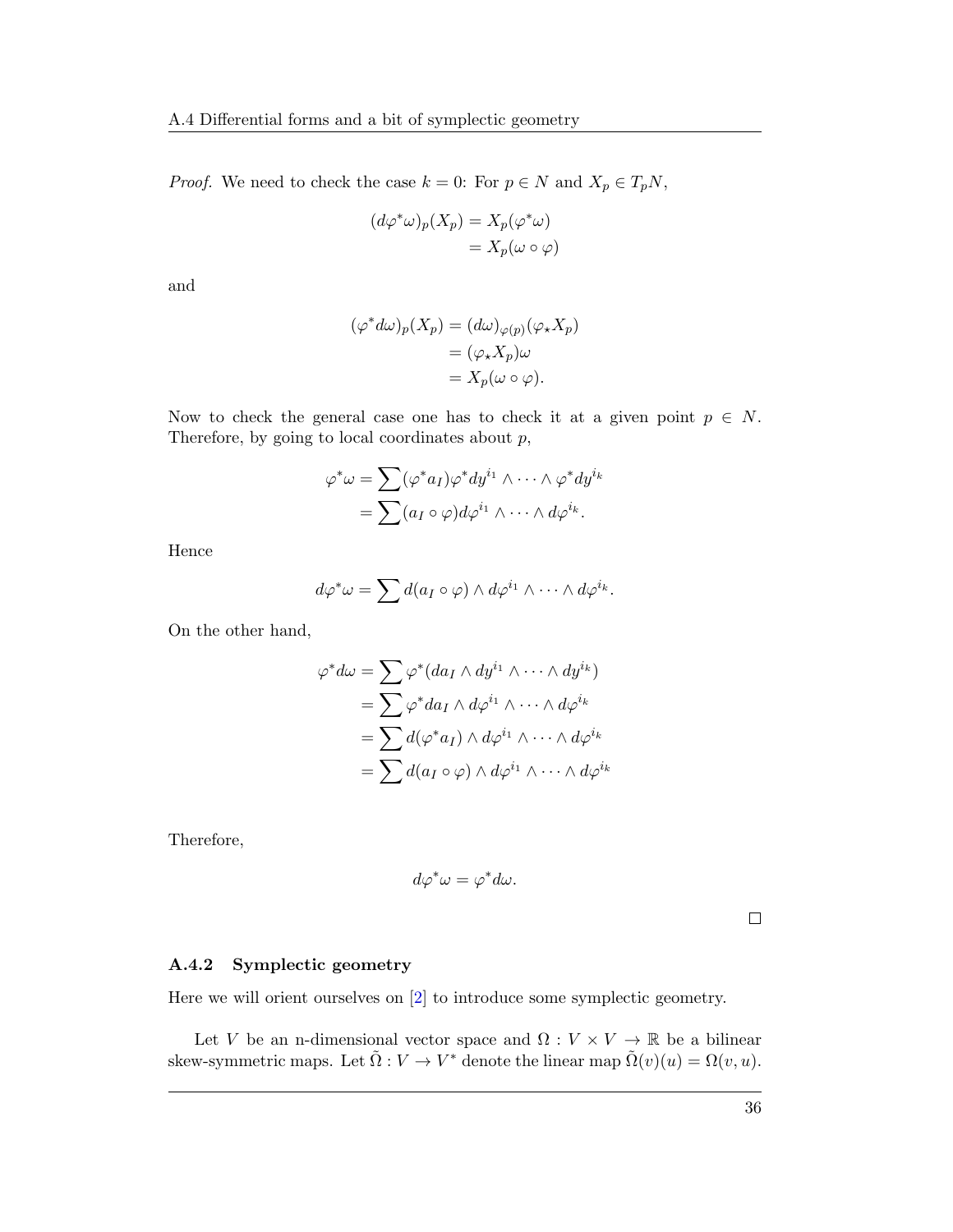*Proof.* We need to check the case  $k = 0$ : For  $p \in N$  and  $X_p \in T_pN$ ,

$$
(d\varphi^*\omega)_p(X_p) = X_p(\varphi^*\omega)
$$
  
=  $X_p(\omega \circ \varphi)$ 

and

$$
(\varphi^* d\omega)_p(X_p) = (d\omega)_{\varphi(p)}(\varphi_* X_p)
$$
  
= 
$$
(\varphi_* X_p)\omega
$$
  
= 
$$
X_p(\omega \circ \varphi).
$$

Now to check the general case one has to check it at a given point  $p \in N$ . Therefore, by going to local coordinates about  $p$ ,

$$
\varphi^* \omega = \sum (\varphi^* a_I) \varphi^* dy^{i_1} \wedge \dots \wedge \varphi^* dy^{i_k}
$$

$$
= \sum (a_I \circ \varphi) d\varphi^{i_1} \wedge \dots \wedge d\varphi^{i_k}.
$$

Hence

$$
d\varphi^*\omega=\sum d(a_I\circ\varphi)\wedge d\varphi^{i_1}\wedge\cdots\wedge d\varphi^{i_k}.
$$

On the other hand,

$$
\varphi^* d\omega = \sum \varphi^* (da_I \wedge dy^{i_1} \wedge \dots \wedge dy^{i_k})
$$
  
= 
$$
\sum \varphi^* da_I \wedge d\varphi^{i_1} \wedge \dots \wedge d\varphi^{i_k}
$$
  
= 
$$
\sum d(\varphi^* a_I) \wedge d\varphi^{i_1} \wedge \dots \wedge d\varphi^{i_k}
$$
  
= 
$$
\sum d(a_I \circ \varphi) \wedge d\varphi^{i_1} \wedge \dots \wedge d\varphi^{i_k}
$$

Therefore,

$$
d\varphi^*\omega = \varphi^*d\omega.
$$

 $\Box$ 

### <span id="page-36-0"></span>A.4.2 Symplectic geometry

Here we will orient ourselves on [\[2\]](#page-39-6) to introduce some symplectic geometry.

Let V be an n-dimensional vector space and  $\Omega: V \times V \rightarrow \mathbb{R}$  be a bilinear skew-symmetric maps. Let  $\tilde{\Omega}: V \to V^*$  denote the linear map  $\tilde{\Omega}(v)(u) = \Omega(v, u)$ .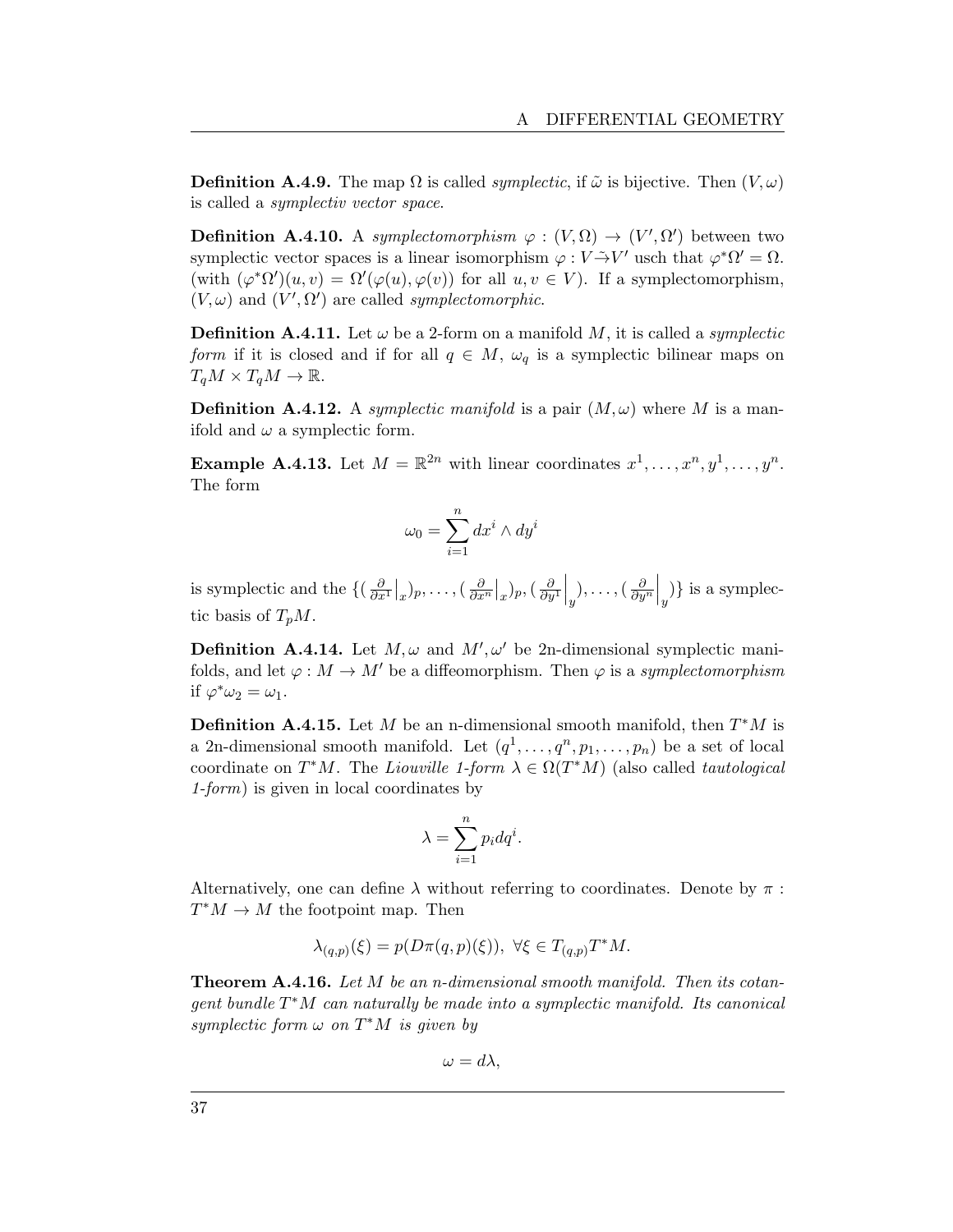**Definition A.4.9.** The map  $\Omega$  is called *symplectic*, if  $\tilde{\omega}$  is bijective. Then  $(V, \omega)$ is called a symplectiv vector space.

**Definition A.4.10.** A symplectomorphism  $\varphi : (V, \Omega) \to (V', \Omega')$  between two symplectic vector spaces is a linear isomorphism  $\varphi : V \to V'$  usch that  $\varphi^* \Omega' = \Omega$ . (with  $(\varphi^*\Omega')(u, v) = \Omega'(\varphi(u), \varphi(v))$  for all  $u, v \in V$ ). If a symplectomorphism,  $(V, \omega)$  and  $(V', \Omega')$  are called *symplectomorphic*.

**Definition A.4.11.** Let  $\omega$  be a 2-form on a manifold M, it is called a *symplectic* form if it is closed and if for all  $q \in M$ ,  $\omega_q$  is a symplectic bilinear maps on  $T_qM \times T_qM \to \mathbb{R}$ .

**Definition A.4.12.** A symplectic manifold is a pair  $(M, \omega)$  where M is a manifold and  $\omega$  a symplectic form.

**Example A.4.13.** Let  $M = \mathbb{R}^{2n}$  with linear coordinates  $x^1, \ldots, x^n, y^1, \ldots, y^n$ . The form

$$
\omega_0 = \sum_{i=1}^n dx^i \wedge dy^i
$$

is symplectic and the  $\{(\frac{\partial}{\partial x^1}|_x)_p,\ldots,(\frac{\partial}{\partial x^n}|_x)_p,(\frac{\partial}{\partial y^1})\}$  $\left| \int_{y} \right|, \ldots, \left( \frac{\partial}{\partial y^{n}} \right|_{y} \right\}$  is a symplectic basis of  $T_pM$ .

**Definition A.4.14.** Let  $M, \omega$  and  $M', \omega'$  be 2n-dimensional symplectic manifolds, and let  $\varphi : M \to M'$  be a diffeomorphism. Then  $\varphi$  is a symplectomorphism if  $\varphi^*\omega_2 = \omega_1$ .

**Definition A.4.15.** Let M be an n-dimensional smooth manifold, then  $T^*M$  is a 2n-dimensional smooth manifold. Let  $(q<sup>1</sup>, \ldots, q<sup>n</sup>, p<sub>1</sub>, \ldots, p<sub>n</sub>)$  be a set of local coordinate on  $T^*M$ . The Liouville 1-form  $\lambda \in \Omega(T^*M)$  (also called tautological 1-form) is given in local coordinates by

$$
\lambda = \sum_{i=1}^{n} p_i dq^i.
$$

Alternatively, one can define  $\lambda$  without referring to coordinates. Denote by  $\pi$ :  $T^*M \to M$  the footpoint map. Then

$$
\lambda_{(q,p)}(\xi) = p(D\pi(q,p)(\xi)), \ \forall \xi \in T_{(q,p)}T^*M.
$$

**Theorem A.4.16.** Let  $M$  be an n-dimensional smooth manifold. Then its cotangent bundle  $T^*M$  can naturally be made into a symplectic manifold. Its canonical symplectic form  $\omega$  on  $T^*M$  is given by

$$
\omega = d\lambda,
$$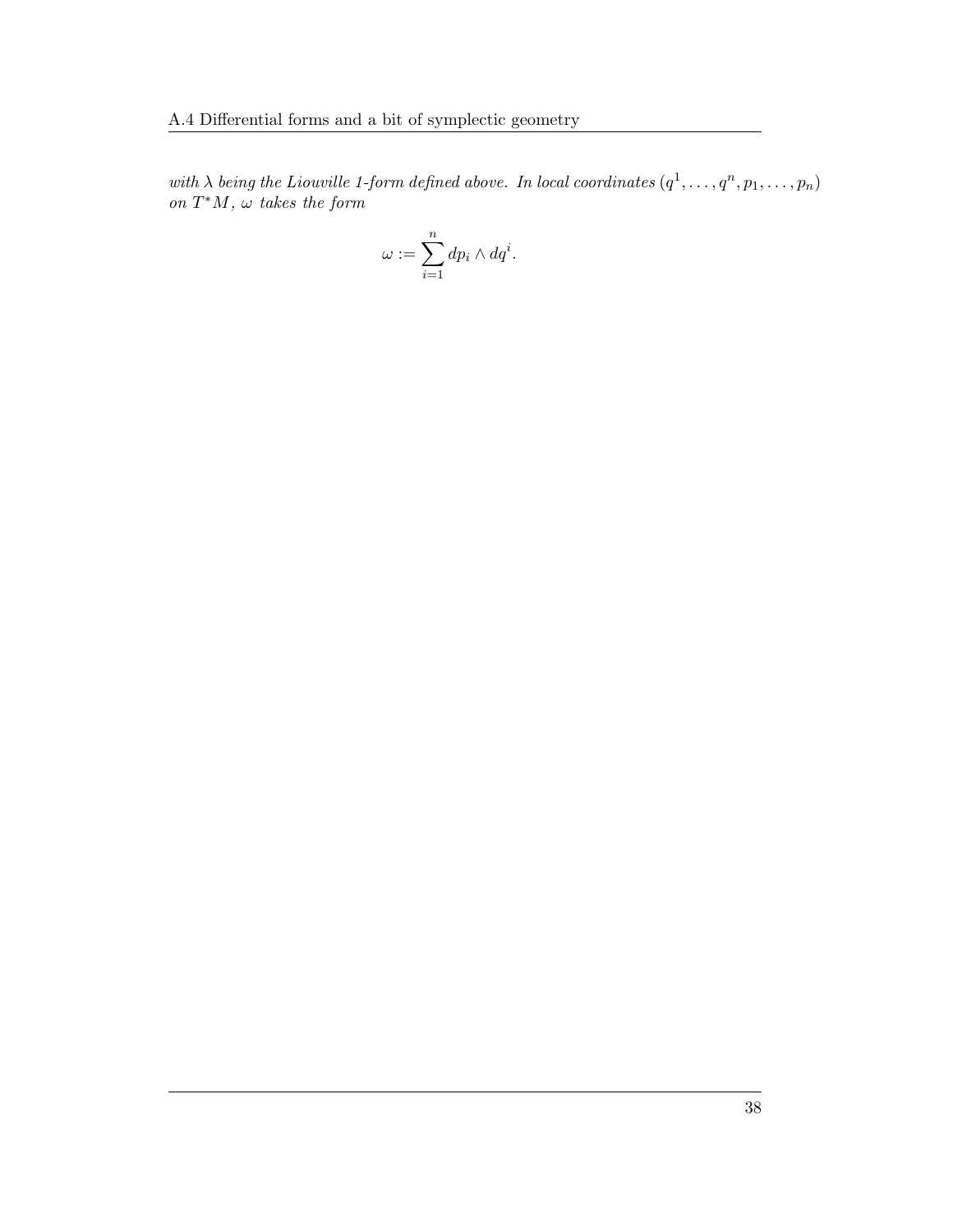with  $\lambda$  being the Liouville 1-form defined above. In local coordinates  $(q^1, \ldots, q^n, p_1, \ldots, p_n)$ on  $T^*M$ ,  $\omega$  takes the form

$$
\omega:=\sum_{i=1}^ndp_i\wedge dq^i.
$$